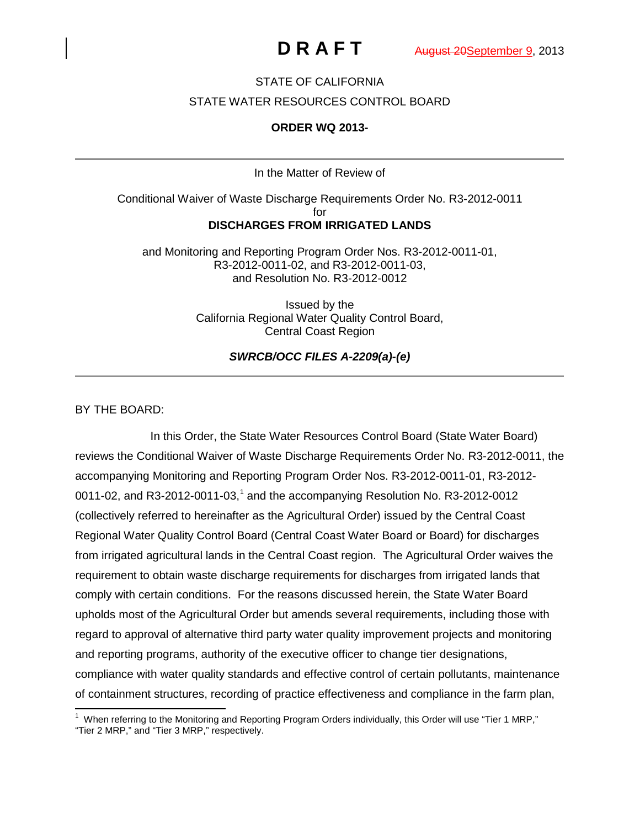# STATE OF CALIFORNIA

### STATE WATER RESOURCES CONTROL BOARD

## **ORDER WQ 2013-**

In the Matter of Review of

Conditional Waiver of Waste Discharge Requirements Order No. R3-2012-0011 for **DISCHARGES FROM IRRIGATED LANDS**

and Monitoring and Reporting Program Order Nos. R3-2012-0011-01, R3-2012-0011-02, and R3-2012-0011-03, and Resolution No. R3-2012-0012

> Issued by the California Regional Water Quality Control Board, Central Coast Region

> > *SWRCB/OCC FILES A-2209(a)-(e)*

### BY THE BOARD:

In this Order, the State Water Resources Control Board (State Water Board) reviews the Conditional Waiver of Waste Discharge Requirements Order No. R3-2012-0011, the accompanying Monitoring and Reporting Program Order Nos. R3-2012-0011-01, R3-2012- 00[1](#page-0-0)1-02, and R3-2012-0011-03,<sup>1</sup> and the accompanying Resolution No. R3-2012-0012 (collectively referred to hereinafter as the Agricultural Order) issued by the Central Coast Regional Water Quality Control Board (Central Coast Water Board or Board) for discharges from irrigated agricultural lands in the Central Coast region. The Agricultural Order waives the requirement to obtain waste discharge requirements for discharges from irrigated lands that comply with certain conditions. For the reasons discussed herein, the State Water Board upholds most of the Agricultural Order but amends several requirements, including those with regard to approval of alternative third party water quality improvement projects and monitoring and reporting programs, authority of the executive officer to change tier designations, compliance with water quality standards and effective control of certain pollutants, maintenance of containment structures, recording of practice effectiveness and compliance in the farm plan,

<span id="page-0-0"></span> <sup>1</sup> When referring to the Monitoring and Reporting Program Orders individually, this Order will use "Tier 1 MRP," "Tier 2 MRP," and "Tier 3 MRP," respectively.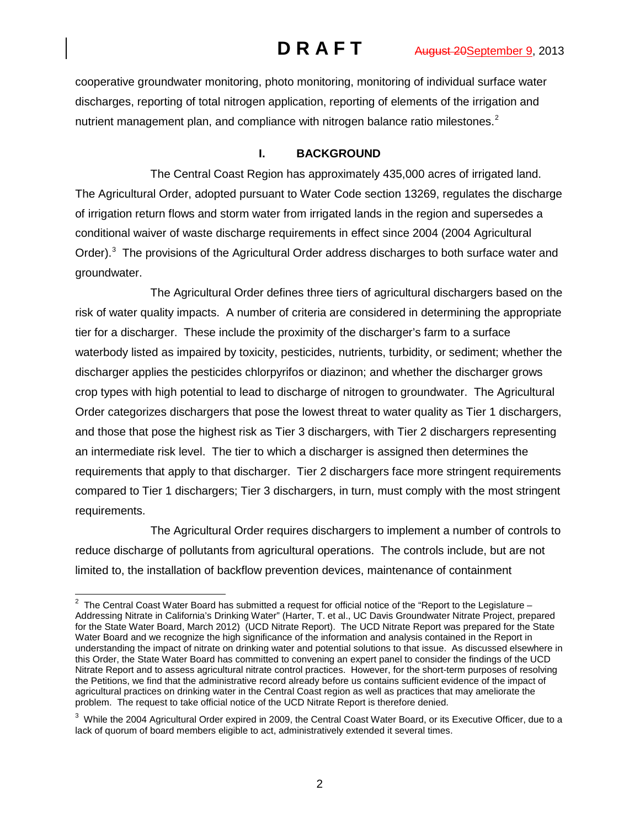cooperative groundwater monitoring, photo monitoring, monitoring of individual surface water discharges, reporting of total nitrogen application, reporting of elements of the irrigation and nutrient management plan, and compliance with nitrogen balance ratio milestones. $2$ 

# **I. BACKGROUND**

The Central Coast Region has approximately 435,000 acres of irrigated land. The Agricultural Order, adopted pursuant to Water Code section 13269, regulates the discharge of irrigation return flows and storm water from irrigated lands in the region and supersedes a conditional waiver of waste discharge requirements in effect since 2004 (2004 Agricultural Order).<sup>[3](#page-1-1)</sup> The provisions of the Agricultural Order address discharges to both surface water and groundwater.

The Agricultural Order defines three tiers of agricultural dischargers based on the risk of water quality impacts. A number of criteria are considered in determining the appropriate tier for a discharger. These include the proximity of the discharger's farm to a surface waterbody listed as impaired by toxicity, pesticides, nutrients, turbidity, or sediment; whether the discharger applies the pesticides chlorpyrifos or diazinon; and whether the discharger grows crop types with high potential to lead to discharge of nitrogen to groundwater. The Agricultural Order categorizes dischargers that pose the lowest threat to water quality as Tier 1 dischargers, and those that pose the highest risk as Tier 3 dischargers, with Tier 2 dischargers representing an intermediate risk level. The tier to which a discharger is assigned then determines the requirements that apply to that discharger. Tier 2 dischargers face more stringent requirements compared to Tier 1 dischargers; Tier 3 dischargers, in turn, must comply with the most stringent requirements.

The Agricultural Order requires dischargers to implement a number of controls to reduce discharge of pollutants from agricultural operations. The controls include, but are not limited to, the installation of backflow prevention devices, maintenance of containment

<span id="page-1-0"></span> <sup>2</sup> The Central Coast Water Board has submitted a request for official notice of the "Report to the Legislature – Addressing Nitrate in California's Drinking Water" (Harter, T. et al., UC Davis Groundwater Nitrate Project, prepared for the State Water Board, March 2012) (UCD Nitrate Report). The UCD Nitrate Report was prepared for the State Water Board and we recognize the high significance of the information and analysis contained in the Report in understanding the impact of nitrate on drinking water and potential solutions to that issue. As discussed elsewhere in this Order, the State Water Board has committed to convening an expert panel to consider the findings of the UCD Nitrate Report and to assess agricultural nitrate control practices. However, for the short-term purposes of resolving the Petitions, we find that the administrative record already before us contains sufficient evidence of the impact of agricultural practices on drinking water in the Central Coast region as well as practices that may ameliorate the problem. The request to take official notice of the UCD Nitrate Report is therefore denied.

<span id="page-1-1"></span> $^3$  While the 2004 Agricultural Order expired in 2009, the Central Coast Water Board, or its Executive Officer, due to a lack of quorum of board members eligible to act, administratively extended it several times.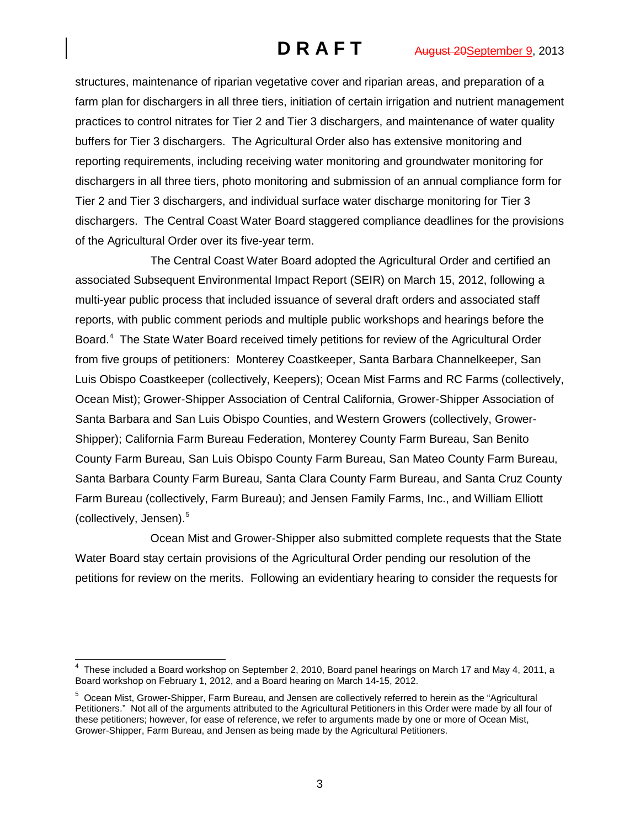structures, maintenance of riparian vegetative cover and riparian areas, and preparation of a farm plan for dischargers in all three tiers, initiation of certain irrigation and nutrient management practices to control nitrates for Tier 2 and Tier 3 dischargers, and maintenance of water quality buffers for Tier 3 dischargers. The Agricultural Order also has extensive monitoring and reporting requirements, including receiving water monitoring and groundwater monitoring for dischargers in all three tiers, photo monitoring and submission of an annual compliance form for Tier 2 and Tier 3 dischargers, and individual surface water discharge monitoring for Tier 3 dischargers. The Central Coast Water Board staggered compliance deadlines for the provisions of the Agricultural Order over its five-year term.

The Central Coast Water Board adopted the Agricultural Order and certified an associated Subsequent Environmental Impact Report (SEIR) on March 15, 2012, following a multi-year public process that included issuance of several draft orders and associated staff reports, with public comment periods and multiple public workshops and hearings before the Board.<sup>[4](#page-2-0)</sup> The State Water Board received timely petitions for review of the Agricultural Order from five groups of petitioners: Monterey Coastkeeper, Santa Barbara Channelkeeper, San Luis Obispo Coastkeeper (collectively, Keepers); Ocean Mist Farms and RC Farms (collectively, Ocean Mist); Grower-Shipper Association of Central California, Grower-Shipper Association of Santa Barbara and San Luis Obispo Counties, and Western Growers (collectively, Grower-Shipper); California Farm Bureau Federation, Monterey County Farm Bureau, San Benito County Farm Bureau, San Luis Obispo County Farm Bureau, San Mateo County Farm Bureau, Santa Barbara County Farm Bureau, Santa Clara County Farm Bureau, and Santa Cruz County Farm Bureau (collectively, Farm Bureau); and Jensen Family Farms, Inc., and William Elliott (collectively, Jensen).[5](#page-2-1)

Ocean Mist and Grower-Shipper also submitted complete requests that the State Water Board stay certain provisions of the Agricultural Order pending our resolution of the petitions for review on the merits. Following an evidentiary hearing to consider the requests for

<span id="page-2-0"></span> <sup>4</sup> These included a Board workshop on September 2, 2010, Board panel hearings on March 17 and May 4, 2011, a Board workshop on February 1, 2012, and a Board hearing on March 14-15, 2012.

<span id="page-2-1"></span><sup>5</sup> Ocean Mist, Grower-Shipper, Farm Bureau, and Jensen are collectively referred to herein as the "Agricultural Petitioners." Not all of the arguments attributed to the Agricultural Petitioners in this Order were made by all four of these petitioners; however, for ease of reference, we refer to arguments made by one or more of Ocean Mist, Grower-Shipper, Farm Bureau, and Jensen as being made by the Agricultural Petitioners.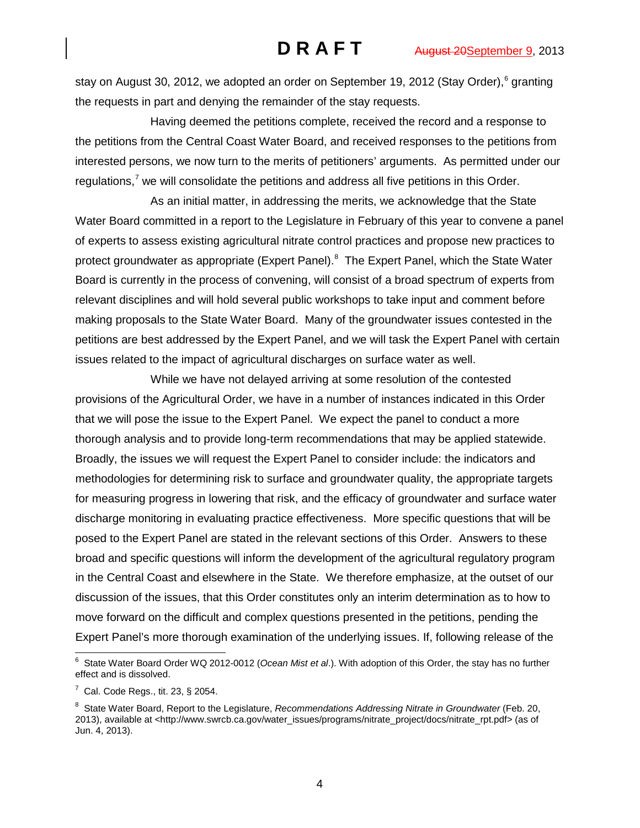stay on August 30, 2012, we adopted an order on September 19, 2012 (Stay Order), [6](#page-3-0) granting the requests in part and denying the remainder of the stay requests.

Having deemed the petitions complete, received the record and a response to the petitions from the Central Coast Water Board, and received responses to the petitions from interested persons, we now turn to the merits of petitioners' arguments. As permitted under our regulations, $7 \text{ we will conclude the partitions and address all five partitions in this Order.}$  $7 \text{ we will conclude the partitions and address all five partitions in this Order.}$ 

As an initial matter, in addressing the merits, we acknowledge that the State Water Board committed in a report to the Legislature in February of this year to convene a panel of experts to assess existing agricultural nitrate control practices and propose new practices to protect groundwater as appropriate (Expert Panel).<sup>[8](#page-3-2)</sup> The Expert Panel, which the State Water Board is currently in the process of convening, will consist of a broad spectrum of experts from relevant disciplines and will hold several public workshops to take input and comment before making proposals to the State Water Board. Many of the groundwater issues contested in the petitions are best addressed by the Expert Panel, and we will task the Expert Panel with certain issues related to the impact of agricultural discharges on surface water as well.

While we have not delayed arriving at some resolution of the contested provisions of the Agricultural Order, we have in a number of instances indicated in this Order that we will pose the issue to the Expert Panel. We expect the panel to conduct a more thorough analysis and to provide long-term recommendations that may be applied statewide. Broadly, the issues we will request the Expert Panel to consider include: the indicators and methodologies for determining risk to surface and groundwater quality, the appropriate targets for measuring progress in lowering that risk, and the efficacy of groundwater and surface water discharge monitoring in evaluating practice effectiveness. More specific questions that will be posed to the Expert Panel are stated in the relevant sections of this Order. Answers to these broad and specific questions will inform the development of the agricultural regulatory program in the Central Coast and elsewhere in the State. We therefore emphasize, at the outset of our discussion of the issues, that this Order constitutes only an interim determination as to how to move forward on the difficult and complex questions presented in the petitions, pending the Expert Panel's more thorough examination of the underlying issues. If, following release of the

<span id="page-3-0"></span> <sup>6</sup> State Water Board Order WQ 2012-0012 (*Ocean Mist et al*.). With adoption of this Order, the stay has no further effect and is dissolved.

<span id="page-3-1"></span> $7$  Cal. Code Regs., tit. 23, § 2054.

<span id="page-3-2"></span><sup>&</sup>lt;sup>8</sup> State Water Board, Report to the Legislature, *Recommendations Addressing Nitrate in Groundwater* (Feb. 20, 2013), available at [<http://www.swrcb.ca.gov/water\\_issues/programs/nitrate\\_project/docs/nitrate\\_rpt.pdf>](http://www.swrcb.ca.gov/water_issues/programs/nitrate_project/docs/nitrate_rpt.pdf) (as of Jun. 4, 2013).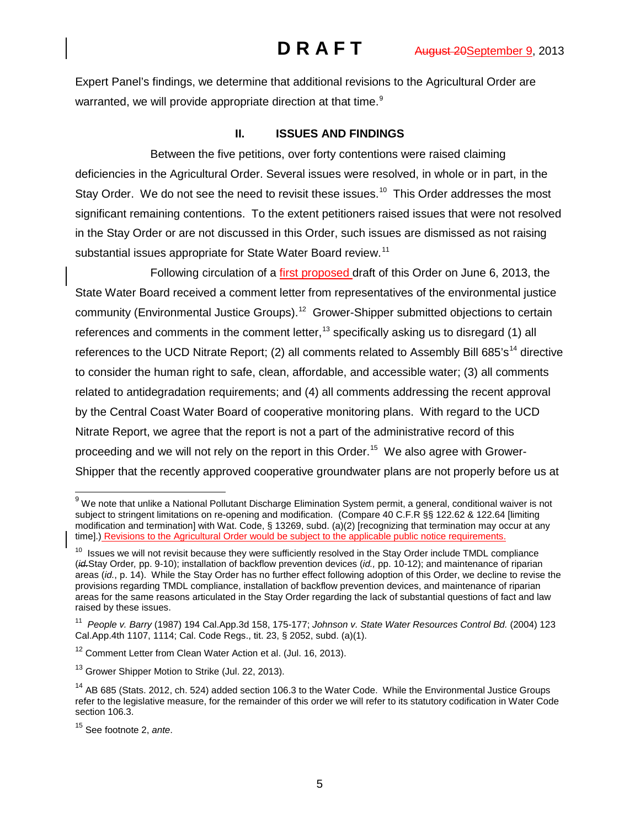Expert Panel's findings, we determine that additional revisions to the Agricultural Order are warranted, we will provide appropriate direction at that time. $^{\text{\textregistered}}$ 

## **II. ISSUES AND FINDINGS**

Between the five petitions, over forty contentions were raised claiming deficiencies in the Agricultural Order. Several issues were resolved, in whole or in part, in the Stay Order. We do not see the need to revisit these issues.<sup>[10](#page-4-1)</sup> This Order addresses the most significant remaining contentions. To the extent petitioners raised issues that were not resolved in the Stay Order or are not discussed in this Order, such issues are dismissed as not raising substantial issues appropriate for State Water Board review.<sup>[11](#page-4-2)</sup>

Following circulation of a first proposed draft of this Order on June 6, 2013, the State Water Board received a comment letter from representatives of the environmental justice community (Environmental Justice Groups).<sup>[12](#page-4-3)</sup> Grower-Shipper submitted objections to certain references and comments in the comment letter,<sup>[13](#page-4-4)</sup> specifically asking us to disregard (1) all references to the UCD Nitrate Report; (2) all comments related to Assembly Bill 685's<sup>[14](#page-4-5)</sup> directive to consider the human right to safe, clean, affordable, and accessible water; (3) all comments related to antidegradation requirements; and (4) all comments addressing the recent approval by the Central Coast Water Board of cooperative monitoring plans. With regard to the UCD Nitrate Report, we agree that the report is not a part of the administrative record of this proceeding and we will not rely on the report in this Order.<sup>15</sup> We also agree with Grower-Shipper that the recently approved cooperative groundwater plans are not properly before us at

<span id="page-4-0"></span> $9$  We note that unlike a National Pollutant Discharge Elimination System permit, a general, conditional waiver is not subject to stringent limitations on re-opening and modification. (Compare 40 C.F.R §§ 122.62 & 122.64 [limiting modification and termination] with Wat. Code, § 13269, subd. (a)(2) [recognizing that termination may occur at any time].) Revisions to the Agricultural Order would be subject to the applicable public notice requirements.

<span id="page-4-1"></span> $10$  Issues we will not revisit because they were sufficiently resolved in the Stay Order include TMDL compliance (*id.*Stay Order*,* pp. 9-10); installation of backflow prevention devices (*id.,* pp. 10-12); and maintenance of riparian areas (*id.*, p. 14). While the Stay Order has no further effect following adoption of this Order, we decline to revise the provisions regarding TMDL compliance, installation of backflow prevention devices, and maintenance of riparian areas for the same reasons articulated in the Stay Order regarding the lack of substantial questions of fact and law raised by these issues.

<span id="page-4-2"></span><sup>11</sup> *People v. Barry* (1987) 194 Cal.App.3d 158, 175-177; *Johnson v. State Water Resources Control Bd.* (2004) 123 Cal.App.4th 1107, 1114; Cal. Code Regs., tit. 23, § 2052, subd. (a)(1).

<span id="page-4-3"></span><sup>&</sup>lt;sup>12</sup> Comment Letter from Clean Water Action et al. (Jul. 16, 2013).

<span id="page-4-4"></span><sup>&</sup>lt;sup>13</sup> Grower Shipper Motion to Strike (Jul. 22, 2013).

<span id="page-4-5"></span> $14$  AB 685 (Stats. 2012, ch. 524) added section 106.3 to the Water Code. While the Environmental Justice Groups refer to the legislative measure, for the remainder of this order we will refer to its statutory codification in Water Code section 106.3.

<span id="page-4-6"></span><sup>15</sup> See footnote 2, *ante*.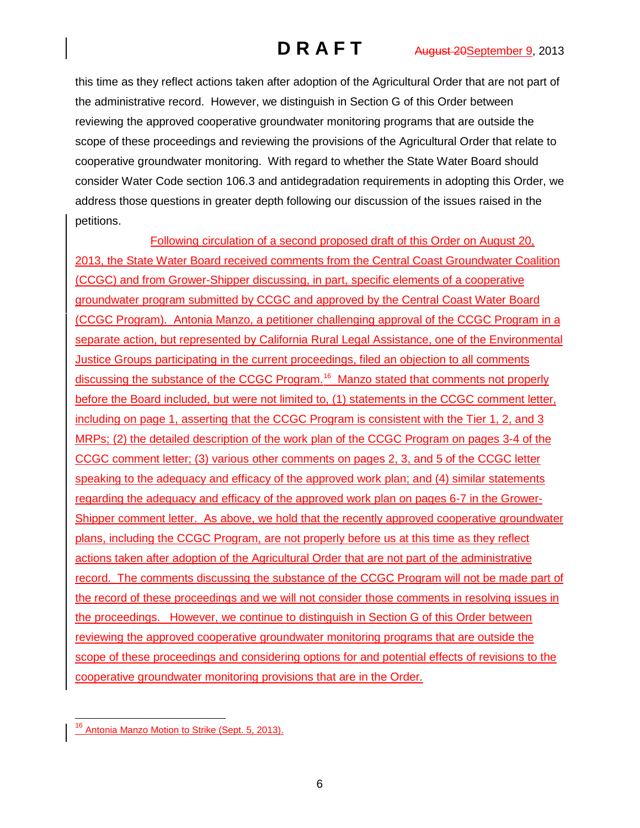this time as they reflect actions taken after adoption of the Agricultural Order that are not part of the administrative record. However, we distinguish in Section G of this Order between reviewing the approved cooperative groundwater monitoring programs that are outside the scope of these proceedings and reviewing the provisions of the Agricultural Order that relate to cooperative groundwater monitoring. With regard to whether the State Water Board should consider Water Code section 106.3 and antidegradation requirements in adopting this Order, we address those questions in greater depth following our discussion of the issues raised in the petitions.

Following circulation of a second proposed draft of this Order on August 20, 2013, the State Water Board received comments from the Central Coast Groundwater Coalition (CCGC) and from Grower-Shipper discussing, in part, specific elements of a cooperative groundwater program submitted by CCGC and approved by the Central Coast Water Board (CCGC Program). Antonia Manzo, a petitioner challenging approval of the CCGC Program in a separate action, but represented by California Rural Legal Assistance, one of the Environmental **Justice Groups participating in the current proceedings, filed an objection to all comments** discussing the substance of the CCGC Program.<sup>16</sup> Manzo stated that comments not properly before the Board included, but were not limited to, (1) statements in the CCGC comment letter, including on page 1, asserting that the CCGC Program is consistent with the Tier 1, 2, and 3 MRPs; (2) the detailed description of the work plan of the CCGC Program on pages 3-4 of the CCGC comment letter; (3) various other comments on pages 2, 3, and 5 of the CCGC letter speaking to the adequacy and efficacy of the approved work plan; and (4) similar statements regarding the adequacy and efficacy of the approved work plan on pages 6-7 in the Grower-Shipper comment letter. As above, we hold that the recently approved cooperative groundwater plans, including the CCGC Program, are not properly before us at this time as they reflect actions taken after adoption of the Agricultural Order that are not part of the administrative record. The comments discussing the substance of the CCGC Program will not be made part of the record of these proceedings and we will not consider those comments in resolving issues in the proceedings. However, we continue to distinguish in Section G of this Order between reviewing the approved cooperative groundwater monitoring programs that are outside the scope of these proceedings and considering options for and potential effects of revisions to the cooperative groundwater monitoring provisions that are in the Order.

<span id="page-5-0"></span>Antonia Manzo Motion to Strike (Sept. 5, 2013).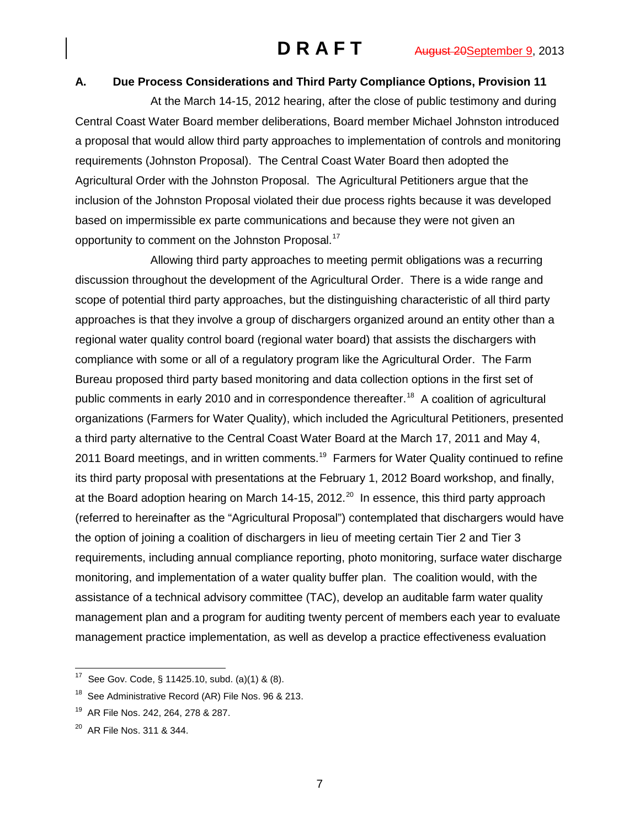## **A. Due Process Considerations and Third Party Compliance Options, Provision 11**

At the March 14-15, 2012 hearing, after the close of public testimony and during Central Coast Water Board member deliberations, Board member Michael Johnston introduced a proposal that would allow third party approaches to implementation of controls and monitoring requirements (Johnston Proposal). The Central Coast Water Board then adopted the Agricultural Order with the Johnston Proposal. The Agricultural Petitioners argue that the inclusion of the Johnston Proposal violated their due process rights because it was developed based on impermissible ex parte communications and because they were not given an opportunity to comment on the Johnston Proposal.<sup>[17](#page-6-0)</sup>

Allowing third party approaches to meeting permit obligations was a recurring discussion throughout the development of the Agricultural Order. There is a wide range and scope of potential third party approaches, but the distinguishing characteristic of all third party approaches is that they involve a group of dischargers organized around an entity other than a regional water quality control board (regional water board) that assists the dischargers with compliance with some or all of a regulatory program like the Agricultural Order. The Farm Bureau proposed third party based monitoring and data collection options in the first set of public comments in early 2010 and in correspondence thereafter.<sup>[18](#page-6-1)</sup> A coalition of agricultural organizations (Farmers for Water Quality), which included the Agricultural Petitioners, presented a third party alternative to the Central Coast Water Board at the March 17, 2011 and May 4, 2011 Board meetings, and in written comments.<sup>[19](#page-6-2)</sup> Farmers for Water Quality continued to refine its third party proposal with presentations at the February 1, 2012 Board workshop, and finally, at the Board adoption hearing on March 14-15, [20](#page-6-3)12. $^{20}$  In essence, this third party approach (referred to hereinafter as the "Agricultural Proposal") contemplated that dischargers would have the option of joining a coalition of dischargers in lieu of meeting certain Tier 2 and Tier 3 requirements, including annual compliance reporting, photo monitoring, surface water discharge monitoring, and implementation of a water quality buffer plan. The coalition would, with the assistance of a technical advisory committee (TAC), develop an auditable farm water quality management plan and a program for auditing twenty percent of members each year to evaluate management practice implementation, as well as develop a practice effectiveness evaluation

7

<span id="page-6-0"></span> <sup>17</sup> See Gov. Code, § 11425.10, subd. (a)(1) & (8).

<span id="page-6-1"></span><sup>&</sup>lt;sup>18</sup> See Administrative Record (AR) File Nos. 96 & 213.

<span id="page-6-2"></span><sup>&</sup>lt;sup>19</sup> AR File Nos. 242, 264, 278 & 287.

<span id="page-6-3"></span><sup>&</sup>lt;sup>20</sup> AR File Nos. 311 & 344.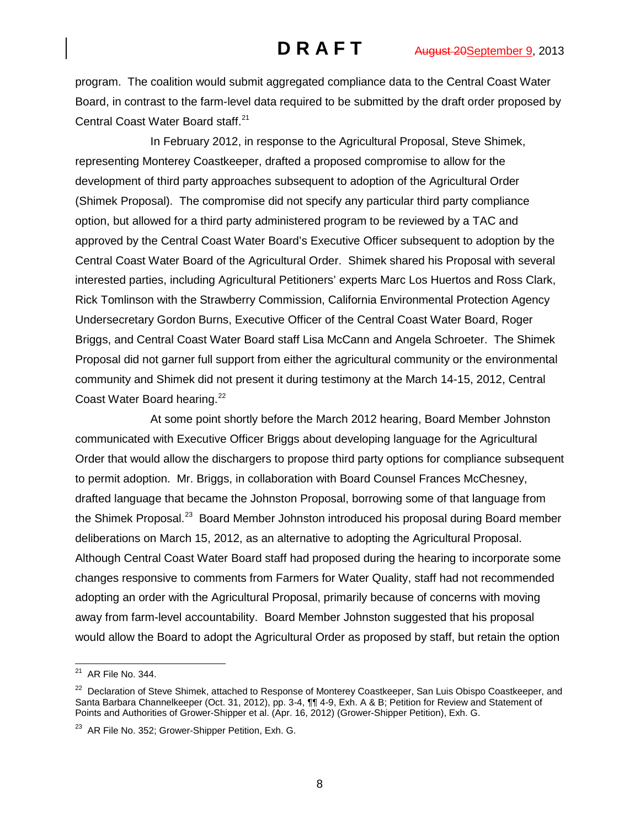program. The coalition would submit aggregated compliance data to the Central Coast Water Board, in contrast to the farm-level data required to be submitted by the draft order proposed by Central Coast Water Board staff. [21](#page-7-0)

In February 2012, in response to the Agricultural Proposal, Steve Shimek, representing Monterey Coastkeeper, drafted a proposed compromise to allow for the development of third party approaches subsequent to adoption of the Agricultural Order (Shimek Proposal). The compromise did not specify any particular third party compliance option, but allowed for a third party administered program to be reviewed by a TAC and approved by the Central Coast Water Board's Executive Officer subsequent to adoption by the Central Coast Water Board of the Agricultural Order. Shimek shared his Proposal with several interested parties, including Agricultural Petitioners' experts Marc Los Huertos and Ross Clark, Rick Tomlinson with the Strawberry Commission, California Environmental Protection Agency Undersecretary Gordon Burns, Executive Officer of the Central Coast Water Board, Roger Briggs, and Central Coast Water Board staff Lisa McCann and Angela Schroeter. The Shimek Proposal did not garner full support from either the agricultural community or the environmental community and Shimek did not present it during testimony at the March 14-15, 2012, Central Coast Water Board hearing.<sup>[22](#page-7-1)</sup>

At some point shortly before the March 2012 hearing, Board Member Johnston communicated with Executive Officer Briggs about developing language for the Agricultural Order that would allow the dischargers to propose third party options for compliance subsequent to permit adoption. Mr. Briggs, in collaboration with Board Counsel Frances McChesney, drafted language that became the Johnston Proposal, borrowing some of that language from the Shimek Proposal.<sup>[23](#page-7-2)</sup> Board Member Johnston introduced his proposal during Board member deliberations on March 15, 2012, as an alternative to adopting the Agricultural Proposal. Although Central Coast Water Board staff had proposed during the hearing to incorporate some changes responsive to comments from Farmers for Water Quality, staff had not recommended adopting an order with the Agricultural Proposal, primarily because of concerns with moving away from farm-level accountability. Board Member Johnston suggested that his proposal would allow the Board to adopt the Agricultural Order as proposed by staff, but retain the option

<span id="page-7-0"></span> $21$  AR File No. 344.

<span id="page-7-1"></span><sup>&</sup>lt;sup>22</sup> Declaration of Steve Shimek, attached to Response of Monterey Coastkeeper, San Luis Obispo Coastkeeper, and Santa Barbara Channelkeeper (Oct. 31, 2012), pp. 3-4, ¶¶ 4-9, Exh. A & B; Petition for Review and Statement of Points and Authorities of Grower-Shipper et al. (Apr. 16, 2012) (Grower-Shipper Petition), Exh. G.

<span id="page-7-2"></span><sup>&</sup>lt;sup>23</sup> AR File No. 352; Grower-Shipper Petition, Exh. G.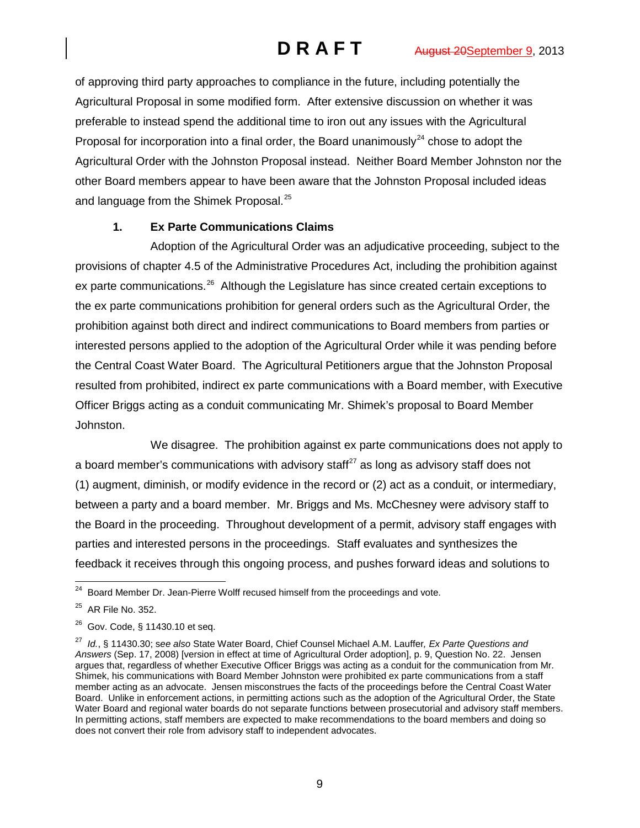of approving third party approaches to compliance in the future, including potentially the Agricultural Proposal in some modified form. After extensive discussion on whether it was preferable to instead spend the additional time to iron out any issues with the Agricultural Proposal for incorporation into a final order, the Board unanimously<sup>[24](#page-8-0)</sup> chose to adopt the Agricultural Order with the Johnston Proposal instead. Neither Board Member Johnston nor the other Board members appear to have been aware that the Johnston Proposal included ideas and language from the Shimek Proposal.<sup>[25](#page-8-1)</sup>

# **1. Ex Parte Communications Claims**

Adoption of the Agricultural Order was an adjudicative proceeding, subject to the provisions of chapter 4.5 of the Administrative Procedures Act, including the prohibition against ex parte communications.<sup>[26](#page-8-2)</sup> Although the Legislature has since created certain exceptions to the ex parte communications prohibition for general orders such as the Agricultural Order, the prohibition against both direct and indirect communications to Board members from parties or interested persons applied to the adoption of the Agricultural Order while it was pending before the Central Coast Water Board. The Agricultural Petitioners argue that the Johnston Proposal resulted from prohibited, indirect ex parte communications with a Board member, with Executive Officer Briggs acting as a conduit communicating Mr. Shimek's proposal to Board Member Johnston.

We disagree. The prohibition against ex parte communications does not apply to a board member's communications with advisory staff $^{27}$  $^{27}$  $^{27}$  as long as advisory staff does not (1) augment, diminish, or modify evidence in the record or (2) act as a conduit, or intermediary, between a party and a board member. Mr. Briggs and Ms. McChesney were advisory staff to the Board in the proceeding. Throughout development of a permit, advisory staff engages with parties and interested persons in the proceedings. Staff evaluates and synthesizes the feedback it receives through this ongoing process, and pushes forward ideas and solutions to

<span id="page-8-0"></span><sup>&</sup>lt;sup>24</sup> Board Member Dr. Jean-Pierre Wolff recused himself from the proceedings and vote.

<span id="page-8-1"></span><sup>25</sup> AR File No. 352.

<span id="page-8-2"></span><sup>26</sup> Gov. Code, § 11430.10 et seq.

<span id="page-8-3"></span><sup>27</sup> *Id.*, § 11430.30; s*ee also* State Water Board, Chief Counsel Michael A.M. Lauffer*, Ex Parte Questions and Answers* (Sep. 17, 2008) [version in effect at time of Agricultural Order adoption], p. 9, Question No. 22. Jensen argues that, regardless of whether Executive Officer Briggs was acting as a conduit for the communication from Mr. Shimek, his communications with Board Member Johnston were prohibited ex parte communications from a staff member acting as an advocate. Jensen misconstrues the facts of the proceedings before the Central Coast Water Board. Unlike in enforcement actions, in permitting actions such as the adoption of the Agricultural Order, the State Water Board and regional water boards do not separate functions between prosecutorial and advisory staff members. In permitting actions, staff members are expected to make recommendations to the board members and doing so does not convert their role from advisory staff to independent advocates.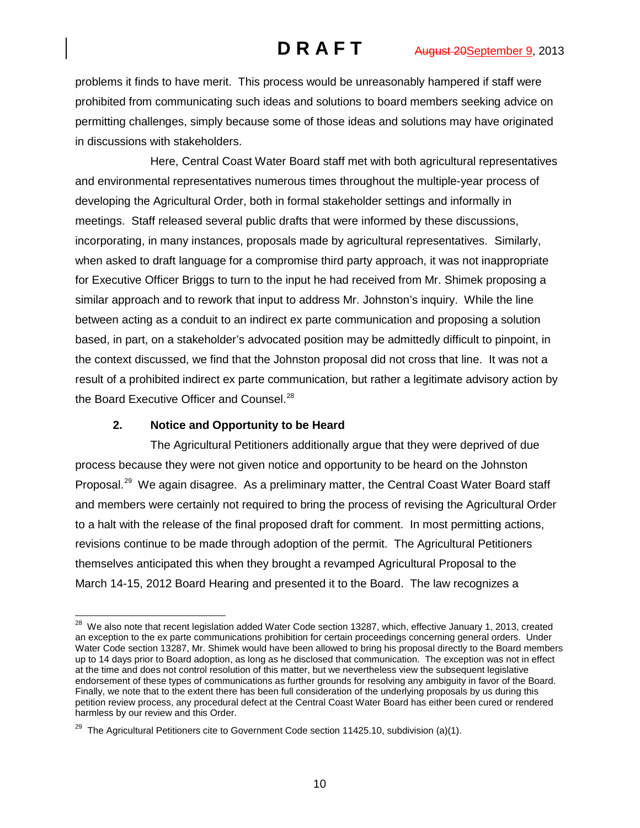problems it finds to have merit. This process would be unreasonably hampered if staff were prohibited from communicating such ideas and solutions to board members seeking advice on permitting challenges, simply because some of those ideas and solutions may have originated in discussions with stakeholders.

Here, Central Coast Water Board staff met with both agricultural representatives and environmental representatives numerous times throughout the multiple-year process of developing the Agricultural Order, both in formal stakeholder settings and informally in meetings. Staff released several public drafts that were informed by these discussions, incorporating, in many instances, proposals made by agricultural representatives. Similarly, when asked to draft language for a compromise third party approach, it was not inappropriate for Executive Officer Briggs to turn to the input he had received from Mr. Shimek proposing a similar approach and to rework that input to address Mr. Johnston's inquiry. While the line between acting as a conduit to an indirect ex parte communication and proposing a solution based, in part, on a stakeholder's advocated position may be admittedly difficult to pinpoint, in the context discussed, we find that the Johnston proposal did not cross that line. It was not a result of a prohibited indirect ex parte communication, but rather a legitimate advisory action by the Board Executive Officer and Counsel.<sup>[28](#page-9-0)</sup>

# **2. Notice and Opportunity to be Heard**

The Agricultural Petitioners additionally argue that they were deprived of due process because they were not given notice and opportunity to be heard on the Johnston Proposal.<sup>[29](#page-9-1)</sup> We again disagree. As a preliminary matter, the Central Coast Water Board staff and members were certainly not required to bring the process of revising the Agricultural Order to a halt with the release of the final proposed draft for comment. In most permitting actions, revisions continue to be made through adoption of the permit. The Agricultural Petitioners themselves anticipated this when they brought a revamped Agricultural Proposal to the March 14-15, 2012 Board Hearing and presented it to the Board. The law recognizes a

<span id="page-9-0"></span><sup>&</sup>lt;sup>28</sup> We also note that recent legislation added Water Code section 13287, which, effective January 1, 2013, created an exception to the ex parte communications prohibition for certain proceedings concerning general orders. Under Water Code section 13287, Mr. Shimek would have been allowed to bring his proposal directly to the Board members up to 14 days prior to Board adoption, as long as he disclosed that communication. The exception was not in effect at the time and does not control resolution of this matter, but we nevertheless view the subsequent legislative endorsement of these types of communications as further grounds for resolving any ambiguity in favor of the Board. Finally, we note that to the extent there has been full consideration of the underlying proposals by us during this petition review process, any procedural defect at the Central Coast Water Board has either been cured or rendered harmless by our review and this Order.

<span id="page-9-1"></span> $29$  The Agricultural Petitioners cite to Government Code section 11425.10, subdivision (a)(1).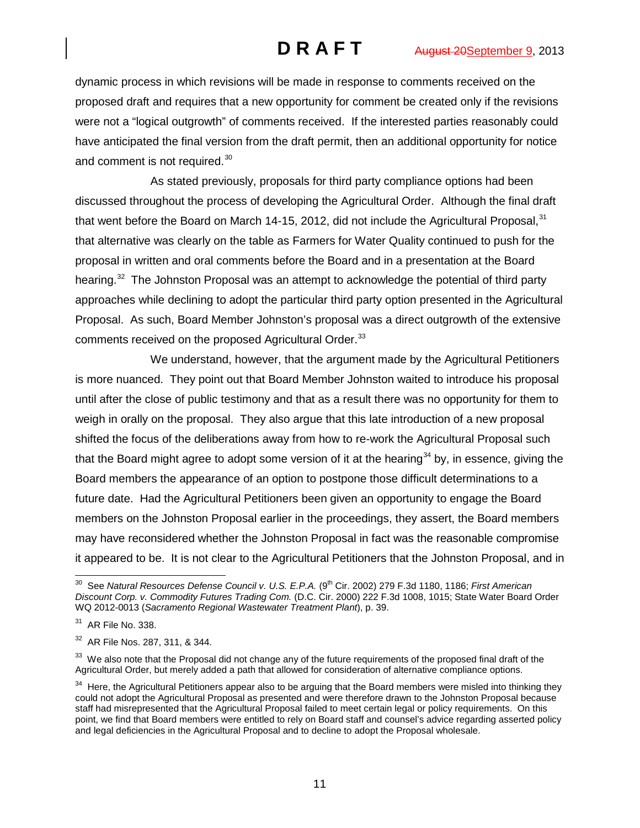dynamic process in which revisions will be made in response to comments received on the proposed draft and requires that a new opportunity for comment be created only if the revisions were not a "logical outgrowth" of comments received. If the interested parties reasonably could have anticipated the final version from the draft permit, then an additional opportunity for notice and comment is not required.<sup>[30](#page-10-0)</sup>

As stated previously, proposals for third party compliance options had been discussed throughout the process of developing the Agricultural Order. Although the final draft that went before the Board on March 14-15, 2012, did not include the Agricultural Proposal,  $31$ that alternative was clearly on the table as Farmers for Water Quality continued to push for the proposal in written and oral comments before the Board and in a presentation at the Board hearing.<sup>32</sup> The Johnston Proposal was an attempt to acknowledge the potential of third party approaches while declining to adopt the particular third party option presented in the Agricultural Proposal. As such, Board Member Johnston's proposal was a direct outgrowth of the extensive comments received on the proposed Agricultural Order.<sup>[33](#page-10-3)</sup>

We understand, however, that the argument made by the Agricultural Petitioners is more nuanced. They point out that Board Member Johnston waited to introduce his proposal until after the close of public testimony and that as a result there was no opportunity for them to weigh in orally on the proposal. They also argue that this late introduction of a new proposal shifted the focus of the deliberations away from how to re-work the Agricultural Proposal such that the Board might agree to adopt some version of it at the hearing<sup>[34](#page-10-4)</sup> by, in essence, giving the Board members the appearance of an option to postpone those difficult determinations to a future date. Had the Agricultural Petitioners been given an opportunity to engage the Board members on the Johnston Proposal earlier in the proceedings, they assert, the Board members may have reconsidered whether the Johnston Proposal in fact was the reasonable compromise it appeared to be. It is not clear to the Agricultural Petitioners that the Johnston Proposal, and in

<span id="page-10-0"></span><sup>&</sup>lt;sup>30</sup> See Natural Resources Defense Council v. U.S. E.P.A. (9<sup>th</sup> Cir. 2002) 279 F.3d 1180, 1186; *First American Discount Corp. v. Commodity Futures Trading Com.* (D.C. Cir. 2000) 222 F.3d 1008, 1015; State Water Board Order WQ 2012-0013 (*Sacramento Regional Wastewater Treatment Plant*), p. 39.

<span id="page-10-1"></span><sup>31</sup> AR File No. 338.

<span id="page-10-2"></span><sup>32</sup> AR File Nos. 287, 311, & 344.

<span id="page-10-3"></span> $33$  We also note that the Proposal did not change any of the future requirements of the proposed final draft of the Agricultural Order, but merely added a path that allowed for consideration of alternative compliance options.

<span id="page-10-4"></span> $34$  Here, the Agricultural Petitioners appear also to be arguing that the Board members were misled into thinking they could not adopt the Agricultural Proposal as presented and were therefore drawn to the Johnston Proposal because staff had misrepresented that the Agricultural Proposal failed to meet certain legal or policy requirements. On this point, we find that Board members were entitled to rely on Board staff and counsel's advice regarding asserted policy and legal deficiencies in the Agricultural Proposal and to decline to adopt the Proposal wholesale.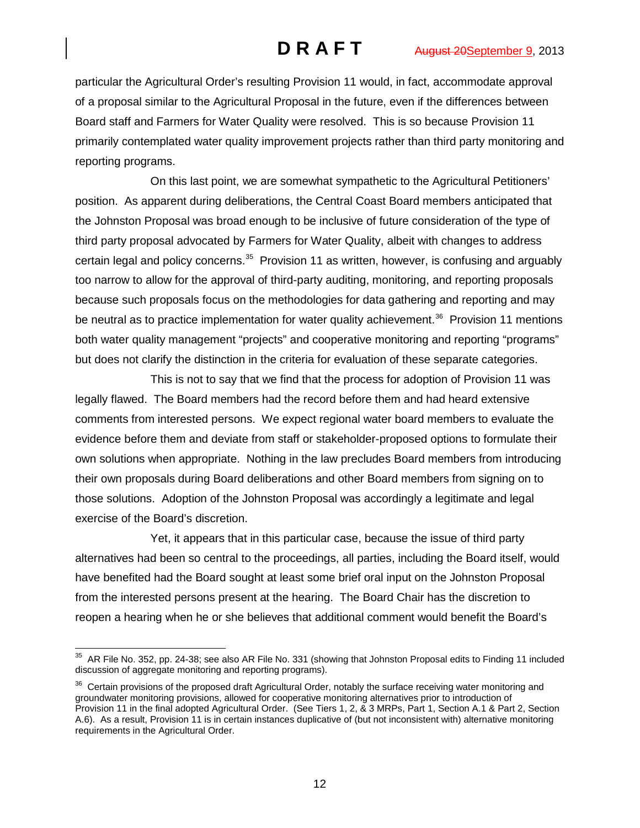particular the Agricultural Order's resulting Provision 11 would, in fact, accommodate approval of a proposal similar to the Agricultural Proposal in the future, even if the differences between Board staff and Farmers for Water Quality were resolved. This is so because Provision 11 primarily contemplated water quality improvement projects rather than third party monitoring and reporting programs.

On this last point, we are somewhat sympathetic to the Agricultural Petitioners' position. As apparent during deliberations, the Central Coast Board members anticipated that the Johnston Proposal was broad enough to be inclusive of future consideration of the type of third party proposal advocated by Farmers for Water Quality, albeit with changes to address certain legal and policy concerns.<sup>[35](#page-11-0)</sup> Provision 11 as written, however, is confusing and arguably too narrow to allow for the approval of third-party auditing, monitoring, and reporting proposals because such proposals focus on the methodologies for data gathering and reporting and may be neutral as to practice implementation for water quality achievement.<sup>36</sup> Provision 11 mentions both water quality management "projects" and cooperative monitoring and reporting "programs" but does not clarify the distinction in the criteria for evaluation of these separate categories.

This is not to say that we find that the process for adoption of Provision 11 was legally flawed. The Board members had the record before them and had heard extensive comments from interested persons. We expect regional water board members to evaluate the evidence before them and deviate from staff or stakeholder-proposed options to formulate their own solutions when appropriate. Nothing in the law precludes Board members from introducing their own proposals during Board deliberations and other Board members from signing on to those solutions. Adoption of the Johnston Proposal was accordingly a legitimate and legal exercise of the Board's discretion.

Yet, it appears that in this particular case, because the issue of third party alternatives had been so central to the proceedings, all parties, including the Board itself, would have benefited had the Board sought at least some brief oral input on the Johnston Proposal from the interested persons present at the hearing. The Board Chair has the discretion to reopen a hearing when he or she believes that additional comment would benefit the Board's

<span id="page-11-0"></span> $35$  AR File No. 352, pp. 24-38; see also AR File No. 331 (showing that Johnston Proposal edits to Finding 11 included discussion of aggregate monitoring and reporting programs).

<span id="page-11-1"></span> $36$  Certain provisions of the proposed draft Agricultural Order, notably the surface receiving water monitoring and groundwater monitoring provisions, allowed for cooperative monitoring alternatives prior to introduction of Provision 11 in the final adopted Agricultural Order. (See Tiers 1, 2, & 3 MRPs, Part 1, Section A.1 & Part 2, Section A.6). As a result, Provision 11 is in certain instances duplicative of (but not inconsistent with) alternative monitoring requirements in the Agricultural Order.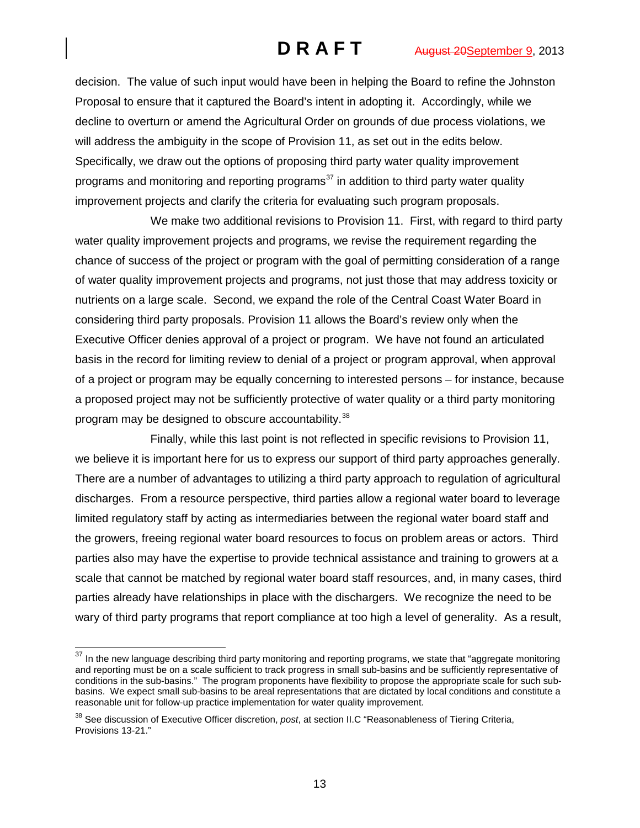decision. The value of such input would have been in helping the Board to refine the Johnston Proposal to ensure that it captured the Board's intent in adopting it. Accordingly, while we decline to overturn or amend the Agricultural Order on grounds of due process violations, we will address the ambiguity in the scope of Provision 11, as set out in the edits below. Specifically, we draw out the options of proposing third party water quality improvement programs and monitoring and reporting programs<sup>[37](#page-12-0)</sup> in addition to third party water quality improvement projects and clarify the criteria for evaluating such program proposals.

We make two additional revisions to Provision 11. First, with regard to third party water quality improvement projects and programs, we revise the requirement regarding the chance of success of the project or program with the goal of permitting consideration of a range of water quality improvement projects and programs, not just those that may address toxicity or nutrients on a large scale. Second, we expand the role of the Central Coast Water Board in considering third party proposals. Provision 11 allows the Board's review only when the Executive Officer denies approval of a project or program. We have not found an articulated basis in the record for limiting review to denial of a project or program approval, when approval of a project or program may be equally concerning to interested persons – for instance, because a proposed project may not be sufficiently protective of water quality or a third party monitoring program may be designed to obscure accountability.<sup>[38](#page-12-1)</sup>

Finally, while this last point is not reflected in specific revisions to Provision 11, we believe it is important here for us to express our support of third party approaches generally. There are a number of advantages to utilizing a third party approach to regulation of agricultural discharges. From a resource perspective, third parties allow a regional water board to leverage limited regulatory staff by acting as intermediaries between the regional water board staff and the growers, freeing regional water board resources to focus on problem areas or actors. Third parties also may have the expertise to provide technical assistance and training to growers at a scale that cannot be matched by regional water board staff resources, and, in many cases, third parties already have relationships in place with the dischargers. We recognize the need to be wary of third party programs that report compliance at too high a level of generality. As a result,

<span id="page-12-0"></span><sup>&</sup>lt;sup>37</sup> In the new language describing third party monitoring and reporting programs, we state that "aggregate monitoring and reporting must be on a scale sufficient to track progress in small sub-basins and be sufficiently representative of conditions in the sub-basins." The program proponents have flexibility to propose the appropriate scale for such subbasins. We expect small sub-basins to be areal representations that are dictated by local conditions and constitute a reasonable unit for follow-up practice implementation for water quality improvement.

<span id="page-12-1"></span><sup>38</sup> See discussion of Executive Officer discretion, *post*, at section II.C "Reasonableness of Tiering Criteria, Provisions 13-21."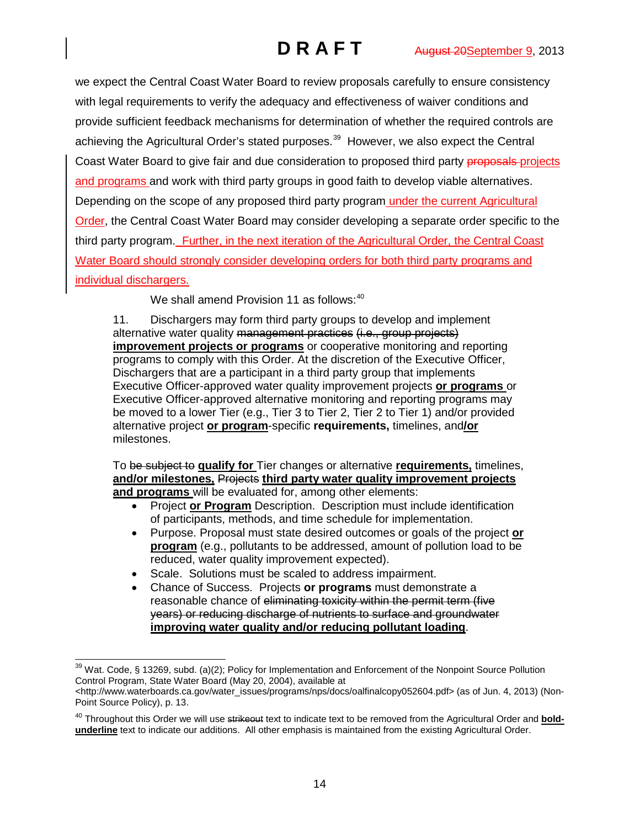we expect the Central Coast Water Board to review proposals carefully to ensure consistency with legal requirements to verify the adequacy and effectiveness of waiver conditions and provide sufficient feedback mechanisms for determination of whether the required controls are achieving the Agricultural Order's stated purposes.<sup>[39](#page-13-0)</sup> However, we also expect the Central Coast Water Board to give fair and due consideration to proposed third party proposals-projects and programs and work with third party groups in good faith to develop viable alternatives. Depending on the scope of any proposed third party program under the current Agricultural Order, the Central Coast Water Board may consider developing a separate order specific to the third party program. Further, in the next iteration of the Agricultural Order, the Central Coast Water Board should strongly consider developing orders for both third party programs and individual dischargers.

We shall amend Provision 11 as follows:<sup>[40](#page-13-1)</sup>

11. Dischargers may form third party groups to develop and implement alternative water quality management practices (i.e., group projects) **improvement projects or programs** or cooperative monitoring and reporting programs to comply with this Order. At the discretion of the Executive Officer, Dischargers that are a participant in a third party group that implements Executive Officer-approved water quality improvement projects **or programs** or Executive Officer-approved alternative monitoring and reporting programs may be moved to a lower Tier (e.g., Tier 3 to Tier 2, Tier 2 to Tier 1) and/or provided alternative project **or program**-specific **requirements,** timelines, and**/or** milestones.

To be subject to **qualify for** Tier changes or alternative **requirements,** timelines, **and/or milestones,** Projects **third party water quality improvement projects and programs** will be evaluated for, among other elements:

- Project **or Program** Description. Description must include identification of participants, methods, and time schedule for implementation.
- Purpose. Proposal must state desired outcomes or goals of the project **or program** (e.g., pollutants to be addressed, amount of pollution load to be reduced, water quality improvement expected).
- Scale. Solutions must be scaled to address impairment.
- Chance of Success. Projects **or programs** must demonstrate a reasonable chance of eliminating toxicity within the permit term (five years) or reducing discharge of nutrients to surface and groundwater **improving water quality and/or reducing pollutant loading**.

<span id="page-13-0"></span> <sup>39</sup> Wat. Code, § 13269, subd. (a)(2); Policy for Implementation and Enforcement of the Nonpoint Source Pollution Control Program, State Water Board (May 20, 2004), available at

[<sup>&</sup>lt;http://www.waterboards.ca.gov/water\\_issues/programs/nps/docs/oalfinalcopy052604.pdf>](http://www.waterboards.ca.gov/water_issues/programs/nps/docs/oalfinalcopy052604.pdf) (as of Jun. 4, 2013) (Non-Point Source Policy), p. 13.

<span id="page-13-1"></span><sup>&</sup>lt;sup>40</sup> Throughout this Order we will use strikeout text to indicate text to be removed from the Agricultural Order and **boldunderline** text to indicate our additions. All other emphasis is maintained from the existing Agricultural Order.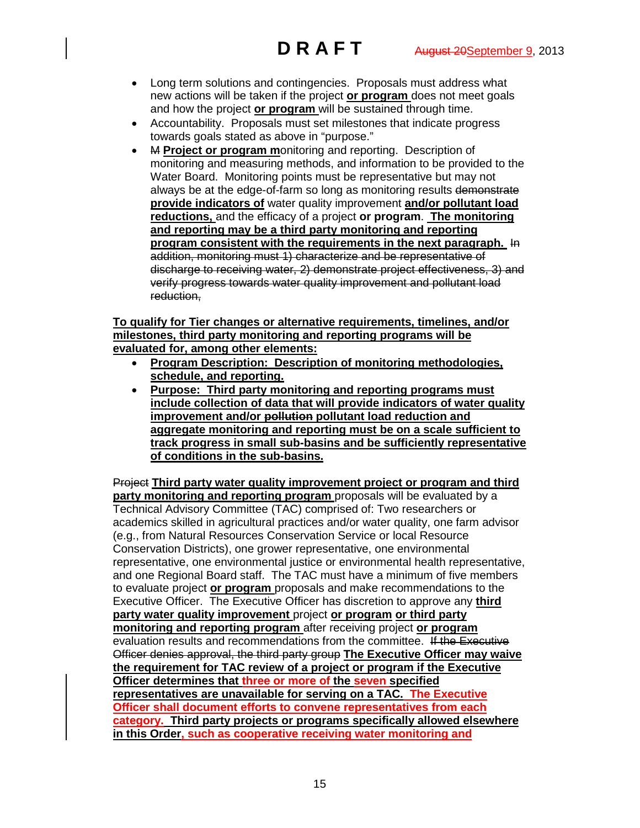- Long term solutions and contingencies. Proposals must address what new actions will be taken if the project **or program** does not meet goals and how the project **or program** will be sustained through time.
- Accountability. Proposals must set milestones that indicate progress towards goals stated as above in "purpose."
- M **Project or program m**onitoring and reporting. Description of monitoring and measuring methods, and information to be provided to the Water Board. Monitoring points must be representative but may not always be at the edge-of-farm so long as monitoring results demonstrate **provide indicators of** water quality improvement **and/or pollutant load reductions,** and the efficacy of a project **or program**. **The monitoring and reporting may be a third party monitoring and reporting program consistent with the requirements in the next paragraph.** In addition, monitoring must 1) characterize and be representative of discharge to receiving water, 2) demonstrate project effectiveness, 3) and verify progress towards water quality improvement and pollutant load reduction,

### **To qualify for Tier changes or alternative requirements, timelines, and/or milestones, third party monitoring and reporting programs will be evaluated for, among other elements:**

- **Program Description: Description of monitoring methodologies, schedule, and reporting.**
- **Purpose: Third party monitoring and reporting programs must include collection of data that will provide indicators of water quality improvement and/or pollution pollutant load reduction and aggregate monitoring and reporting must be on a scale sufficient to track progress in small sub-basins and be sufficiently representative of conditions in the sub-basins.**

Project **Third party water quality improvement project or program and third party monitoring and reporting program** proposals will be evaluated by a Technical Advisory Committee (TAC) comprised of: Two researchers or academics skilled in agricultural practices and/or water quality, one farm advisor (e.g., from Natural Resources Conservation Service or local Resource Conservation Districts), one grower representative, one environmental representative, one environmental justice or environmental health representative, and one Regional Board staff. The TAC must have a minimum of five members to evaluate project **or program** proposals and make recommendations to the Executive Officer. The Executive Officer has discretion to approve any **third party water quality improvement** project **or program or third party monitoring and reporting program** after receiving project **or program**  evaluation results and recommendations from the committee. If the Executive Officer denies approval, the third party group **The Executive Officer may waive the requirement for TAC review of a project or program if the Executive Officer determines that three or more of the seven specified representatives are unavailable for serving on a TAC. The Executive Officer shall document efforts to convene representatives from each category. Third party projects or programs specifically allowed elsewhere in this Order, such as cooperative receiving water monitoring and**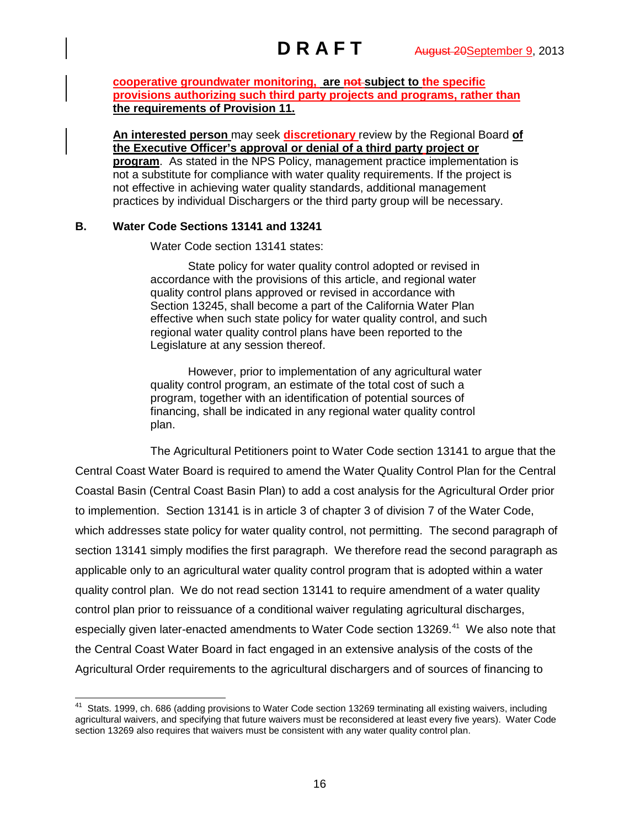**cooperative groundwater monitoring, are not subject to the specific provisions authorizing such third party projects and programs, rather than the requirements of Provision 11.** 

**An interested person** may seek **discretionary** review by the Regional Board **of the Executive Officer's approval or denial of a third party project or program**. As stated in the NPS Policy, management practice implementation is not a substitute for compliance with water quality requirements. If the project is not effective in achieving water quality standards, additional management practices by individual Dischargers or the third party group will be necessary.

## **B. Water Code Sections 13141 and 13241**

Water Code section 13141 states:

State policy for water quality control adopted or revised in accordance with the provisions of this article, and regional water quality control plans approved or revised in accordance with Section 13245, shall become a part of the California Water Plan effective when such state policy for water quality control, and such regional water quality control plans have been reported to the Legislature at any session thereof.

However, prior to implementation of any agricultural water quality control program, an estimate of the total cost of such a program, together with an identification of potential sources of financing, shall be indicated in any regional water quality control plan.

The Agricultural Petitioners point to Water Code section 13141 to argue that the Central Coast Water Board is required to amend the Water Quality Control Plan for the Central Coastal Basin (Central Coast Basin Plan) to add a cost analysis for the Agricultural Order prior to implemention. Section 13141 is in article 3 of chapter 3 of division 7 of the Water Code, which addresses state policy for water quality control, not permitting. The second paragraph of section 13141 simply modifies the first paragraph. We therefore read the second paragraph as applicable only to an agricultural water quality control program that is adopted within a water quality control plan. We do not read section 13141 to require amendment of a water quality control plan prior to reissuance of a conditional waiver regulating agricultural discharges, especially given later-enacted amendments to Water Code section 13269.<sup>41</sup> We also note that the Central Coast Water Board in fact engaged in an extensive analysis of the costs of the Agricultural Order requirements to the agricultural dischargers and of sources of financing to

<span id="page-15-0"></span><sup>&</sup>lt;sup>41</sup> Stats. 1999, ch. 686 (adding provisions to Water Code section 13269 terminating all existing waivers, including agricultural waivers, and specifying that future waivers must be reconsidered at least every five years). Water Code section 13269 also requires that waivers must be consistent with any water quality control plan.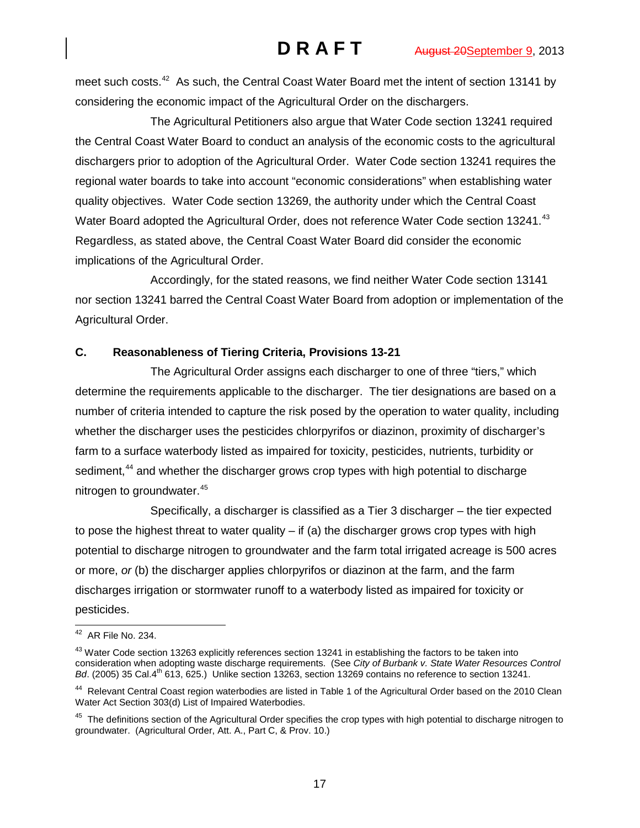meet such costs.<sup>[42](#page-16-0)</sup> As such, the Central Coast Water Board met the intent of section 13141 by considering the economic impact of the Agricultural Order on the dischargers.

The Agricultural Petitioners also argue that Water Code section 13241 required the Central Coast Water Board to conduct an analysis of the economic costs to the agricultural dischargers prior to adoption of the Agricultural Order. Water Code section 13241 requires the regional water boards to take into account "economic considerations" when establishing water quality objectives. Water Code section 13269, the authority under which the Central Coast Water Board adopted the Agricultural Order, does not reference Water Code section 13241.<sup>[43](#page-16-1)</sup> Regardless, as stated above, the Central Coast Water Board did consider the economic implications of the Agricultural Order.

Accordingly, for the stated reasons, we find neither Water Code section 13141 nor section 13241 barred the Central Coast Water Board from adoption or implementation of the Agricultural Order.

# **C. Reasonableness of Tiering Criteria, Provisions 13-21**

The Agricultural Order assigns each discharger to one of three "tiers," which determine the requirements applicable to the discharger. The tier designations are based on a number of criteria intended to capture the risk posed by the operation to water quality, including whether the discharger uses the pesticides chlorpyrifos or diazinon, proximity of discharger's farm to a surface waterbody listed as impaired for toxicity, pesticides, nutrients, turbidity or sediment,<sup>[44](#page-16-2)</sup> and whether the discharger grows crop types with high potential to discharge nitrogen to groundwater.<sup>[45](#page-16-3)</sup>

Specifically, a discharger is classified as a Tier 3 discharger – the tier expected to pose the highest threat to water quality  $-$  if (a) the discharger grows crop types with high potential to discharge nitrogen to groundwater and the farm total irrigated acreage is 500 acres or more, *or* (b) the discharger applies chlorpyrifos or diazinon at the farm, and the farm discharges irrigation or stormwater runoff to a waterbody listed as impaired for toxicity or pesticides.

<span id="page-16-0"></span> <sup>42</sup> AR File No. 234.

<span id="page-16-1"></span><sup>&</sup>lt;sup>43</sup> Water Code section 13263 explicitly references section 13241 in establishing the factors to be taken into consideration when adopting waste discharge requirements. (See *City of Burbank v. State Water Resources Control Bd.* (2005) 35 Cal.4<sup>th</sup> 613, 625.) Unlike section 13263, section 13269 contains no reference to section 13241.

<span id="page-16-2"></span><sup>&</sup>lt;sup>44</sup> Relevant Central Coast region waterbodies are listed in Table 1 of the Agricultural Order based on the 2010 Clean Water Act Section 303(d) List of Impaired Waterbodies.

<span id="page-16-3"></span><sup>&</sup>lt;sup>45</sup> The definitions section of the Agricultural Order specifies the crop types with high potential to discharge nitrogen to groundwater. (Agricultural Order, Att. A., Part C, & Prov. 10.)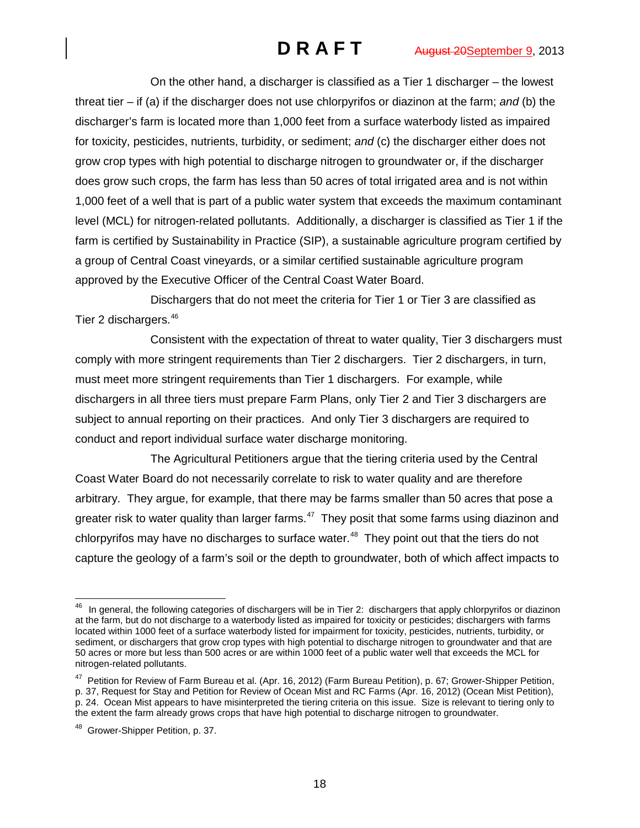On the other hand, a discharger is classified as a Tier 1 discharger – the lowest threat tier – if (a) if the discharger does not use chlorpyrifos or diazinon at the farm; *and* (b) the discharger's farm is located more than 1,000 feet from a surface waterbody listed as impaired for toxicity, pesticides, nutrients, turbidity, or sediment; *and* (c) the discharger either does not grow crop types with high potential to discharge nitrogen to groundwater or, if the discharger does grow such crops, the farm has less than 50 acres of total irrigated area and is not within 1,000 feet of a well that is part of a public water system that exceeds the maximum contaminant level (MCL) for nitrogen-related pollutants. Additionally, a discharger is classified as Tier 1 if the farm is certified by Sustainability in Practice (SIP), a sustainable agriculture program certified by a group of Central Coast vineyards, or a similar certified sustainable agriculture program approved by the Executive Officer of the Central Coast Water Board.

Dischargers that do not meet the criteria for Tier 1 or Tier 3 are classified as Tier 2 dischargers.[46](#page-17-0)

Consistent with the expectation of threat to water quality, Tier 3 dischargers must comply with more stringent requirements than Tier 2 dischargers. Tier 2 dischargers, in turn, must meet more stringent requirements than Tier 1 dischargers. For example, while dischargers in all three tiers must prepare Farm Plans, only Tier 2 and Tier 3 dischargers are subject to annual reporting on their practices. And only Tier 3 dischargers are required to conduct and report individual surface water discharge monitoring.

The Agricultural Petitioners argue that the tiering criteria used by the Central Coast Water Board do not necessarily correlate to risk to water quality and are therefore arbitrary. They argue, for example, that there may be farms smaller than 50 acres that pose a greater risk to water quality than larger farms.<sup>[47](#page-17-1)</sup> They posit that some farms using diazinon and chlorpyrifos may have no discharges to surface water. $48$  They point out that the tiers do not capture the geology of a farm's soil or the depth to groundwater, both of which affect impacts to

<span id="page-17-0"></span>In general, the following categories of dischargers will be in Tier 2: dischargers that apply chlorpyrifos or diazinon at the farm, but do not discharge to a waterbody listed as impaired for toxicity or pesticides; dischargers with farms located within 1000 feet of a surface waterbody listed for impairment for toxicity, pesticides, nutrients, turbidity, or sediment, or dischargers that grow crop types with high potential to discharge nitrogen to groundwater and that are 50 acres or more but less than 500 acres or are within 1000 feet of a public water well that exceeds the MCL for nitrogen-related pollutants.

<span id="page-17-1"></span><sup>&</sup>lt;sup>47</sup> Petition for Review of Farm Bureau et al. (Apr. 16, 2012) (Farm Bureau Petition), p. 67; Grower-Shipper Petition, p. 37, Request for Stay and Petition for Review of Ocean Mist and RC Farms (Apr. 16, 2012) (Ocean Mist Petition), p. 24. Ocean Mist appears to have misinterpreted the tiering criteria on this issue. Size is relevant to tiering only to the extent the farm already grows crops that have high potential to discharge nitrogen to groundwater.

<span id="page-17-2"></span><sup>&</sup>lt;sup>48</sup> Grower-Shipper Petition, p. 37.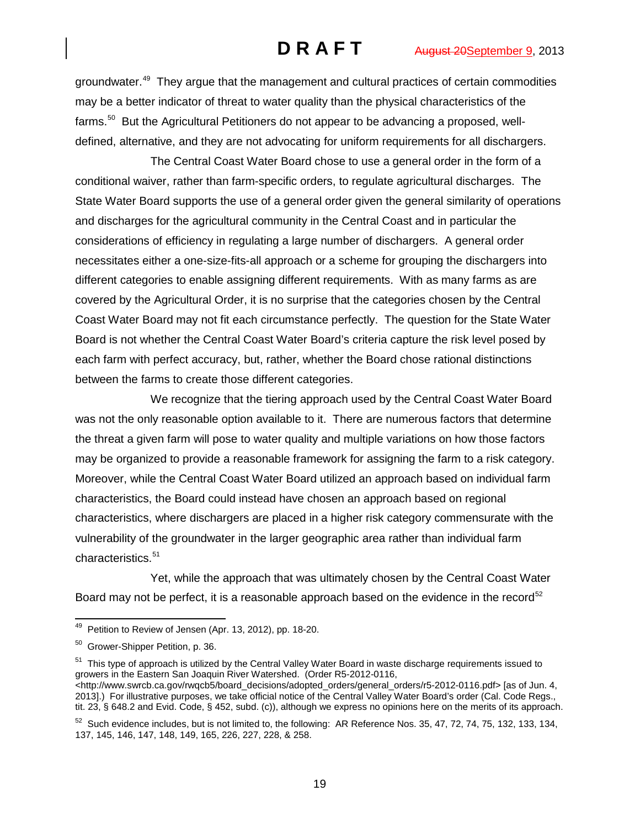groundwater.<sup>49</sup> They argue that the management and cultural practices of certain commodities may be a better indicator of threat to water quality than the physical characteristics of the farms.<sup>[50](#page-18-1)</sup> But the Agricultural Petitioners do not appear to be advancing a proposed, welldefined, alternative, and they are not advocating for uniform requirements for all dischargers.

The Central Coast Water Board chose to use a general order in the form of a conditional waiver, rather than farm-specific orders, to regulate agricultural discharges. The State Water Board supports the use of a general order given the general similarity of operations and discharges for the agricultural community in the Central Coast and in particular the considerations of efficiency in regulating a large number of dischargers. A general order necessitates either a one-size-fits-all approach or a scheme for grouping the dischargers into different categories to enable assigning different requirements. With as many farms as are covered by the Agricultural Order, it is no surprise that the categories chosen by the Central Coast Water Board may not fit each circumstance perfectly. The question for the State Water Board is not whether the Central Coast Water Board's criteria capture the risk level posed by each farm with perfect accuracy, but, rather, whether the Board chose rational distinctions between the farms to create those different categories.

We recognize that the tiering approach used by the Central Coast Water Board was not the only reasonable option available to it. There are numerous factors that determine the threat a given farm will pose to water quality and multiple variations on how those factors may be organized to provide a reasonable framework for assigning the farm to a risk category. Moreover, while the Central Coast Water Board utilized an approach based on individual farm characteristics, the Board could instead have chosen an approach based on regional characteristics, where dischargers are placed in a higher risk category commensurate with the vulnerability of the groundwater in the larger geographic area rather than individual farm characteristics.<sup>[51](#page-18-2)</sup>

Yet, while the approach that was ultimately chosen by the Central Coast Water Board may not be perfect, it is a reasonable approach based on the evidence in the record<sup>[52](#page-18-3)</sup>

<span id="page-18-2"></span><sup>51</sup> This type of approach is utilized by the Central Valley Water Board in waste discharge requirements issued to growers in the Eastern San Joaquin River Watershed. (Order R5-2012-0116, <http://www.swrcb.ca.gov/rwqcb5/board\_decisions/adopted\_orders/general\_orders/r5-2012-0116.pdf> [as of Jun. 4, 2013].) For illustrative purposes, we take official notice of the Central Valley Water Board's order (Cal. Code Regs., tit. 23, § 648.2 and Evid. Code, § 452, subd. (c)), although we express no opinions here on the merits of its approach.

<span id="page-18-0"></span><sup>&</sup>lt;sup>49</sup> Petition to Review of Jensen (Apr. 13, 2012), pp. 18-20.

<span id="page-18-1"></span><sup>50</sup> Grower-Shipper Petition, p. 36.

<span id="page-18-3"></span> $52$  Such evidence includes, but is not limited to, the following: AR Reference Nos. 35, 47, 72, 74, 75, 132, 133, 134, 137, 145, 146, 147, 148, 149, 165, 226, 227, 228, & 258.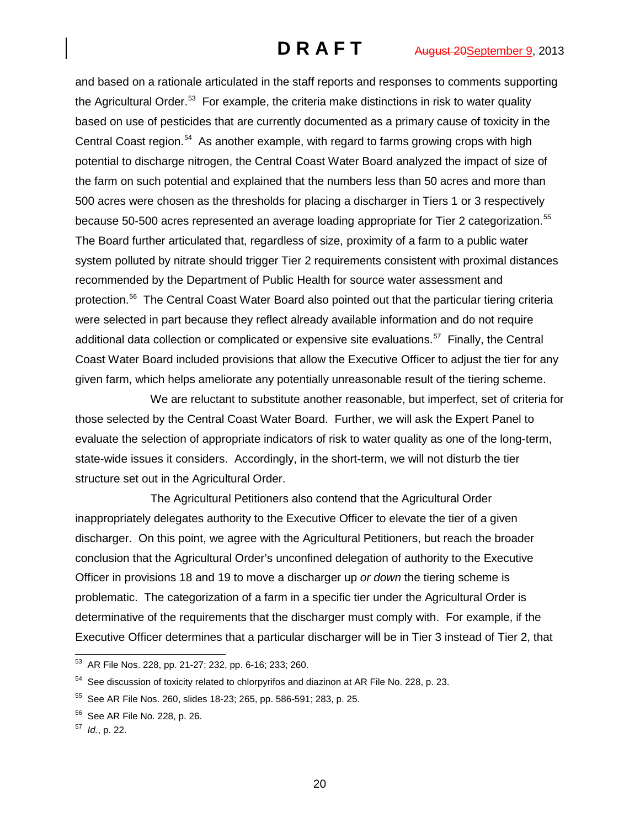and based on a rationale articulated in the staff reports and responses to comments supporting the Agricultural Order.<sup>[53](#page-19-0)</sup> For example, the criteria make distinctions in risk to water quality based on use of pesticides that are currently documented as a primary cause of toxicity in the Central Coast region.<sup>54</sup> As another example, with regard to farms growing crops with high potential to discharge nitrogen, the Central Coast Water Board analyzed the impact of size of the farm on such potential and explained that the numbers less than 50 acres and more than 500 acres were chosen as the thresholds for placing a discharger in Tiers 1 or 3 respectively because 50-500 acres represented an average loading appropriate for Tier 2 categorization. [55](#page-19-2) The Board further articulated that, regardless of size, proximity of a farm to a public water system polluted by nitrate should trigger Tier 2 requirements consistent with proximal distances recommended by the Department of Public Health for source water assessment and protection.[56](#page-19-3) The Central Coast Water Board also pointed out that the particular tiering criteria were selected in part because they reflect already available information and do not require additional data collection or complicated or expensive site evaluations.<sup>[57](#page-19-4)</sup> Finally, the Central Coast Water Board included provisions that allow the Executive Officer to adjust the tier for any given farm, which helps ameliorate any potentially unreasonable result of the tiering scheme.

We are reluctant to substitute another reasonable, but imperfect, set of criteria for those selected by the Central Coast Water Board. Further, we will ask the Expert Panel to evaluate the selection of appropriate indicators of risk to water quality as one of the long-term, state-wide issues it considers. Accordingly, in the short-term, we will not disturb the tier structure set out in the Agricultural Order.

The Agricultural Petitioners also contend that the Agricultural Order inappropriately delegates authority to the Executive Officer to elevate the tier of a given discharger. On this point, we agree with the Agricultural Petitioners, but reach the broader conclusion that the Agricultural Order's unconfined delegation of authority to the Executive Officer in provisions 18 and 19 to move a discharger up *or down* the tiering scheme is problematic. The categorization of a farm in a specific tier under the Agricultural Order is determinative of the requirements that the discharger must comply with. For example, if the Executive Officer determines that a particular discharger will be in Tier 3 instead of Tier 2, that

<span id="page-19-0"></span> <sup>53</sup> AR File Nos. 228, pp. 21-27; 232, pp. 6-16; 233; 260.

<span id="page-19-1"></span><sup>&</sup>lt;sup>54</sup> See discussion of toxicity related to chlorpyrifos and diazinon at AR File No. 228, p. 23.

<span id="page-19-2"></span> $55$  See AR File Nos. 260, slides 18-23; 265, pp. 586-591; 283, p. 25.

<span id="page-19-3"></span><sup>56</sup> See AR File No. 228, p. 26.

<span id="page-19-4"></span><sup>57</sup> *Id.*, p. 22.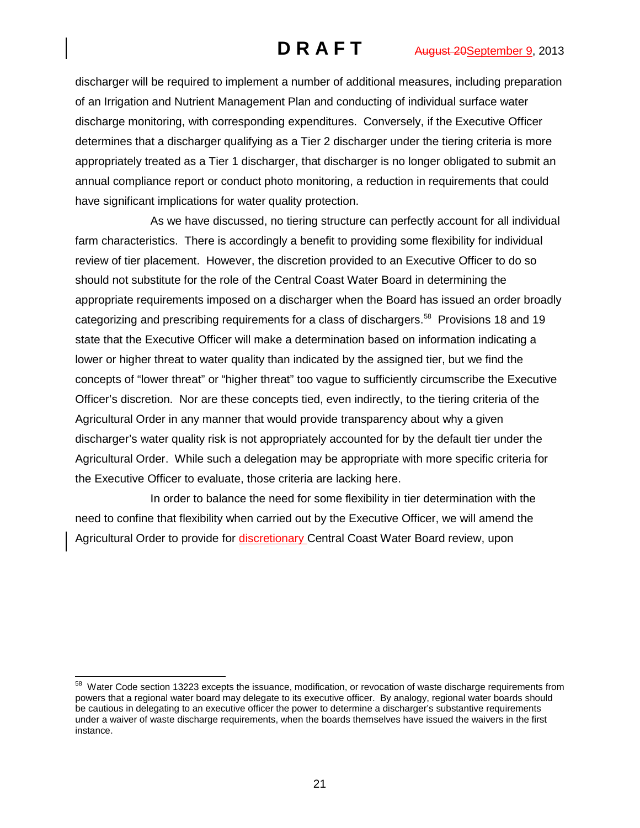discharger will be required to implement a number of additional measures, including preparation of an Irrigation and Nutrient Management Plan and conducting of individual surface water discharge monitoring, with corresponding expenditures. Conversely, if the Executive Officer determines that a discharger qualifying as a Tier 2 discharger under the tiering criteria is more appropriately treated as a Tier 1 discharger, that discharger is no longer obligated to submit an annual compliance report or conduct photo monitoring, a reduction in requirements that could have significant implications for water quality protection.

As we have discussed, no tiering structure can perfectly account for all individual farm characteristics. There is accordingly a benefit to providing some flexibility for individual review of tier placement. However, the discretion provided to an Executive Officer to do so should not substitute for the role of the Central Coast Water Board in determining the appropriate requirements imposed on a discharger when the Board has issued an order broadly categorizing and prescribing requirements for a class of dischargers.<sup>58</sup> Provisions 18 and 19 state that the Executive Officer will make a determination based on information indicating a lower or higher threat to water quality than indicated by the assigned tier, but we find the concepts of "lower threat" or "higher threat" too vague to sufficiently circumscribe the Executive Officer's discretion. Nor are these concepts tied, even indirectly, to the tiering criteria of the Agricultural Order in any manner that would provide transparency about why a given discharger's water quality risk is not appropriately accounted for by the default tier under the Agricultural Order. While such a delegation may be appropriate with more specific criteria for the Executive Officer to evaluate, those criteria are lacking here.

In order to balance the need for some flexibility in tier determination with the need to confine that flexibility when carried out by the Executive Officer, we will amend the Agricultural Order to provide for discretionary Central Coast Water Board review, upon

<span id="page-20-0"></span><sup>&</sup>lt;sup>58</sup> Water Code section 13223 excepts the issuance, modification, or revocation of waste discharge requirements from powers that a regional water board may delegate to its executive officer. By analogy, regional water boards should be cautious in delegating to an executive officer the power to determine a discharger's substantive requirements under a waiver of waste discharge requirements, when the boards themselves have issued the waivers in the first instance.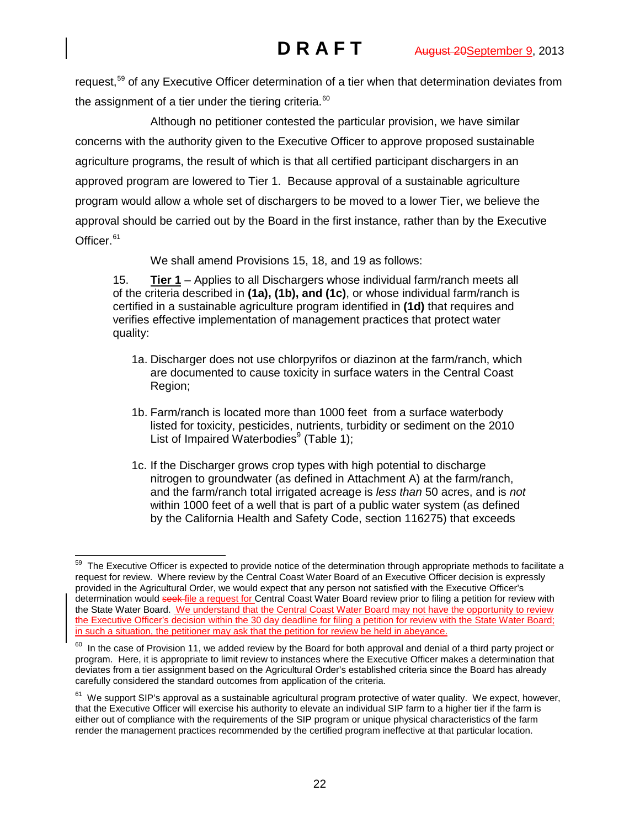request,<sup>[59](#page-21-0)</sup> of any Executive Officer determination of a tier when that determination deviates from the assignment of a tier under the tiering criteria.<sup>[60](#page-21-1)</sup>

Although no petitioner contested the particular provision, we have similar concerns with the authority given to the Executive Officer to approve proposed sustainable agriculture programs, the result of which is that all certified participant dischargers in an approved program are lowered to Tier 1. Because approval of a sustainable agriculture program would allow a whole set of dischargers to be moved to a lower Tier, we believe the approval should be carried out by the Board in the first instance, rather than by the Executive Officer.<sup>[61](#page-21-2)</sup>

We shall amend Provisions 15, 18, and 19 as follows:

15. **Tier 1** – Applies to all Dischargers whose individual farm/ranch meets all of the criteria described in **(1a), (1b), and (1c)**, or whose individual farm/ranch is certified in a sustainable agriculture program identified in **(1d)** that requires and verifies effective implementation of management practices that protect water quality:

- 1a. Discharger does not use chlorpyrifos or diazinon at the farm/ranch, which are documented to cause toxicity in surface waters in the Central Coast Region;
- 1b. Farm/ranch is located more than 1000 feet from a surface waterbody listed for toxicity, pesticides, nutrients, turbidity or sediment on the 2010 List of Impaired Waterbodies $9$  (Table 1):
- 1c. If the Discharger grows crop types with high potential to discharge nitrogen to groundwater (as defined in Attachment A) at the farm/ranch, and the farm/ranch total irrigated acreage is *less than* 50 acres, and is *not*  within 1000 feet of a well that is part of a public water system (as defined by the California Health and Safety Code, section 116275) that exceeds

<span id="page-21-0"></span><sup>&</sup>lt;sup>59</sup> The Executive Officer is expected to provide notice of the determination through appropriate methods to facilitate a request for review. Where review by the Central Coast Water Board of an Executive Officer decision is expressly provided in the Agricultural Order, we would expect that any person not satisfied with the Executive Officer's determination would seek-file a request for Central Coast Water Board review prior to filing a petition for review with the State Water Board. We understand that the Central Coast Water Board may not have the opportunity to review the Executive Officer's decision within the 30 day deadline for filing a petition for review with the State Water Board; in such a situation, the petitioner may ask that the petition for review be held in abeyance.

<span id="page-21-1"></span> $60$  In the case of Provision 11, we added review by the Board for both approval and denial of a third party project or program. Here, it is appropriate to limit review to instances where the Executive Officer makes a determination that deviates from a tier assignment based on the Agricultural Order's established criteria since the Board has already carefully considered the standard outcomes from application of the criteria.

<span id="page-21-2"></span> $61$  We support SIP's approval as a sustainable agricultural program protective of water quality. We expect, however, that the Executive Officer will exercise his authority to elevate an individual SIP farm to a higher tier if the farm is either out of compliance with the requirements of the SIP program or unique physical characteristics of the farm render the management practices recommended by the certified program ineffective at that particular location.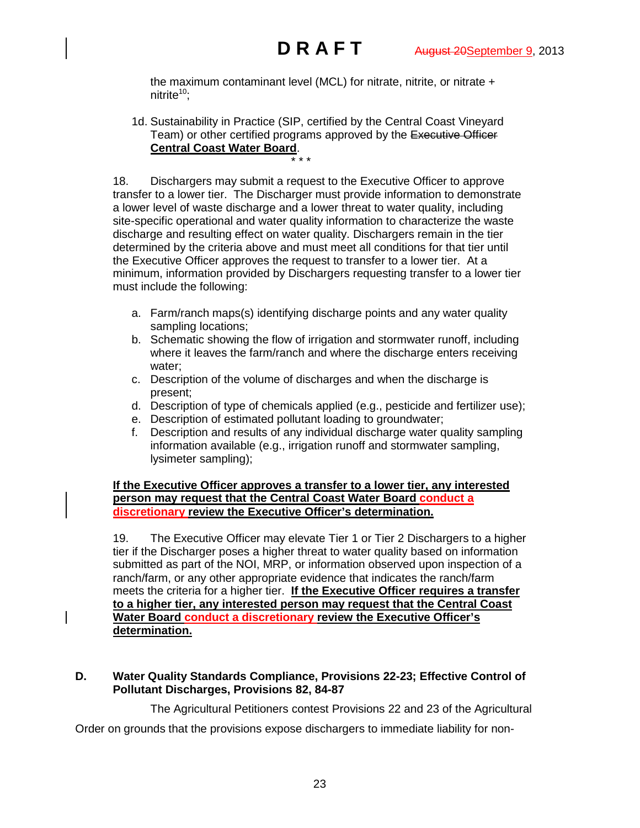the maximum contaminant level (MCL) for nitrate, nitrite, or nitrate + nitrite $10$ :

1d. Sustainability in Practice (SIP, certified by the Central Coast Vineyard Team) or other certified programs approved by the Executive Officer **Central Coast Water Board**. \* \* \*

18. Dischargers may submit a request to the Executive Officer to approve transfer to a lower tier. The Discharger must provide information to demonstrate a lower level of waste discharge and a lower threat to water quality, including site-specific operational and water quality information to characterize the waste discharge and resulting effect on water quality. Dischargers remain in the tier determined by the criteria above and must meet all conditions for that tier until the Executive Officer approves the request to transfer to a lower tier. At a minimum, information provided by Dischargers requesting transfer to a lower tier must include the following:

- a. Farm/ranch maps(s) identifying discharge points and any water quality sampling locations;
- b. Schematic showing the flow of irrigation and stormwater runoff, including where it leaves the farm/ranch and where the discharge enters receiving water;
- c. Description of the volume of discharges and when the discharge is present;
- d. Description of type of chemicals applied (e.g., pesticide and fertilizer use);
- e. Description of estimated pollutant loading to groundwater;
- f. Description and results of any individual discharge water quality sampling information available (e.g., irrigation runoff and stormwater sampling, lysimeter sampling);

**If the Executive Officer approves a transfer to a lower tier, any interested person may request that the Central Coast Water Board conduct a discretionary review the Executive Officer's determination.**

19. The Executive Officer may elevate Tier 1 or Tier 2 Dischargers to a higher tier if the Discharger poses a higher threat to water quality based on information submitted as part of the NOI, MRP, or information observed upon inspection of a ranch/farm, or any other appropriate evidence that indicates the ranch/farm meets the criteria for a higher tier. **If the Executive Officer requires a transfer to a higher tier, any interested person may request that the Central Coast Water Board conduct a discretionary review the Executive Officer's determination.**

# **D. Water Quality Standards Compliance, Provisions 22-23; Effective Control of Pollutant Discharges, Provisions 82, 84-87**

The Agricultural Petitioners contest Provisions 22 and 23 of the Agricultural

Order on grounds that the provisions expose dischargers to immediate liability for non-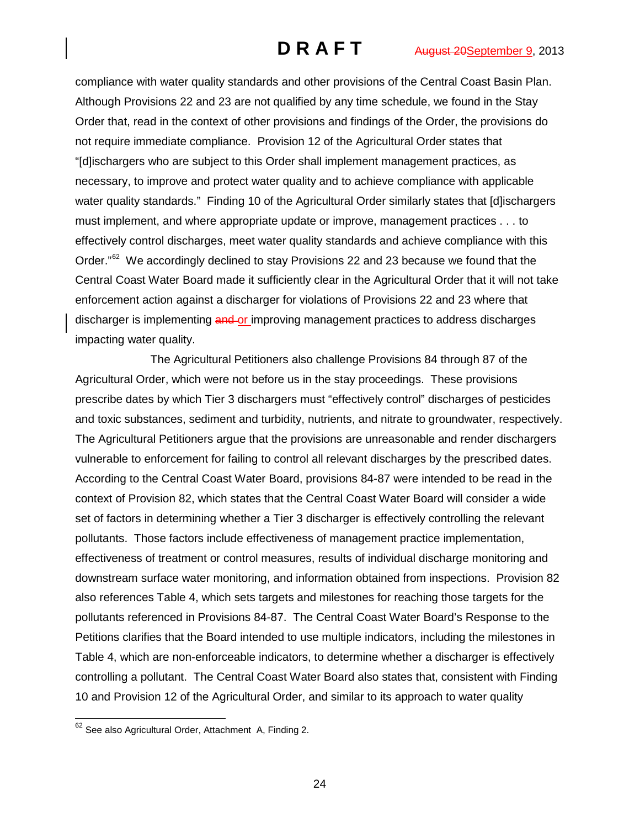compliance with water quality standards and other provisions of the Central Coast Basin Plan. Although Provisions 22 and 23 are not qualified by any time schedule, we found in the Stay Order that, read in the context of other provisions and findings of the Order, the provisions do not require immediate compliance. Provision 12 of the Agricultural Order states that "[d]ischargers who are subject to this Order shall implement management practices, as necessary, to improve and protect water quality and to achieve compliance with applicable water quality standards." Finding 10 of the Agricultural Order similarly states that [d]ischargers must implement, and where appropriate update or improve, management practices . . . to effectively control discharges, meet water quality standards and achieve compliance with this Order. $^{\prime\prime}$ <sup>62</sup> We accordingly declined to stay Provisions 22 and 23 because we found that the Central Coast Water Board made it sufficiently clear in the Agricultural Order that it will not take enforcement action against a discharger for violations of Provisions 22 and 23 where that discharger is implementing and or improving management practices to address discharges impacting water quality.

The Agricultural Petitioners also challenge Provisions 84 through 87 of the Agricultural Order, which were not before us in the stay proceedings. These provisions prescribe dates by which Tier 3 dischargers must "effectively control" discharges of pesticides and toxic substances, sediment and turbidity, nutrients, and nitrate to groundwater, respectively. The Agricultural Petitioners argue that the provisions are unreasonable and render dischargers vulnerable to enforcement for failing to control all relevant discharges by the prescribed dates. According to the Central Coast Water Board, provisions 84-87 were intended to be read in the context of Provision 82, which states that the Central Coast Water Board will consider a wide set of factors in determining whether a Tier 3 discharger is effectively controlling the relevant pollutants. Those factors include effectiveness of management practice implementation, effectiveness of treatment or control measures, results of individual discharge monitoring and downstream surface water monitoring, and information obtained from inspections. Provision 82 also references Table 4, which sets targets and milestones for reaching those targets for the pollutants referenced in Provisions 84-87. The Central Coast Water Board's Response to the Petitions clarifies that the Board intended to use multiple indicators, including the milestones in Table 4, which are non-enforceable indicators, to determine whether a discharger is effectively controlling a pollutant. The Central Coast Water Board also states that, consistent with Finding 10 and Provision 12 of the Agricultural Order, and similar to its approach to water quality

<span id="page-23-0"></span><sup>&</sup>lt;sup>62</sup> See also Agricultural Order, Attachment A, Finding 2.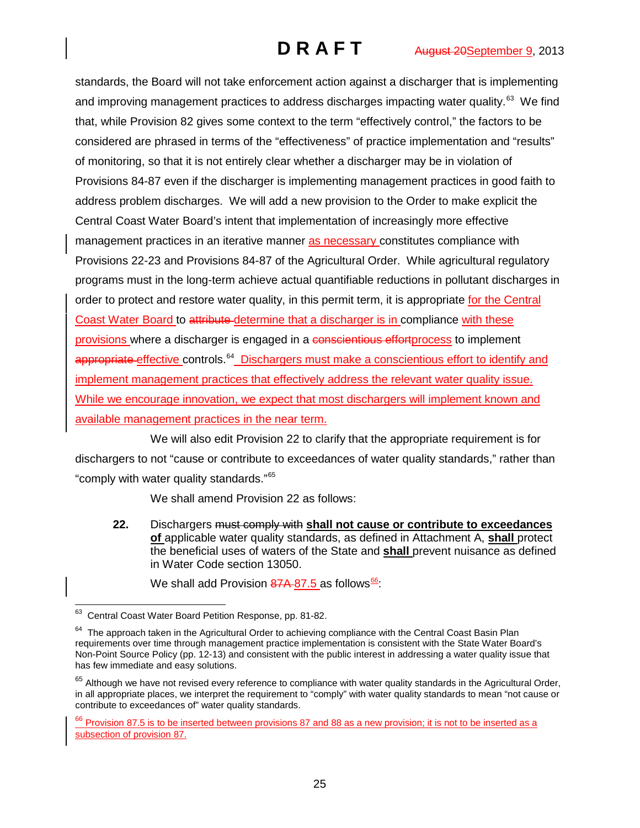standards, the Board will not take enforcement action against a discharger that is implementing and improving management practices to address discharges impacting water quality. $^{63}$  We find that, while Provision 82 gives some context to the term "effectively control," the factors to be considered are phrased in terms of the "effectiveness" of practice implementation and "results" of monitoring, so that it is not entirely clear whether a discharger may be in violation of Provisions 84-87 even if the discharger is implementing management practices in good faith to address problem discharges. We will add a new provision to the Order to make explicit the Central Coast Water Board's intent that implementation of increasingly more effective management practices in an iterative manner as necessary constitutes compliance with Provisions 22-23 and Provisions 84-87 of the Agricultural Order. While agricultural regulatory programs must in the long-term achieve actual quantifiable reductions in pollutant discharges in order to protect and restore water quality, in this permit term, it is appropriate for the Central Coast Water Board to attribute determine that a discharger is in compliance with these provisions where a discharger is engaged in a conscientious effortprocess to implement appropriate effective controls.<sup>[64](#page-24-1)</sup> Dischargers must make a conscientious effort to identify and implement management practices that effectively address the relevant water quality issue. While we encourage innovation, we expect that most dischargers will implement known and available management practices in the near term.

We will also edit Provision 22 to clarify that the appropriate requirement is for dischargers to not "cause or contribute to exceedances of water quality standards," rather than "comply with water quality standards."[65](#page-24-2)

We shall amend Provision 22 as follows:

**22.** Dischargers must comply with **shall not cause or contribute to exceedances of** applicable water quality standards, as defined in Attachment A, **shall** protect the beneficial uses of waters of the State and **shall** prevent nuisance as defined in Water Code section 13050.

We shall add Provision  $87A-87.5$  as follows<sup>[66](#page-24-3)</sup>:

<span id="page-24-0"></span><sup>&</sup>lt;sup>63</sup> Central Coast Water Board Petition Response, pp. 81-82.

<span id="page-24-1"></span><sup>&</sup>lt;sup>64</sup> The approach taken in the Agricultural Order to achieving compliance with the Central Coast Basin Plan requirements over time through management practice implementation is consistent with the State Water Board's Non-Point Source Policy (pp. 12-13) and consistent with the public interest in addressing a water quality issue that has few immediate and easy solutions.

<span id="page-24-2"></span> $65$  Although we have not revised every reference to compliance with water quality standards in the Agricultural Order, in all appropriate places, we interpret the requirement to "comply" with water quality standards to mean "not cause or contribute to exceedances of" water quality standards.

<span id="page-24-3"></span><sup>&</sup>lt;sup>66</sup> Provision 8<u>7.5 is to be inserted between provisions 87 and 88 as a new provision; it is not to be inserted as a</u> subsection of provision 87.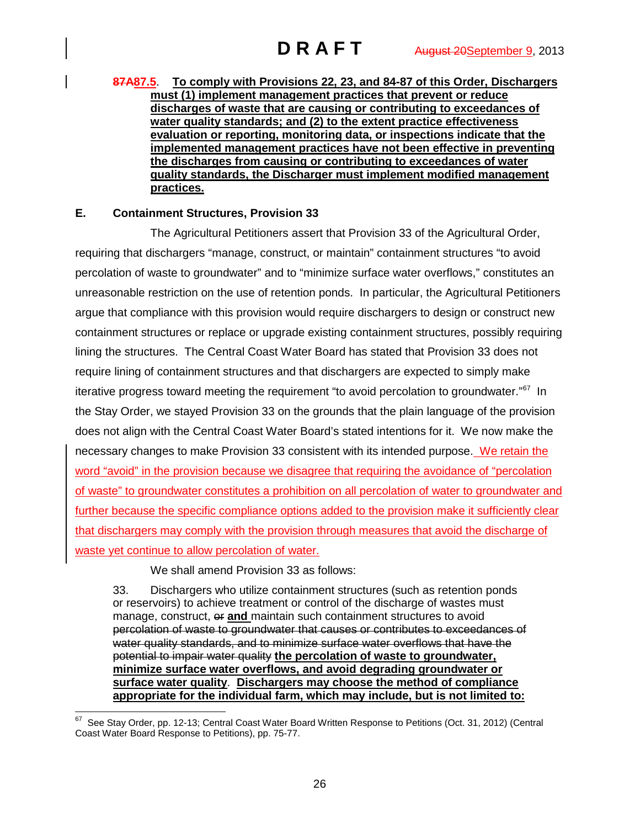**87A87.5**. **To comply with Provisions 22, 23, and 84-87 of this Order, Dischargers must (1) implement management practices that prevent or reduce discharges of waste that are causing or contributing to exceedances of water quality standards; and (2) to the extent practice effectiveness evaluation or reporting, monitoring data, or inspections indicate that the implemented management practices have not been effective in preventing the discharges from causing or contributing to exceedances of water quality standards, the Discharger must implement modified management practices.**

# **E. Containment Structures, Provision 33**

The Agricultural Petitioners assert that Provision 33 of the Agricultural Order, requiring that dischargers "manage, construct, or maintain" containment structures "to avoid percolation of waste to groundwater" and to "minimize surface water overflows," constitutes an unreasonable restriction on the use of retention ponds. In particular, the Agricultural Petitioners argue that compliance with this provision would require dischargers to design or construct new containment structures or replace or upgrade existing containment structures, possibly requiring lining the structures. The Central Coast Water Board has stated that Provision 33 does not require lining of containment structures and that dischargers are expected to simply make iterative progress toward meeting the requirement "to avoid percolation to groundwater."<sup>67</sup> In the Stay Order, we stayed Provision 33 on the grounds that the plain language of the provision does not align with the Central Coast Water Board's stated intentions for it. We now make the necessary changes to make Provision 33 consistent with its intended purpose. We retain the word "avoid" in the provision because we disagree that requiring the avoidance of "percolation of waste" to groundwater constitutes a prohibition on all percolation of water to groundwater and further because the specific compliance options added to the provision make it sufficiently clear that dischargers may comply with the provision through measures that avoid the discharge of waste yet continue to allow percolation of water.

We shall amend Provision 33 as follows:

33. Dischargers who utilize containment structures (such as retention ponds or reservoirs) to achieve treatment or control of the discharge of wastes must manage, construct, or **and** maintain such containment structures to avoid percolation of waste to groundwater that causes or contributes to exceedances of water quality standards, and to minimize surface water overflows that have the potential to impair water quality **the percolation of waste to groundwater, minimize surface water overflows, and avoid degrading groundwater or surface water quality**. **Dischargers may choose the method of compliance appropriate for the individual farm, which may include, but is not limited to:**

<span id="page-25-0"></span> $67$  See Stay Order, pp. 12-13; Central Coast Water Board Written Response to Petitions (Oct. 31, 2012) (Central Coast Water Board Response to Petitions), pp. 75-77.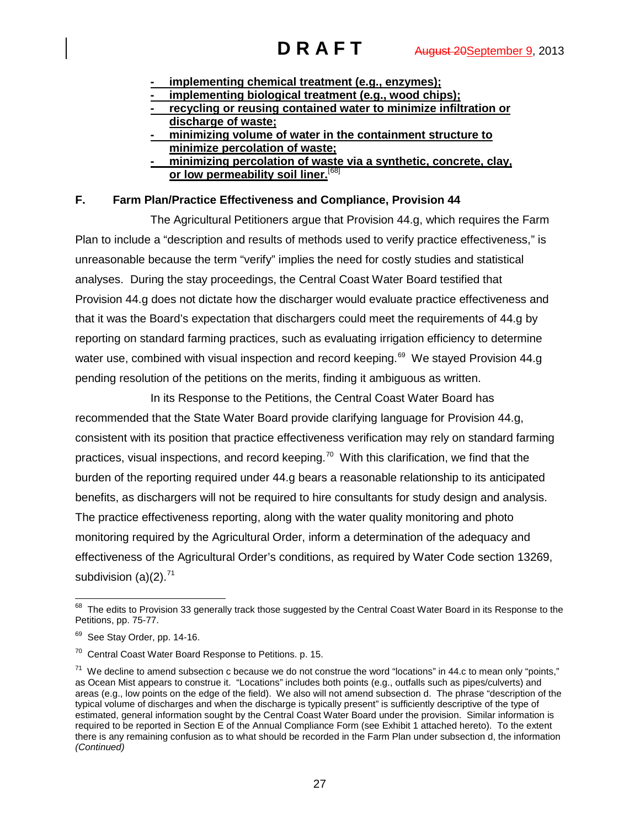- **- implementing chemical treatment (e.g., enzymes);**
- **- implementing biological treatment (e.g., wood chips);**
- **- recycling or reusing contained water to minimize infiltration or discharge of waste;**
- **- minimizing volume of water in the containment structure to minimize percolation of waste;**
- **- minimizing percolation of waste via a synthetic, concrete, clay, or low permeability soil liner.** [[68\]](#page-26-0)

# **F. Farm Plan/Practice Effectiveness and Compliance, Provision 44**

The Agricultural Petitioners argue that Provision 44.g, which requires the Farm Plan to include a "description and results of methods used to verify practice effectiveness," is unreasonable because the term "verify" implies the need for costly studies and statistical analyses. During the stay proceedings, the Central Coast Water Board testified that Provision 44.g does not dictate how the discharger would evaluate practice effectiveness and that it was the Board's expectation that dischargers could meet the requirements of 44.g by reporting on standard farming practices, such as evaluating irrigation efficiency to determine water use, combined with visual inspection and record keeping.<sup>[69](#page-26-1)</sup> We stayed Provision 44.g pending resolution of the petitions on the merits, finding it ambiguous as written.

In its Response to the Petitions, the Central Coast Water Board has recommended that the State Water Board provide clarifying language for Provision 44.g, consistent with its position that practice effectiveness verification may rely on standard farming practices, visual inspections, and record keeping.<sup>[70](#page-26-2)</sup> With this clarification, we find that the burden of the reporting required under 44.g bears a reasonable relationship to its anticipated benefits, as dischargers will not be required to hire consultants for study design and analysis. The practice effectiveness reporting, along with the water quality monitoring and photo monitoring required by the Agricultural Order, inform a determination of the adequacy and effectiveness of the Agricultural Order's conditions, as required by Water Code section 13269, subdivision  $(a)(2)$ .<sup>[71](#page-26-3)</sup>

<span id="page-26-0"></span><sup>&</sup>lt;sup>68</sup> The edits to Provision 33 generally track those suggested by the Central Coast Water Board in its Response to the Petitions, pp. 75-77.

<span id="page-26-1"></span><sup>&</sup>lt;sup>69</sup> See Stay Order, pp. 14-16.

<span id="page-26-2"></span><sup>70</sup> Central Coast Water Board Response to Petitions. p. 15.

<span id="page-26-3"></span> $71$  We decline to amend subsection c because we do not construe the word "locations" in 44.c to mean only "points," as Ocean Mist appears to construe it. "Locations" includes both points (e.g., outfalls such as pipes/culverts) and areas (e.g., low points on the edge of the field). We also will not amend subsection d. The phrase "description of the typical volume of discharges and when the discharge is typically present" is sufficiently descriptive of the type of estimated, general information sought by the Central Coast Water Board under the provision. Similar information is required to be reported in Section E of the Annual Compliance Form (see Exhibit 1 attached hereto). To the extent there is any remaining confusion as to what should be recorded in the Farm Plan under subsection d, the information *(Continued)*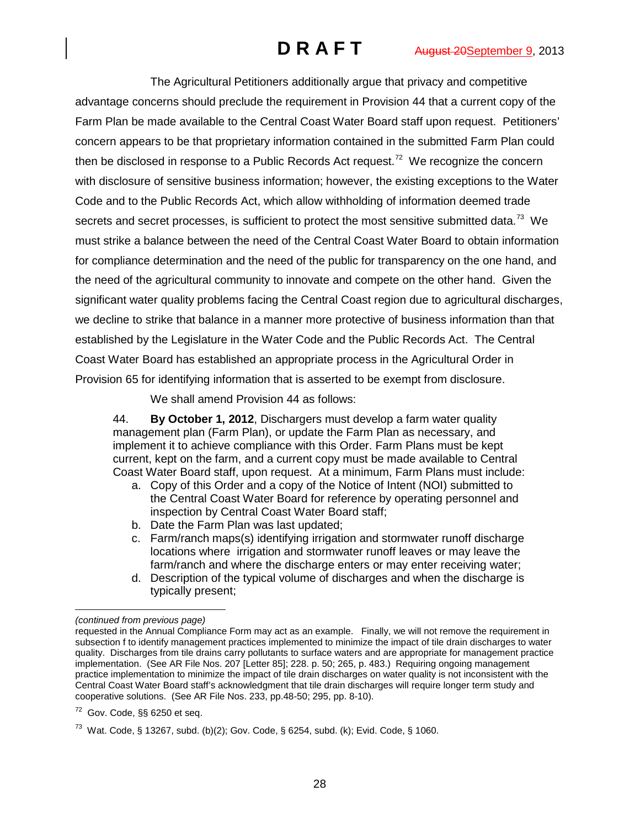The Agricultural Petitioners additionally argue that privacy and competitive advantage concerns should preclude the requirement in Provision 44 that a current copy of the Farm Plan be made available to the Central Coast Water Board staff upon request. Petitioners' concern appears to be that proprietary information contained in the submitted Farm Plan could then be disclosed in response to a Public Records Act request.<sup>[72](#page-27-0)</sup> We recognize the concern with disclosure of sensitive business information; however, the existing exceptions to the Water Code and to the Public Records Act, which allow withholding of information deemed trade secrets and secret processes, is sufficient to protect the most sensitive submitted data.<sup>73</sup> We must strike a balance between the need of the Central Coast Water Board to obtain information for compliance determination and the need of the public for transparency on the one hand, and the need of the agricultural community to innovate and compete on the other hand. Given the significant water quality problems facing the Central Coast region due to agricultural discharges, we decline to strike that balance in a manner more protective of business information than that established by the Legislature in the Water Code and the Public Records Act. The Central Coast Water Board has established an appropriate process in the Agricultural Order in Provision 65 for identifying information that is asserted to be exempt from disclosure.

We shall amend Provision 44 as follows:

44. **By October 1, 2012**, Dischargers must develop a farm water quality management plan (Farm Plan), or update the Farm Plan as necessary, and implement it to achieve compliance with this Order. Farm Plans must be kept current, kept on the farm, and a current copy must be made available to Central Coast Water Board staff, upon request. At a minimum, Farm Plans must include:

- a. Copy of this Order and a copy of the Notice of Intent (NOI) submitted to the Central Coast Water Board for reference by operating personnel and inspection by Central Coast Water Board staff;
- b. Date the Farm Plan was last updated;
- c. Farm/ranch maps(s) identifying irrigation and stormwater runoff discharge locations where irrigation and stormwater runoff leaves or may leave the farm/ranch and where the discharge enters or may enter receiving water;
- d. Description of the typical volume of discharges and when the discharge is typically present;

 $\ddot{ }$ *(continued from previous page)*

requested in the Annual Compliance Form may act as an example. Finally, we will not remove the requirement in subsection f to identify management practices implemented to minimize the impact of tile drain discharges to water quality. Discharges from tile drains carry pollutants to surface waters and are appropriate for management practice implementation. (See AR File Nos. 207 [Letter 85]; 228. p. 50; 265, p. 483.) Requiring ongoing management practice implementation to minimize the impact of tile drain discharges on water quality is not inconsistent with the Central Coast Water Board staff's acknowledgment that tile drain discharges will require longer term study and cooperative solutions. (See AR File Nos. 233, pp.48-50; 295, pp. 8-10).

<span id="page-27-0"></span> $72$  Gov. Code, §§ 6250 et seq.

<span id="page-27-1"></span><sup>&</sup>lt;sup>73</sup> Wat. Code, § 13267, subd. (b)(2); Gov. Code, § 6254, subd. (k); Evid. Code, § 1060.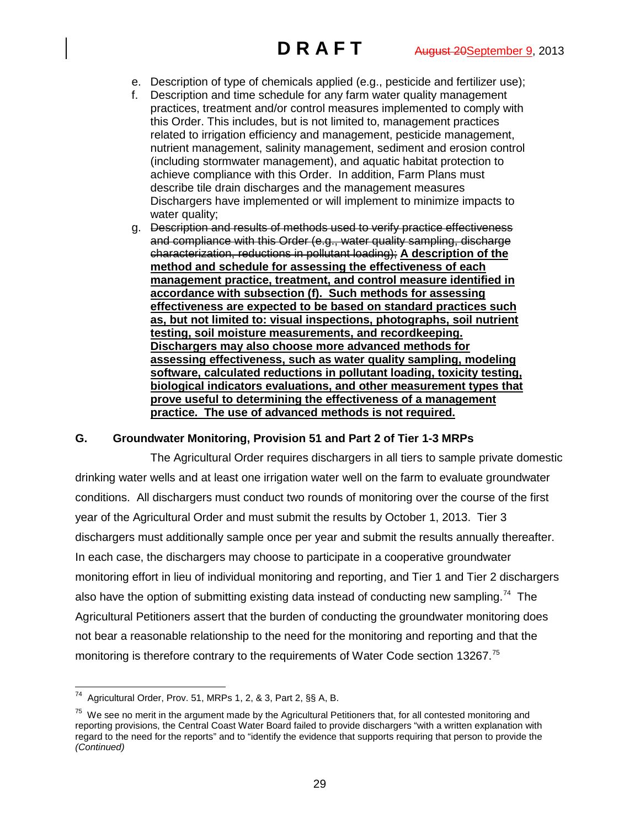- e. Description of type of chemicals applied (e.g., pesticide and fertilizer use);
- f. Description and time schedule for any farm water quality management practices, treatment and/or control measures implemented to comply with this Order. This includes, but is not limited to, management practices related to irrigation efficiency and management, pesticide management, nutrient management, salinity management, sediment and erosion control (including stormwater management), and aquatic habitat protection to achieve compliance with this Order. In addition, Farm Plans must describe tile drain discharges and the management measures Dischargers have implemented or will implement to minimize impacts to water quality:
- g. Description and results of methods used to verify practice effectiveness and compliance with this Order (e.g., water quality sampling, discharge characterization, reductions in pollutant loading); **A description of the method and schedule for assessing the effectiveness of each management practice, treatment, and control measure identified in accordance with subsection (f). Such methods for assessing effectiveness are expected to be based on standard practices such as, but not limited to: visual inspections, photographs, soil nutrient testing, soil moisture measurements, and recordkeeping. Dischargers may also choose more advanced methods for assessing effectiveness, such as water quality sampling, modeling software, calculated reductions in pollutant loading, toxicity testing, biological indicators evaluations, and other measurement types that prove useful to determining the effectiveness of a management practice. The use of advanced methods is not required.**

## **G. Groundwater Monitoring, Provision 51 and Part 2 of Tier 1-3 MRPs**

The Agricultural Order requires dischargers in all tiers to sample private domestic drinking water wells and at least one irrigation water well on the farm to evaluate groundwater conditions. All dischargers must conduct two rounds of monitoring over the course of the first year of the Agricultural Order and must submit the results by October 1, 2013. Tier 3 dischargers must additionally sample once per year and submit the results annually thereafter. In each case, the dischargers may choose to participate in a cooperative groundwater monitoring effort in lieu of individual monitoring and reporting, and Tier 1 and Tier 2 dischargers also have the option of submitting existing data instead of conducting new sampling.<sup>74</sup> The Agricultural Petitioners assert that the burden of conducting the groundwater monitoring does not bear a reasonable relationship to the need for the monitoring and reporting and that the monitoring is therefore contrary to the requirements of Water Code section 13267.<sup>[75](#page-28-1)</sup>

<span id="page-28-0"></span> <sup>74</sup> Agricultural Order, Prov. 51, MRPs 1, 2, & 3, Part 2, §§ A, B.

<span id="page-28-1"></span> $75$  We see no merit in the argument made by the Agricultural Petitioners that, for all contested monitoring and reporting provisions, the Central Coast Water Board failed to provide dischargers "with a written explanation with regard to the need for the reports" and to "identify the evidence that supports requiring that person to provide the *(Continued)*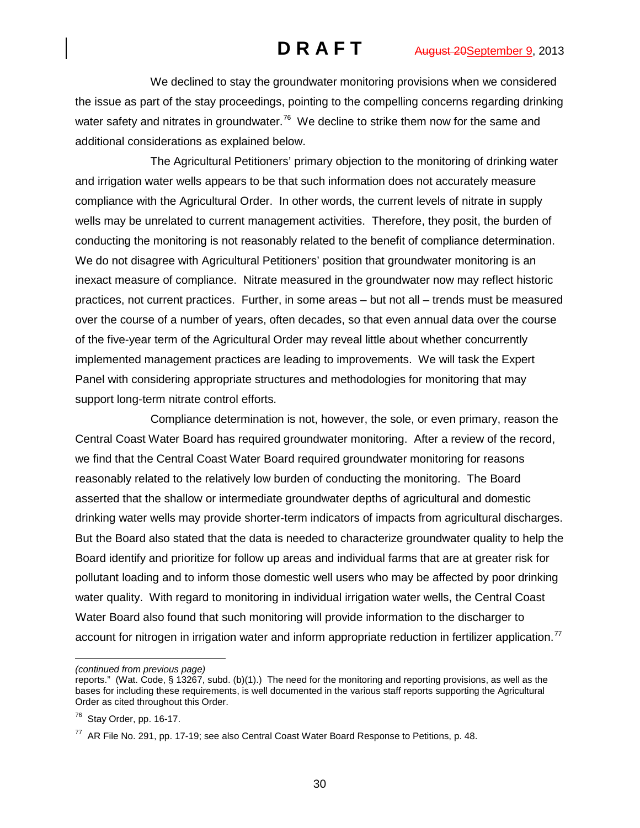We declined to stay the groundwater monitoring provisions when we considered the issue as part of the stay proceedings, pointing to the compelling concerns regarding drinking water safety and nitrates in groundwater.<sup>76</sup> We decline to strike them now for the same and additional considerations as explained below.

The Agricultural Petitioners' primary objection to the monitoring of drinking water and irrigation water wells appears to be that such information does not accurately measure compliance with the Agricultural Order. In other words, the current levels of nitrate in supply wells may be unrelated to current management activities. Therefore, they posit, the burden of conducting the monitoring is not reasonably related to the benefit of compliance determination. We do not disagree with Agricultural Petitioners' position that groundwater monitoring is an inexact measure of compliance. Nitrate measured in the groundwater now may reflect historic practices, not current practices. Further, in some areas – but not all – trends must be measured over the course of a number of years, often decades, so that even annual data over the course of the five-year term of the Agricultural Order may reveal little about whether concurrently implemented management practices are leading to improvements. We will task the Expert Panel with considering appropriate structures and methodologies for monitoring that may support long-term nitrate control efforts.

Compliance determination is not, however, the sole, or even primary, reason the Central Coast Water Board has required groundwater monitoring. After a review of the record, we find that the Central Coast Water Board required groundwater monitoring for reasons reasonably related to the relatively low burden of conducting the monitoring. The Board asserted that the shallow or intermediate groundwater depths of agricultural and domestic drinking water wells may provide shorter-term indicators of impacts from agricultural discharges. But the Board also stated that the data is needed to characterize groundwater quality to help the Board identify and prioritize for follow up areas and individual farms that are at greater risk for pollutant loading and to inform those domestic well users who may be affected by poor drinking water quality. With regard to monitoring in individual irrigation water wells, the Central Coast Water Board also found that such monitoring will provide information to the discharger to account for nitrogen in irrigation water and inform appropriate reduction in fertilizer application.<sup>[77](#page-29-1)</sup>

*(continued from previous page)*

 $\overline{a}$ 

reports." (Wat. Code, § 13267, subd. (b)(1).) The need for the monitoring and reporting provisions, as well as the bases for including these requirements, is well documented in the various staff reports supporting the Agricultural Order as cited throughout this Order.

<span id="page-29-0"></span> $76$  Stay Order, pp. 16-17.

<span id="page-29-1"></span> $^{77}$  AR File No. 291, pp. 17-19; see also Central Coast Water Board Response to Petitions, p. 48.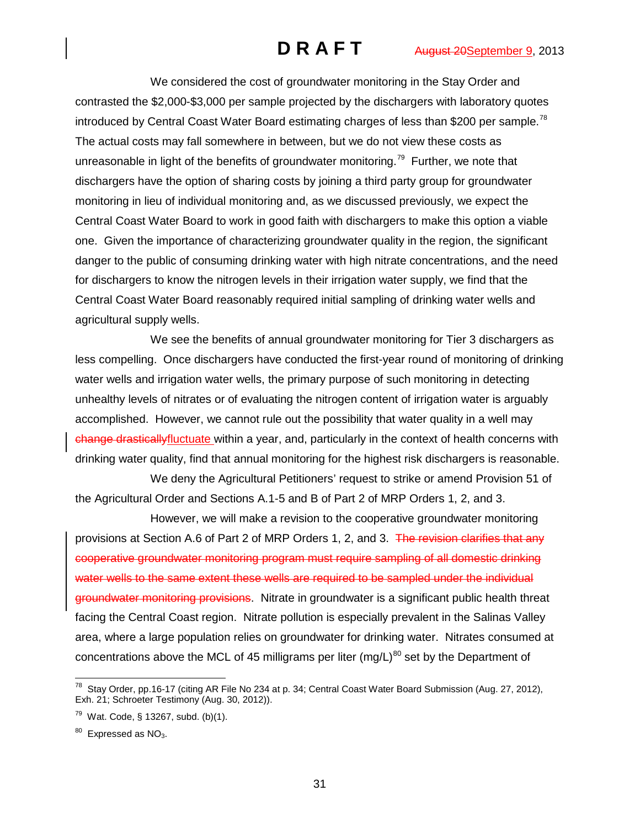We considered the cost of groundwater monitoring in the Stay Order and contrasted the \$2,000-\$3,000 per sample projected by the dischargers with laboratory quotes introduced by Central Coast Water Board estimating charges of less than \$200 per sample.<sup>[78](#page-30-0)</sup> The actual costs may fall somewhere in between, but we do not view these costs as unreasonable in light of the benefits of groundwater monitoring.<sup>[79](#page-30-1)</sup> Further, we note that dischargers have the option of sharing costs by joining a third party group for groundwater monitoring in lieu of individual monitoring and, as we discussed previously, we expect the Central Coast Water Board to work in good faith with dischargers to make this option a viable one. Given the importance of characterizing groundwater quality in the region, the significant danger to the public of consuming drinking water with high nitrate concentrations, and the need for dischargers to know the nitrogen levels in their irrigation water supply, we find that the Central Coast Water Board reasonably required initial sampling of drinking water wells and agricultural supply wells.

We see the benefits of annual groundwater monitoring for Tier 3 dischargers as less compelling. Once dischargers have conducted the first-year round of monitoring of drinking water wells and irrigation water wells, the primary purpose of such monitoring in detecting unhealthy levels of nitrates or of evaluating the nitrogen content of irrigation water is arguably accomplished. However, we cannot rule out the possibility that water quality in a well may change drasticallyfluctuate within a year, and, particularly in the context of health concerns with drinking water quality, find that annual monitoring for the highest risk dischargers is reasonable.

We deny the Agricultural Petitioners' request to strike or amend Provision 51 of the Agricultural Order and Sections A.1-5 and B of Part 2 of MRP Orders 1, 2, and 3.

However, we will make a revision to the cooperative groundwater monitoring provisions at Section A.6 of Part 2 of MRP Orders 1, 2, and 3. The revision clarifies that any cooperative groundwater monitoring program must require sampling of all domestic drinking water wells to the same extent these wells are required to be sampled under the individual groundwater monitoring provisions. Nitrate in groundwater is a significant public health threat facing the Central Coast region. Nitrate pollution is especially prevalent in the Salinas Valley area, where a large population relies on groundwater for drinking water. Nitrates consumed at concentrations above the MCL of 45 milligrams per liter (mg/L) $^{80}$  $^{80}$  $^{80}$  set by the Department of

<span id="page-30-0"></span> $^{78}$  Stay Order, pp.16-17 (citing AR File No 234 at p. 34; Central Coast Water Board Submission (Aug. 27, 2012), Exh. 21; Schroeter Testimony (Aug. 30, 2012)).

<span id="page-30-1"></span>Wat. Code, § 13267, subd. (b)(1).

<span id="page-30-2"></span> $80$  Expressed as NO<sub>3</sub>.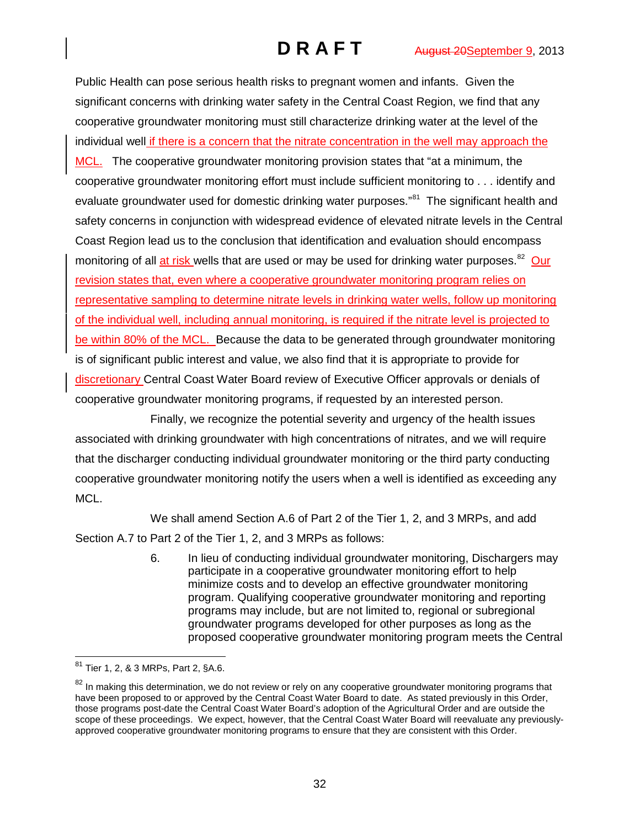Public Health can pose serious health risks to pregnant women and infants. Given the significant concerns with drinking water safety in the Central Coast Region, we find that any cooperative groundwater monitoring must still characterize drinking water at the level of the individual well if there is a concern that the nitrate concentration in the well may approach the MCL. The cooperative groundwater monitoring provision states that "at a minimum, the cooperative groundwater monitoring effort must include sufficient monitoring to . . . identify and evaluate groundwater used for domestic drinking water purposes."<sup>[81](#page-31-0)</sup> The significant health and safety concerns in conjunction with widespread evidence of elevated nitrate levels in the Central Coast Region lead us to the conclusion that identification and evaluation should encompass monitoring of all at risk wells that are used or may be used for drinking water purposes.<sup>[82](#page-31-1)</sup> Our revision states that, even where a cooperative groundwater monitoring program relies on representative sampling to determine nitrate levels in drinking water wells, follow up monitoring of the individual well, including annual monitoring, is required if the nitrate level is projected to be within 80% of the MCL. Because the data to be generated through groundwater monitoring is of significant public interest and value, we also find that it is appropriate to provide for discretionary Central Coast Water Board review of Executive Officer approvals or denials of cooperative groundwater monitoring programs, if requested by an interested person.

Finally, we recognize the potential severity and urgency of the health issues associated with drinking groundwater with high concentrations of nitrates, and we will require that the discharger conducting individual groundwater monitoring or the third party conducting cooperative groundwater monitoring notify the users when a well is identified as exceeding any MCL.

We shall amend Section A.6 of Part 2 of the Tier 1, 2, and 3 MRPs, and add Section A.7 to Part 2 of the Tier 1, 2, and 3 MRPs as follows:

> 6. In lieu of conducting individual groundwater monitoring, Dischargers may participate in a cooperative groundwater monitoring effort to help minimize costs and to develop an effective groundwater monitoring program. Qualifying cooperative groundwater monitoring and reporting programs may include, but are not limited to, regional or subregional groundwater programs developed for other purposes as long as the proposed cooperative groundwater monitoring program meets the Central

<span id="page-31-0"></span> <sup>81</sup> Tier 1, 2, & 3 MRPs, Part 2, §A.6.

<span id="page-31-1"></span><sup>&</sup>lt;sup>82</sup> In making this determination, we do not review or rely on any cooperative groundwater monitoring programs that have been proposed to or approved by the Central Coast Water Board to date. As stated previously in this Order, those programs post-date the Central Coast Water Board's adoption of the Agricultural Order and are outside the scope of these proceedings. We expect, however, that the Central Coast Water Board will reevaluate any previouslyapproved cooperative groundwater monitoring programs to ensure that they are consistent with this Order.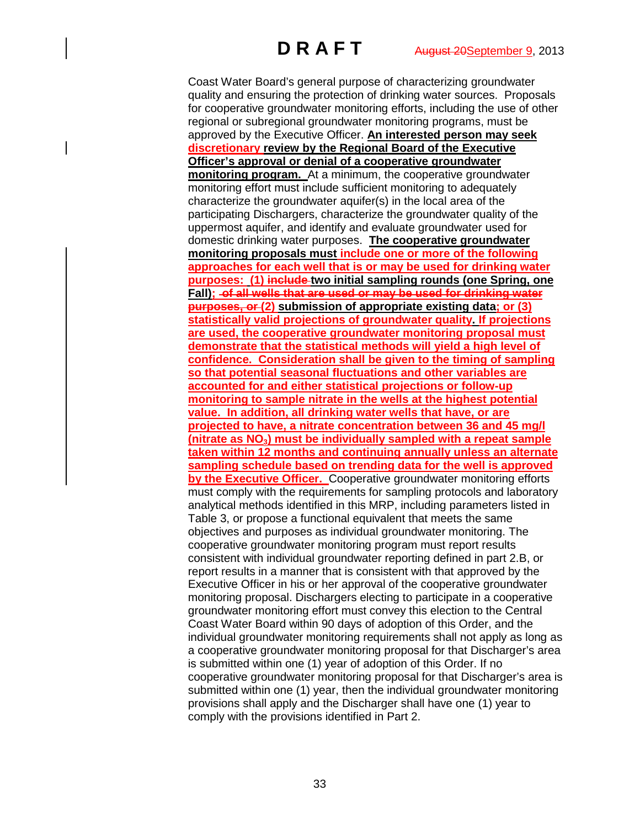Coast Water Board's general purpose of characterizing groundwater quality and ensuring the protection of drinking water sources. Proposals for cooperative groundwater monitoring efforts, including the use of other regional or subregional groundwater monitoring programs, must be approved by the Executive Officer. **An interested person may seek discretionary review by the Regional Board of the Executive Officer's approval or denial of a cooperative groundwater monitoring program.** At a minimum, the cooperative groundwater monitoring effort must include sufficient monitoring to adequately characterize the groundwater aquifer(s) in the local area of the participating Dischargers, characterize the groundwater quality of the uppermost aquifer, and identify and evaluate groundwater used for domestic drinking water purposes. **The cooperative groundwater monitoring proposals must include one or more of the following approaches for each well that is or may be used for drinking water purposes: (1) include two initial sampling rounds (one Spring, one**  Fall); of all wells that are used or may be used for drinking water **purposes, or (2) submission of appropriate existing data; or (3) statistically valid projections of groundwater quality. If projections are used, the cooperative groundwater monitoring proposal must demonstrate that the statistical methods will yield a high level of confidence. Consideration shall be given to the timing of sampling so that potential seasonal fluctuations and other variables are accounted for and either statistical projections or follow-up monitoring to sample nitrate in the wells at the highest potential value. In addition, all drinking water wells that have, or are projected to have, a nitrate concentration between 36 and 45 mg/l (nitrate as NO3) must be individually sampled with a repeat sample taken within 12 months and continuing annually unless an alternate sampling schedule based on trending data for the well is approved by the Executive Officer.** Cooperative groundwater monitoring efforts must comply with the requirements for sampling protocols and laboratory analytical methods identified in this MRP, including parameters listed in Table 3, or propose a functional equivalent that meets the same objectives and purposes as individual groundwater monitoring. The cooperative groundwater monitoring program must report results consistent with individual groundwater reporting defined in part 2.B, or report results in a manner that is consistent with that approved by the Executive Officer in his or her approval of the cooperative groundwater monitoring proposal. Dischargers electing to participate in a cooperative groundwater monitoring effort must convey this election to the Central Coast Water Board within 90 days of adoption of this Order, and the individual groundwater monitoring requirements shall not apply as long as a cooperative groundwater monitoring proposal for that Discharger's area is submitted within one (1) year of adoption of this Order. If no cooperative groundwater monitoring proposal for that Discharger's area is submitted within one (1) year, then the individual groundwater monitoring provisions shall apply and the Discharger shall have one (1) year to comply with the provisions identified in Part 2.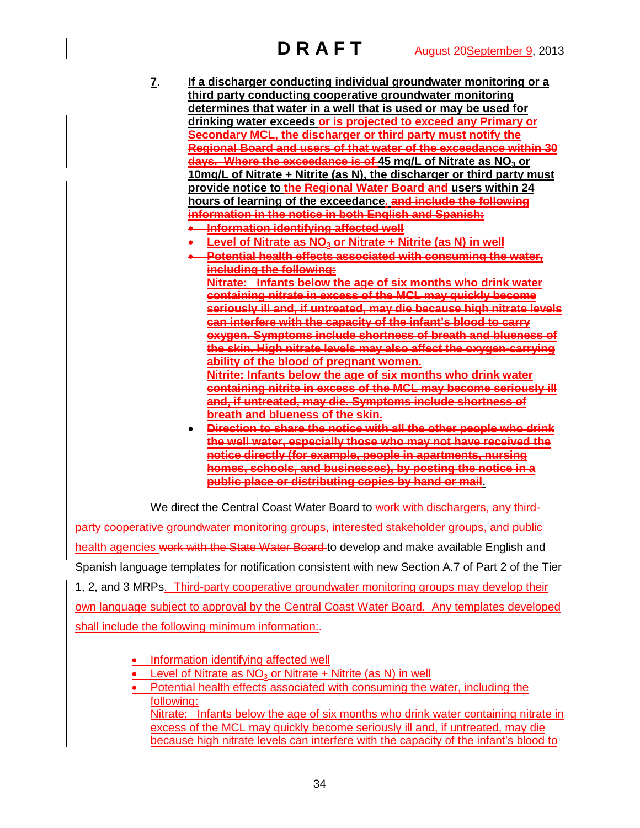- **7**. **If a discharger conducting individual groundwater monitoring or a third party conducting cooperative groundwater monitoring determines that water in a well that is used or may be used for drinking water exceeds or is projected to exceed any Primary or Secondary MCL, the discharger or third party must notify the Regional Board and users of that water of the exceedance within 30 days. Where the exceedance is of 45 mg/L of Nitrate as NO<sub>3</sub> or 10mg/L of Nitrate + Nitrite (as N), the discharger or third party must provide notice to the Regional Water Board and users within 24 hours of learning of the exceedance. and include the following information in the notice in both English and Spanish:**  • **Information identifying affected well** • **Level of Nitrate as NO3 or Nitrate + Nitrite (as N) in well**
	- **Potential health effects associated with consuming the water, including the following:**

**Nitrate: Infants below the age of six months who drink water containing nitrate in excess of the MCL may quickly become seriously ill and, if untreated, may die because high nitrate levels can interfere with the capacity of the infant's blood to carry oxygen. Symptoms include shortness of breath and blueness of the skin. High nitrate levels may also affect the oxygen-carrying ability of the blood of pregnant women.**

**Nitrite: Infants below the age of six months who drink water containing nitrite in excess of the MCL may become seriously ill and, if untreated, may die. Symptoms include shortness of breath and blueness of the skin.**

• **Direction to share the notice with all the other people who drink the well water, especially those who may not have received the notice directly (for example, people in apartments, nursing homes, schools, and businesses), by posting the notice in a public place or distributing copies by hand or mail.**

We direct the Central Coast Water Board to work with dischargers, any third-

party cooperative groundwater monitoring groups, interested stakeholder groups, and public health agencies work with the State Water Board to develop and make available English and Spanish language templates for notification consistent with new Section A.7 of Part 2 of the Tier 1, 2, and 3 MRPs. Third-party cooperative groundwater monitoring groups may develop their own language subject to approval by the Central Coast Water Board. Any templates developed shall include the following minimum information:-

- Information identifying affected well
- Level of Nitrate as  $NO<sub>3</sub>$  or Nitrate + Nitrite (as N) in well
- Potential health effects associated with consuming the water, including the following: Nitrate: Infants below the age of six months who drink water containing nitrate in excess of the MCL may quickly become seriously ill and, if untreated, may die because high nitrate levels can interfere with the capacity of the infant's blood to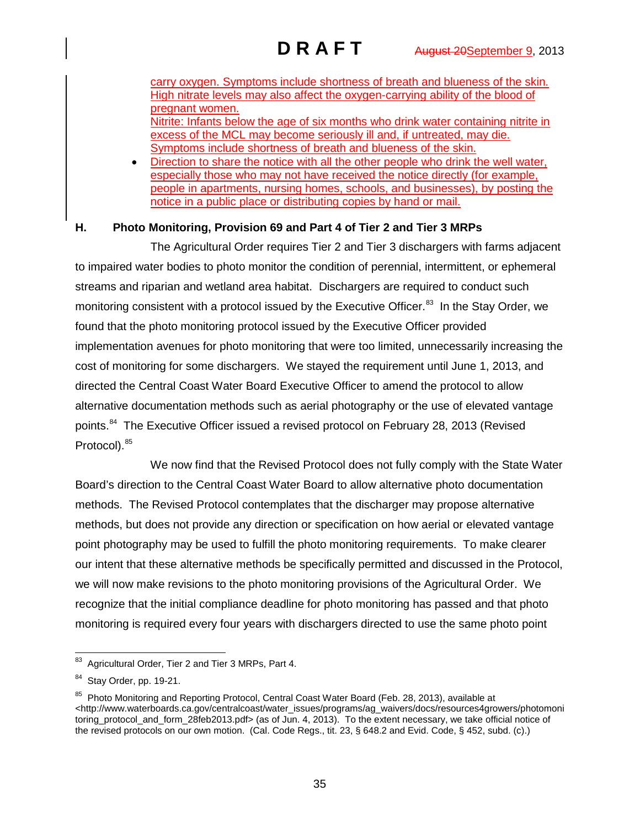carry oxygen. Symptoms include shortness of breath and blueness of the skin. High nitrate levels may also affect the oxygen-carrying ability of the blood of pregnant women. Nitrite: Infants below the age of six months who drink water containing nitrite in

excess of the MCL may become seriously ill and, if untreated, may die. Symptoms include shortness of breath and blueness of the skin.

• Direction to share the notice with all the other people who drink the well water, especially those who may not have received the notice directly (for example, people in apartments, nursing homes, schools, and businesses), by posting the notice in a public place or distributing copies by hand or mail.

# **H. Photo Monitoring, Provision 69 and Part 4 of Tier 2 and Tier 3 MRPs**

The Agricultural Order requires Tier 2 and Tier 3 dischargers with farms adjacent to impaired water bodies to photo monitor the condition of perennial, intermittent, or ephemeral streams and riparian and wetland area habitat. Dischargers are required to conduct such monitoring consistent with a protocol issued by the Executive Officer.<sup>83</sup> In the Stay Order, we found that the photo monitoring protocol issued by the Executive Officer provided implementation avenues for photo monitoring that were too limited, unnecessarily increasing the cost of monitoring for some dischargers. We stayed the requirement until June 1, 2013, and directed the Central Coast Water Board Executive Officer to amend the protocol to allow alternative documentation methods such as aerial photography or the use of elevated vantage points.<sup>[84](#page-34-1)</sup> The Executive Officer issued a revised protocol on February 28, 2013 (Revised Protocol). [85](#page-34-2)

We now find that the Revised Protocol does not fully comply with the State Water Board's direction to the Central Coast Water Board to allow alternative photo documentation methods. The Revised Protocol contemplates that the discharger may propose alternative methods, but does not provide any direction or specification on how aerial or elevated vantage point photography may be used to fulfill the photo monitoring requirements. To make clearer our intent that these alternative methods be specifically permitted and discussed in the Protocol, we will now make revisions to the photo monitoring provisions of the Agricultural Order. We recognize that the initial compliance deadline for photo monitoring has passed and that photo monitoring is required every four years with dischargers directed to use the same photo point

<span id="page-34-0"></span>Agricultural Order, Tier 2 and Tier 3 MRPs, Part 4.

<span id="page-34-1"></span>Stay Order, pp. 19-21.

<span id="page-34-2"></span><sup>&</sup>lt;sup>85</sup> Photo Monitoring and Reporting Protocol, Central Coast Water Board (Feb. 28, 2013), available at <http://www.waterboards.ca.gov/centralcoast/water\_issues/programs/ag\_waivers/docs/resources4growers/photomoni toring\_protocol\_and\_form\_28feb2013.pdf> (as of Jun. 4, 2013). To the extent necessary, we take official notice of the revised protocols on our own motion. (Cal. Code Regs., tit. 23, § 648.2 and Evid. Code, § 452, subd. (c).)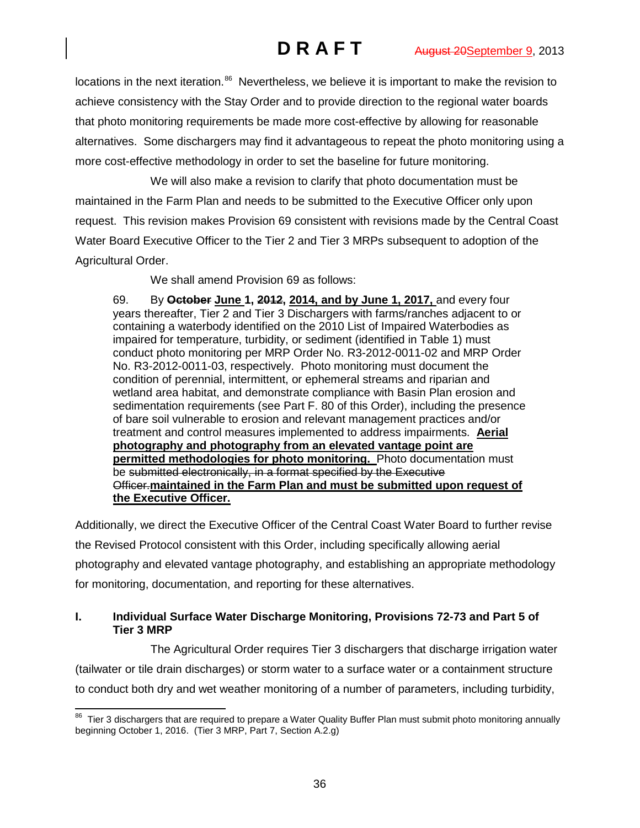locations in the next iteration.<sup>[86](#page-35-0)</sup> Nevertheless, we believe it is important to make the revision to achieve consistency with the Stay Order and to provide direction to the regional water boards that photo monitoring requirements be made more cost-effective by allowing for reasonable alternatives. Some dischargers may find it advantageous to repeat the photo monitoring using a more cost-effective methodology in order to set the baseline for future monitoring.

We will also make a revision to clarify that photo documentation must be maintained in the Farm Plan and needs to be submitted to the Executive Officer only upon request. This revision makes Provision 69 consistent with revisions made by the Central Coast Water Board Executive Officer to the Tier 2 and Tier 3 MRPs subsequent to adoption of the Agricultural Order.

We shall amend Provision 69 as follows:

69. By **October June 1, 2012, 2014, and by June 1, 2017,** and every four years thereafter, Tier 2 and Tier 3 Dischargers with farms/ranches adjacent to or containing a waterbody identified on the 2010 List of Impaired Waterbodies as impaired for temperature, turbidity, or sediment (identified in Table 1) must conduct photo monitoring per MRP Order No. R3-2012-0011-02 and MRP Order No. R3-2012-0011-03, respectively. Photo monitoring must document the condition of perennial, intermittent, or ephemeral streams and riparian and wetland area habitat, and demonstrate compliance with Basin Plan erosion and sedimentation requirements (see Part F. 80 of this Order), including the presence of bare soil vulnerable to erosion and relevant management practices and/or treatment and control measures implemented to address impairments. **Aerial photography and photography from an elevated vantage point are permitted methodologies for photo monitoring.** Photo documentation must be submitted electronically, in a format specified by the Executive Officer.**maintained in the Farm Plan and must be submitted upon request of the Executive Officer.**

Additionally, we direct the Executive Officer of the Central Coast Water Board to further revise the Revised Protocol consistent with this Order, including specifically allowing aerial photography and elevated vantage photography, and establishing an appropriate methodology for monitoring, documentation, and reporting for these alternatives.

# **I. Individual Surface Water Discharge Monitoring, Provisions 72-73 and Part 5 of Tier 3 MRP**

The Agricultural Order requires Tier 3 dischargers that discharge irrigation water (tailwater or tile drain discharges) or storm water to a surface water or a containment structure to conduct both dry and wet weather monitoring of a number of parameters, including turbidity,

<span id="page-35-0"></span><sup>&</sup>lt;sup>86</sup> Tier 3 dischargers that are required to prepare a Water Quality Buffer Plan must submit photo monitoring annually beginning October 1, 2016. (Tier 3 MRP, Part 7, Section A.2.g)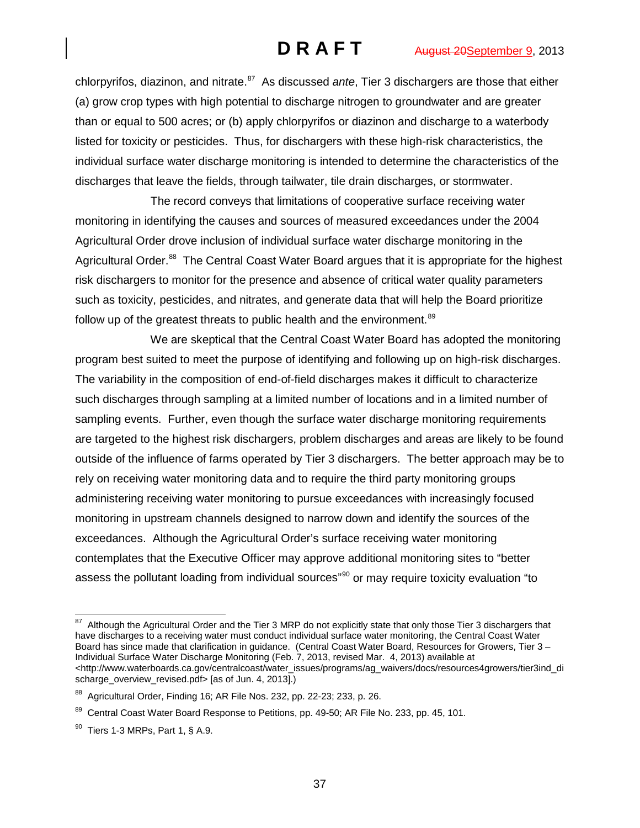chlorpyrifos, diazinon, and nitrate.<sup>[87](#page-36-0)</sup> As discussed *ante*, Tier 3 dischargers are those that either (a) grow crop types with high potential to discharge nitrogen to groundwater and are greater than or equal to 500 acres; or (b) apply chlorpyrifos or diazinon and discharge to a waterbody listed for toxicity or pesticides. Thus, for dischargers with these high-risk characteristics, the individual surface water discharge monitoring is intended to determine the characteristics of the discharges that leave the fields, through tailwater, tile drain discharges, or stormwater.

The record conveys that limitations of cooperative surface receiving water monitoring in identifying the causes and sources of measured exceedances under the 2004 Agricultural Order drove inclusion of individual surface water discharge monitoring in the Agricultural Order.<sup>88</sup> The Central Coast Water Board argues that it is appropriate for the highest risk dischargers to monitor for the presence and absence of critical water quality parameters such as toxicity, pesticides, and nitrates, and generate data that will help the Board prioritize follow up of the greatest threats to public health and the environment.<sup>[89](#page-36-2)</sup>

We are skeptical that the Central Coast Water Board has adopted the monitoring program best suited to meet the purpose of identifying and following up on high-risk discharges. The variability in the composition of end-of-field discharges makes it difficult to characterize such discharges through sampling at a limited number of locations and in a limited number of sampling events. Further, even though the surface water discharge monitoring requirements are targeted to the highest risk dischargers, problem discharges and areas are likely to be found outside of the influence of farms operated by Tier 3 dischargers. The better approach may be to rely on receiving water monitoring data and to require the third party monitoring groups administering receiving water monitoring to pursue exceedances with increasingly focused monitoring in upstream channels designed to narrow down and identify the sources of the exceedances. Although the Agricultural Order's surface receiving water monitoring contemplates that the Executive Officer may approve additional monitoring sites to "better assess the pollutant loading from individual sources"<sup>[90](#page-36-3)</sup> or may require toxicity evaluation "to

<span id="page-36-0"></span>Although the Agricultural Order and the Tier 3 MRP do not explicitly state that only those Tier 3 dischargers that have discharges to a receiving water must conduct individual surface water monitoring, the Central Coast Water Board has since made that clarification in guidance. (Central Coast Water Board, Resources for Growers, Tier 3 – Individual Surface Water Discharge Monitoring (Feb. 7, 2013, revised Mar. 4, 2013) available at [<http://www.waterboards.ca.gov/centralcoast/water\\_issues/programs/ag\\_waivers/docs/resources4growers/tier3ind\\_di](http://www.waterboards.ca.gov/centralcoast/water_issues/programs/ag_waivers/docs/resources4growers/tier3ind_discharge_overview_revised.pdf) [scharge\\_overview\\_revised.pdf>](http://www.waterboards.ca.gov/centralcoast/water_issues/programs/ag_waivers/docs/resources4growers/tier3ind_discharge_overview_revised.pdf) [as of Jun. 4, 2013].)

<span id="page-36-1"></span><sup>88</sup> Agricultural Order, Finding 16; AR File Nos. 232, pp. 22-23; 233, p. 26.

<span id="page-36-2"></span><sup>&</sup>lt;sup>89</sup> Central Coast Water Board Response to Petitions, pp. 49-50; AR File No. 233, pp. 45, 101.

<span id="page-36-3"></span> $90$  Tiers 1-3 MRPs, Part 1, § A.9.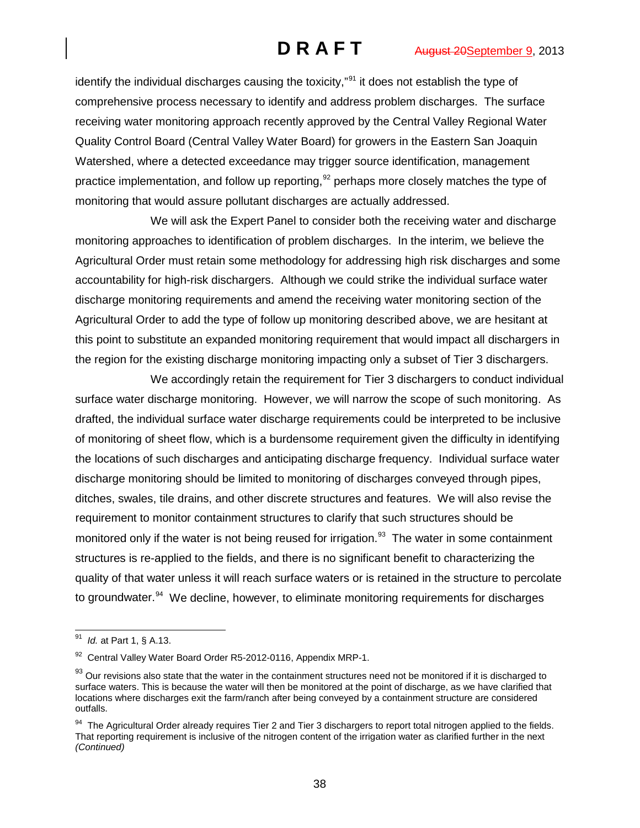identify the individual discharges causing the toxicity,"<sup>[91](#page-37-0)</sup> it does not establish the type of comprehensive process necessary to identify and address problem discharges. The surface receiving water monitoring approach recently approved by the Central Valley Regional Water Quality Control Board (Central Valley Water Board) for growers in the Eastern San Joaquin Watershed, where a detected exceedance may trigger source identification, management practice implementation, and follow up reporting,  $92$  perhaps more closely matches the type of monitoring that would assure pollutant discharges are actually addressed.

We will ask the Expert Panel to consider both the receiving water and discharge monitoring approaches to identification of problem discharges. In the interim, we believe the Agricultural Order must retain some methodology for addressing high risk discharges and some accountability for high-risk dischargers. Although we could strike the individual surface water discharge monitoring requirements and amend the receiving water monitoring section of the Agricultural Order to add the type of follow up monitoring described above, we are hesitant at this point to substitute an expanded monitoring requirement that would impact all dischargers in the region for the existing discharge monitoring impacting only a subset of Tier 3 dischargers.

We accordingly retain the requirement for Tier 3 dischargers to conduct individual surface water discharge monitoring. However, we will narrow the scope of such monitoring. As drafted, the individual surface water discharge requirements could be interpreted to be inclusive of monitoring of sheet flow, which is a burdensome requirement given the difficulty in identifying the locations of such discharges and anticipating discharge frequency. Individual surface water discharge monitoring should be limited to monitoring of discharges conveyed through pipes, ditches, swales, tile drains, and other discrete structures and features. We will also revise the requirement to monitor containment structures to clarify that such structures should be monitored only if the water is not being reused for irrigation.<sup>[93](#page-37-2)</sup> The water in some containment structures is re-applied to the fields, and there is no significant benefit to characterizing the quality of that water unless it will reach surface waters or is retained in the structure to percolate to groundwater.<sup>[94](#page-37-3)</sup> We decline, however, to eliminate monitoring requirements for discharges

<span id="page-37-0"></span> <sup>91</sup> *Id.* at Part 1, § A.13.

<span id="page-37-1"></span><sup>92</sup> Central Valley Water Board Order R5-2012-0116, Appendix MRP-1.

<span id="page-37-2"></span><sup>93</sup> Our revisions also state that the water in the containment structures need not be monitored if it is discharged to surface waters. This is because the water will then be monitored at the point of discharge, as we have clarified that locations where discharges exit the farm/ranch after being conveyed by a containment structure are considered outfalls.

<span id="page-37-3"></span><sup>&</sup>lt;sup>94</sup> The Agricultural Order already requires Tier 2 and Tier 3 dischargers to report total nitrogen applied to the fields. That reporting requirement is inclusive of the nitrogen content of the irrigation water as clarified further in the next *(Continued)*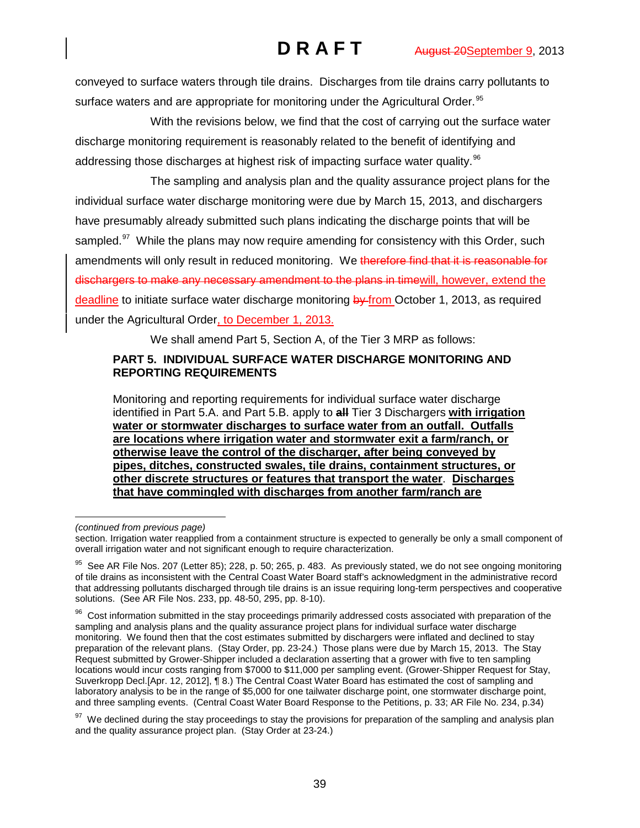conveyed to surface waters through tile drains. Discharges from tile drains carry pollutants to surface waters and are appropriate for monitoring under the Agricultural Order.<sup>[95](#page-38-0)</sup>

With the revisions below, we find that the cost of carrying out the surface water discharge monitoring requirement is reasonably related to the benefit of identifying and addressing those discharges at highest risk of impacting surface water quality.<sup>[96](#page-38-1)</sup>

The sampling and analysis plan and the quality assurance project plans for the individual surface water discharge monitoring were due by March 15, 2013, and dischargers have presumably already submitted such plans indicating the discharge points that will be sampled. $97$  While the plans may now require amending for consistency with this Order, such amendments will only result in reduced monitoring. We therefore find that it is reasonable for dischargers to make any necessary amendment to the plans in timewill, however, extend the deadline to initiate surface water discharge monitoring by from October 1, 2013, as required under the Agricultural Order, to December 1, 2013.

We shall amend Part 5, Section A, of the Tier 3 MRP as follows:

## **PART 5. INDIVIDUAL SURFACE WATER DISCHARGE MONITORING AND REPORTING REQUIREMENTS**

Monitoring and reporting requirements for individual surface water discharge identified in Part 5.A. and Part 5.B. apply to **all** Tier 3 Dischargers **with irrigation water or stormwater discharges to surface water from an outfall. Outfalls are locations where irrigation water and stormwater exit a farm/ranch, or otherwise leave the control of the discharger, after being conveyed by pipes, ditches, constructed swales, tile drains, containment structures, or other discrete structures or features that transport the water**. **Discharges that have commingled with discharges from another farm/ranch are** 

 $\ddot{ }$ *(continued from previous page)*

section. Irrigation water reapplied from a containment structure is expected to generally be only a small component of overall irrigation water and not significant enough to require characterization.

<span id="page-38-0"></span><sup>&</sup>lt;sup>95</sup> See AR File Nos. 207 (Letter 85); 228, p. 50; 265, p. 483. As previously stated, we do not see ongoing monitoring of tile drains as inconsistent with the Central Coast Water Board staff's acknowledgment in the administrative record that addressing pollutants discharged through tile drains is an issue requiring long-term perspectives and cooperative solutions. (See AR File Nos. 233, pp. 48-50, 295, pp. 8-10).

<span id="page-38-1"></span><sup>&</sup>lt;sup>96</sup> Cost information submitted in the stay proceedings primarily addressed costs associated with preparation of the sampling and analysis plans and the quality assurance project plans for individual surface water discharge monitoring. We found then that the cost estimates submitted by dischargers were inflated and declined to stay preparation of the relevant plans. (Stay Order, pp. 23-24.) Those plans were due by March 15, 2013. The Stay Request submitted by Grower-Shipper included a declaration asserting that a grower with five to ten sampling locations would incur costs ranging from \$7000 to \$11,000 per sampling event. (Grower-Shipper Request for Stay, Suverkropp Decl.[Apr. 12, 2012], ¶ 8.) The Central Coast Water Board has estimated the cost of sampling and laboratory analysis to be in the range of \$5,000 for one tailwater discharge point, one stormwater discharge point, and three sampling events. (Central Coast Water Board Response to the Petitions, p. 33; AR File No. 234, p.34)

<span id="page-38-2"></span><sup>&</sup>lt;sup>97</sup> We declined during the stay proceedings to stay the provisions for preparation of the sampling and analysis plan and the quality assurance project plan. (Stay Order at 23-24.)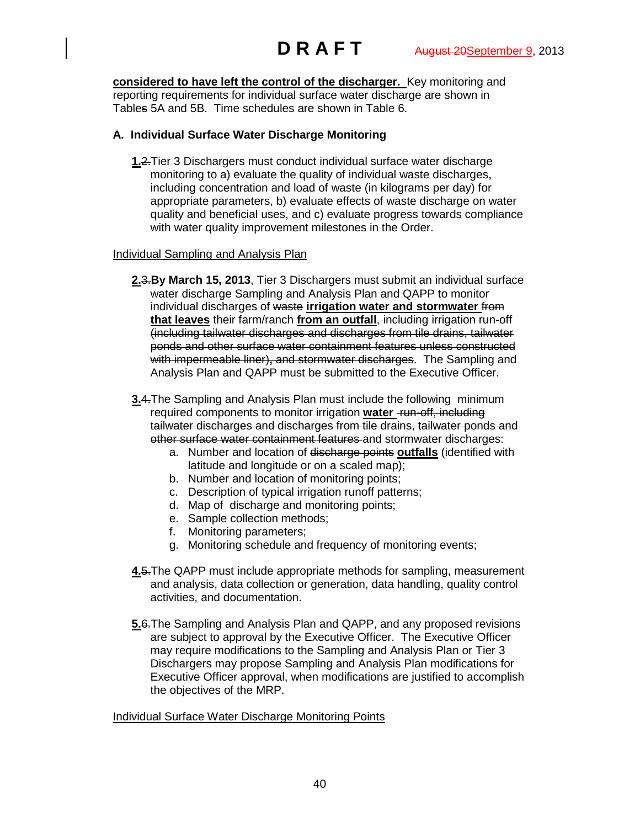**considered to have left the control of the discharger.** Key monitoring and reporting requirements for individual surface water discharge are shown in Tables 5A and 5B. Time schedules are shown in Table 6.

## **A. Individual Surface Water Discharge Monitoring**

**1.**2.Tier 3 Dischargers must conduct individual surface water discharge monitoring to a) evaluate the quality of individual waste discharges, including concentration and load of waste (in kilograms per day) for appropriate parameters, b) evaluate effects of waste discharge on water quality and beneficial uses, and c) evaluate progress towards compliance with water quality improvement milestones in the Order.

### Individual Sampling and Analysis Plan

- **2.**3.**By March 15, 2013**, Tier 3 Dischargers must submit an individual surface water discharge Sampling and Analysis Plan and QAPP to monitor individual discharges of waste **irrigation water and stormwater** from **that leaves** their farm/ranch **from an outfall**, including irrigation run-off (including tailwater discharges and discharges from tile drains, tailwater ponds and other surface water containment features unless constructed with impermeable liner), and stormwater discharges. The Sampling and Analysis Plan and QAPP must be submitted to the Executive Officer.
- **3.**4.The Sampling and Analysis Plan must include the following minimum required components to monitor irrigation **water** run-off, including tailwater discharges and discharges from tile drains, tailwater ponds and other surface water containment features and stormwater discharges:
	- a. Number and location of discharge points **outfalls** (identified with latitude and longitude or on a scaled map);
	- b. Number and location of monitoring points;
	- c. Description of typical irrigation runoff patterns;
	- d. Map of discharge and monitoring points;
	- e. Sample collection methods;
	- f. Monitoring parameters;
	- g. Monitoring schedule and frequency of monitoring events;
- **4.**5.The QAPP must include appropriate methods for sampling, measurement and analysis, data collection or generation, data handling, quality control activities, and documentation.
- **5.**6.The Sampling and Analysis Plan and QAPP, and any proposed revisions are subject to approval by the Executive Officer. The Executive Officer may require modifications to the Sampling and Analysis Plan or Tier 3 Dischargers may propose Sampling and Analysis Plan modifications for Executive Officer approval, when modifications are justified to accomplish the objectives of the MRP.

### Individual Surface Water Discharge Monitoring Points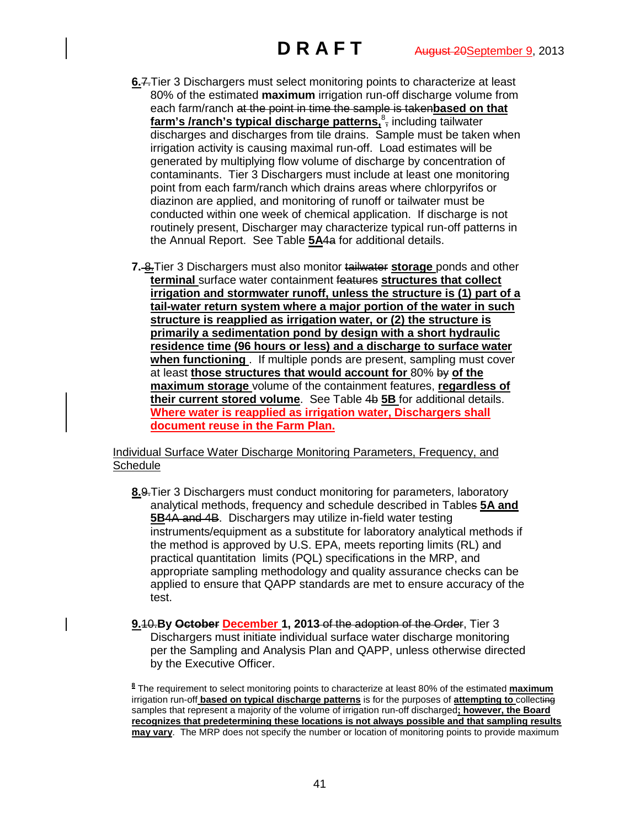- **6.**7.Tier 3 Dischargers must select monitoring points to characterize at least 80% of the estimated **maximum** irrigation run-off discharge volume from each farm/ranch at the point in time the sample is taken**based on that**  farm's /ranch's typical discharge patterns, 8<sub>7</sub> including tailwater discharges and discharges from tile drains. Sample must be taken when irrigation activity is causing maximal run-off. Load estimates will be generated by multiplying flow volume of discharge by concentration of contaminants. Tier 3 Dischargers must include at least one monitoring point from each farm/ranch which drains areas where chlorpyrifos or diazinon are applied, and monitoring of runoff or tailwater must be conducted within one week of chemical application. If discharge is not routinely present, Discharger may characterize typical run-off patterns in the Annual Report. See Table **5A**4a for additional details.
- **7.** 8.Tier 3 Dischargers must also monitor tailwater **storage** ponds and other **terminal** surface water containment features **structures that collect irrigation and stormwater runoff, unless the structure is (1) part of a tail-water return system where a major portion of the water in such structure is reapplied as irrigation water, or (2) the structure is primarily a sedimentation pond by design with a short hydraulic residence time (96 hours or less) and a discharge to surface water when functioning** . If multiple ponds are present, sampling must cover at least **those structures that would account for** 80% by **of the maximum storage** volume of the containment features, **regardless of their current stored volume**. See Table 4b **5B** for additional details. **Where water is reapplied as irrigation water, Dischargers shall document reuse in the Farm Plan.**

Individual Surface Water Discharge Monitoring Parameters, Frequency, and **Schedule** 

- **8.**9.Tier 3 Dischargers must conduct monitoring for parameters, laboratory analytical methods, frequency and schedule described in Tables **5A and 5B**4A and 4B. Dischargers may utilize in-field water testing instruments/equipment as a substitute for laboratory analytical methods if the method is approved by U.S. EPA, meets reporting limits (RL) and practical quantitation limits (PQL) specifications in the MRP, and appropriate sampling methodology and quality assurance checks can be applied to ensure that QAPP standards are met to ensure accuracy of the test.
- **9.**10.**By October December 1, 2013** of the adoption of the Order, Tier 3 Dischargers must initiate individual surface water discharge monitoring per the Sampling and Analysis Plan and QAPP, unless otherwise directed by the Executive Officer.

**<sup>8</sup>** The requirement to select monitoring points to characterize at least 80% of the estimated **maximum** irrigation run-off **based on typical discharge patterns** is for the purposes of **attempting to** collecting samples that represent a majority of the volume of irrigation run-off discharged**; however, the Board recognizes that predetermining these locations is not always possible and that sampling results may vary**. The MRP does not specify the number or location of monitoring points to provide maximum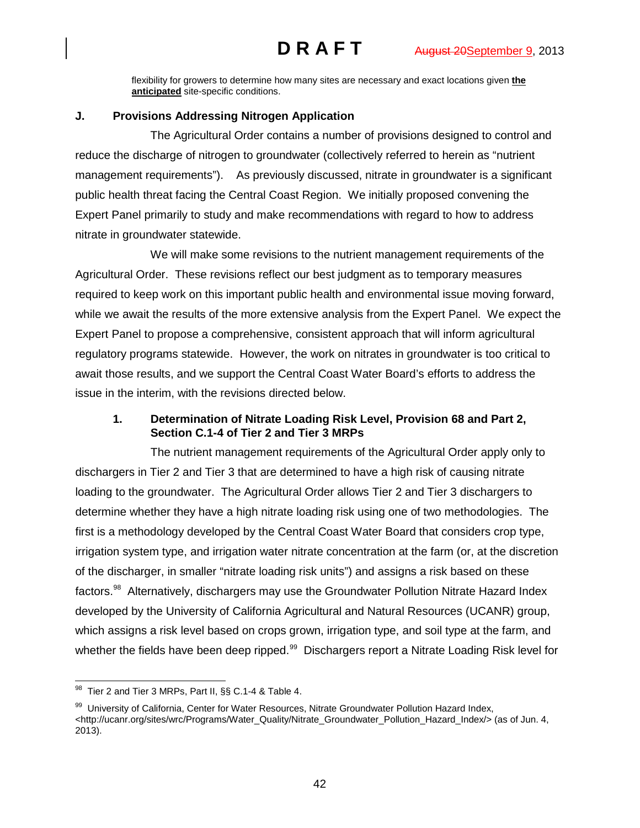flexibility for growers to determine how many sites are necessary and exact locations given **the anticipated** site-specific conditions.

# **J. Provisions Addressing Nitrogen Application**

The Agricultural Order contains a number of provisions designed to control and reduce the discharge of nitrogen to groundwater (collectively referred to herein as "nutrient management requirements"). As previously discussed, nitrate in groundwater is a significant public health threat facing the Central Coast Region. We initially proposed convening the Expert Panel primarily to study and make recommendations with regard to how to address nitrate in groundwater statewide.

We will make some revisions to the nutrient management requirements of the Agricultural Order. These revisions reflect our best judgment as to temporary measures required to keep work on this important public health and environmental issue moving forward, while we await the results of the more extensive analysis from the Expert Panel. We expect the Expert Panel to propose a comprehensive, consistent approach that will inform agricultural regulatory programs statewide. However, the work on nitrates in groundwater is too critical to await those results, and we support the Central Coast Water Board's efforts to address the issue in the interim, with the revisions directed below.

# **1. Determination of Nitrate Loading Risk Level, Provision 68 and Part 2, Section C.1-4 of Tier 2 and Tier 3 MRPs**

The nutrient management requirements of the Agricultural Order apply only to dischargers in Tier 2 and Tier 3 that are determined to have a high risk of causing nitrate loading to the groundwater. The Agricultural Order allows Tier 2 and Tier 3 dischargers to determine whether they have a high nitrate loading risk using one of two methodologies. The first is a methodology developed by the Central Coast Water Board that considers crop type, irrigation system type, and irrigation water nitrate concentration at the farm (or, at the discretion of the discharger, in smaller "nitrate loading risk units") and assigns a risk based on these factors.<sup>98</sup> Alternatively, dischargers may use the Groundwater Pollution Nitrate Hazard Index developed by the University of California Agricultural and Natural Resources (UCANR) group, which assigns a risk level based on crops grown, irrigation type, and soil type at the farm, and whether the fields have been deep ripped.<sup>99</sup> Dischargers report a Nitrate Loading Risk level for

<span id="page-41-0"></span> $98$  Tier 2 and Tier 3 MRPs, Part II, §§ C.1-4 & Table 4.

<span id="page-41-1"></span><sup>99</sup> University of California, Center for Water Resources, Nitrate Groundwater Pollution Hazard Index, [<http://ucanr.org/sites/wrc/Programs/Water\\_Quality/Nitrate\\_Groundwater\\_Pollution\\_Hazard\\_Index/>](http://ucanr.org/sites/wrc/Programs/Water_Quality/Nitrate_Groundwater_Pollution_Hazard_Index/) (as of Jun. 4, 2013).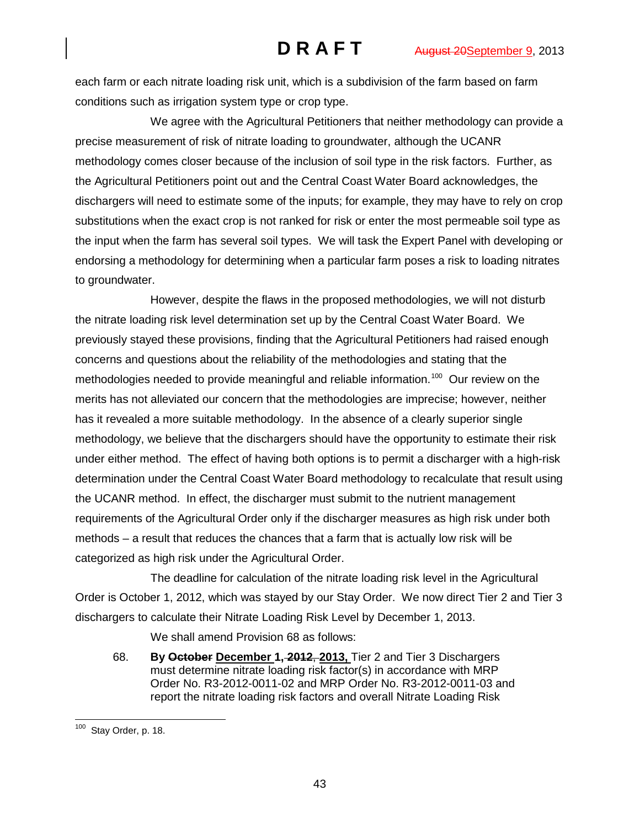each farm or each nitrate loading risk unit, which is a subdivision of the farm based on farm conditions such as irrigation system type or crop type.

We agree with the Agricultural Petitioners that neither methodology can provide a precise measurement of risk of nitrate loading to groundwater, although the UCANR methodology comes closer because of the inclusion of soil type in the risk factors. Further, as the Agricultural Petitioners point out and the Central Coast Water Board acknowledges, the dischargers will need to estimate some of the inputs; for example, they may have to rely on crop substitutions when the exact crop is not ranked for risk or enter the most permeable soil type as the input when the farm has several soil types. We will task the Expert Panel with developing or endorsing a methodology for determining when a particular farm poses a risk to loading nitrates to groundwater.

However, despite the flaws in the proposed methodologies, we will not disturb the nitrate loading risk level determination set up by the Central Coast Water Board. We previously stayed these provisions, finding that the Agricultural Petitioners had raised enough concerns and questions about the reliability of the methodologies and stating that the methodologies needed to provide meaningful and reliable information.<sup>[100](#page-42-0)</sup> Our review on the merits has not alleviated our concern that the methodologies are imprecise; however, neither has it revealed a more suitable methodology. In the absence of a clearly superior single methodology, we believe that the dischargers should have the opportunity to estimate their risk under either method. The effect of having both options is to permit a discharger with a high-risk determination under the Central Coast Water Board methodology to recalculate that result using the UCANR method. In effect, the discharger must submit to the nutrient management requirements of the Agricultural Order only if the discharger measures as high risk under both methods – a result that reduces the chances that a farm that is actually low risk will be categorized as high risk under the Agricultural Order.

The deadline for calculation of the nitrate loading risk level in the Agricultural Order is October 1, 2012, which was stayed by our Stay Order. We now direct Tier 2 and Tier 3 dischargers to calculate their Nitrate Loading Risk Level by December 1, 2013.

We shall amend Provision 68 as follows:

68. **By October December 1, 2012**, **2013,** Tier 2 and Tier 3 Dischargers must determine nitrate loading risk factor(s) in accordance with MRP Order No. R3-2012-0011-02 and MRP Order No. R3-2012-0011-03 and report the nitrate loading risk factors and overall Nitrate Loading Risk

<span id="page-42-0"></span> <sup>100</sup> Stay Order, p. 18.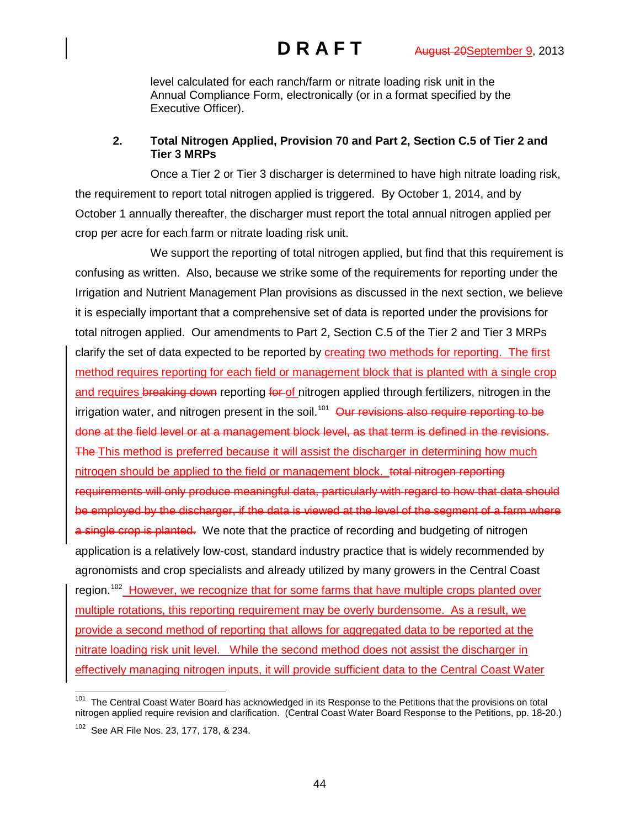level calculated for each ranch/farm or nitrate loading risk unit in the Annual Compliance Form, electronically (or in a format specified by the Executive Officer).

# **2. Total Nitrogen Applied, Provision 70 and Part 2, Section C.5 of Tier 2 and Tier 3 MRPs**

Once a Tier 2 or Tier 3 discharger is determined to have high nitrate loading risk, the requirement to report total nitrogen applied is triggered. By October 1, 2014, and by October 1 annually thereafter, the discharger must report the total annual nitrogen applied per crop per acre for each farm or nitrate loading risk unit.

We support the reporting of total nitrogen applied, but find that this requirement is confusing as written. Also, because we strike some of the requirements for reporting under the Irrigation and Nutrient Management Plan provisions as discussed in the next section, we believe it is especially important that a comprehensive set of data is reported under the provisions for total nitrogen applied. Our amendments to Part 2, Section C.5 of the Tier 2 and Tier 3 MRPs clarify the set of data expected to be reported by creating two methods for reporting. The first method requires reporting for each field or management block that is planted with a single crop and requires breaking down reporting for of nitrogen applied through fertilizers, nitrogen in the irrigation water, and nitrogen present in the soil.<sup>[101](#page-43-0)</sup> Our revisions also require reporting to be done at the field level or at a management block level, as that term is defined in the revisions. The This method is preferred because it will assist the discharger in determining how much nitrogen should be applied to the field or management block. total nitrogen reporting requirements will only produce meaningful data, particularly with regard to how that data should be employed by the discharger, if the data is viewed at the level of the segment of a farm where a single crop is planted. We note that the practice of recording and budgeting of nitrogen application is a relatively low-cost, standard industry practice that is widely recommended by agronomists and crop specialists and already utilized by many growers in the Central Coast region.<sup>[102](#page-43-1)</sup> However, we recognize that for some farms that have multiple crops planted over multiple rotations, this reporting requirement may be overly burdensome. As a result, we provide a second method of reporting that allows for aggregated data to be reported at the nitrate loading risk unit level. While the second method does not assist the discharger in effectively managing nitrogen inputs, it will provide sufficient data to the Central Coast Water

<span id="page-43-1"></span><span id="page-43-0"></span><sup>&</sup>lt;sup>101</sup> The Central Coast Water Board has acknowledged in its Response to the Petitions that the provisions on total nitrogen applied require revision and clarification. (Central Coast Water Board Response to the Petitions, pp. 18-20.) 102 See AR File Nos. 23, 177, 178, & 234.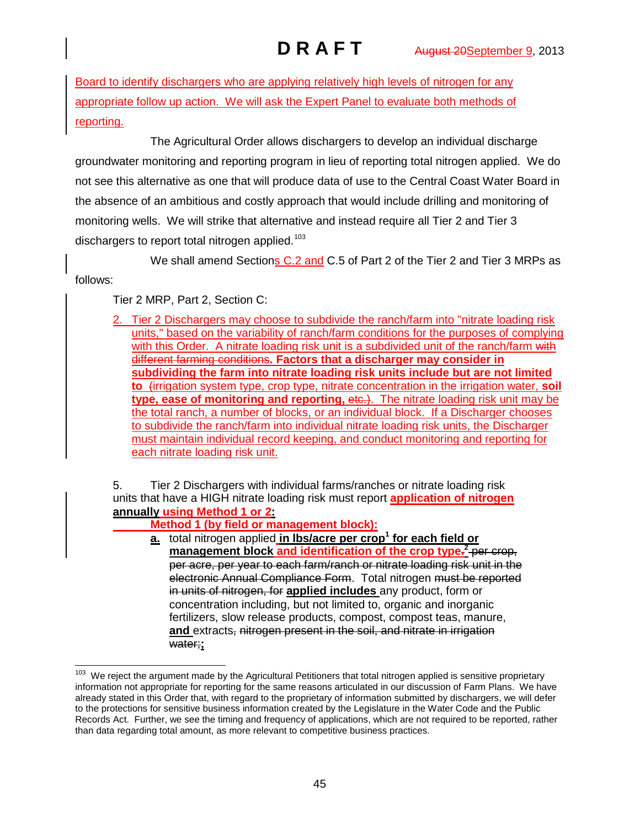Board to identify dischargers who are applying relatively high levels of nitrogen for any appropriate follow up action. We will ask the Expert Panel to evaluate both methods of reporting.

The Agricultural Order allows dischargers to develop an individual discharge groundwater monitoring and reporting program in lieu of reporting total nitrogen applied. We do not see this alternative as one that will produce data of use to the Central Coast Water Board in the absence of an ambitious and costly approach that would include drilling and monitoring of monitoring wells. We will strike that alternative and instead require all Tier 2 and Tier 3 dischargers to report total nitrogen applied.<sup>[103](#page-44-0)</sup>

We shall amend Sections C.2 and C.5 of Part 2 of the Tier 2 and Tier 3 MRPs as

follows:

Tier 2 MRP, Part 2, Section C:

2. Tier 2 Dischargers may choose to subdivide the ranch/farm into "nitrate loading risk units," based on the variability of ranch/farm conditions for the purposes of complying with this Order. A nitrate loading risk unit is a subdivided unit of the ranch/farm with different farming conditions**. Factors that a discharger may consider in subdividing the farm into nitrate loading risk units include but are not limited to** (irrigation system type, crop type, nitrate concentration in the irrigation water, **soil type, ease of monitoring and reporting, etc.).** The nitrate loading risk unit may be the total ranch, a number of blocks, or an individual block. If a Discharger chooses to subdivide the ranch/farm into individual nitrate loading risk units, the Discharger must maintain individual record keeping, and conduct monitoring and reporting for each nitrate loading risk unit.

5. Tier 2 Dischargers with individual farms/ranches or nitrate loading risk units that have a HIGH nitrate loading risk must report **application of nitrogen annually using Method 1 or 2:**

**Method 1 (by field or management block):**

**a.** total nitrogen applied **in lbs/acre per crop<sup>1</sup> for each field or management block and identification of the crop type. <sup>2</sup>** per crop, per acre, per year to each farm/ranch or nitrate loading risk unit in the electronic Annual Compliance Form. Total nitrogen must be reported in units of nitrogen, for **applied includes** any product, form or concentration including, but not limited to, organic and inorganic fertilizers, slow release products, compost, compost teas, manure, **and** extracts, nitrogen present in the soil, and nitrate in irrigation water;**;**

<span id="page-44-0"></span>We reject the argument made by the Agricultural Petitioners that total nitrogen applied is sensitive proprietary information not appropriate for reporting for the same reasons articulated in our discussion of Farm Plans. We have already stated in this Order that, with regard to the proprietary of information submitted by dischargers, we will defer to the protections for sensitive business information created by the Legislature in the Water Code and the Public Records Act. Further, we see the timing and frequency of applications, which are not required to be reported, rather than data regarding total amount, as more relevant to competitive business practices.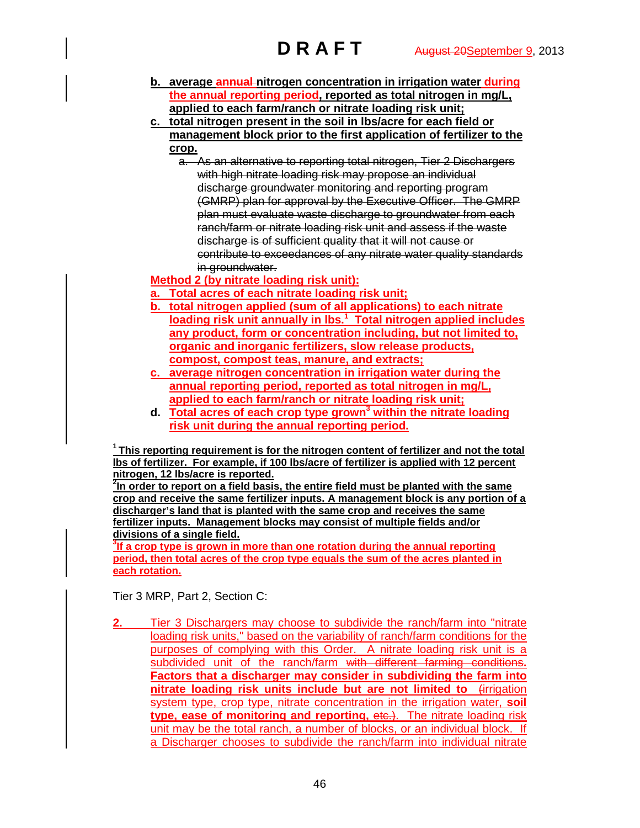- **b. average annual nitrogen concentration in irrigation water during the annual reporting period, reported as total nitrogen in mg/L, applied to each farm/ranch or nitrate loading risk unit;**
- **c. total nitrogen present in the soil in lbs/acre for each field or management block prior to the first application of fertilizer to the crop.**
	- a. As an alternative to reporting total nitrogen, Tier 2 Dischargers with high nitrate loading risk may propose an individual discharge groundwater monitoring and reporting program (GMRP) plan for approval by the Executive Officer. The GMRP plan must evaluate waste discharge to groundwater from each ranch/farm or nitrate loading risk unit and assess if the waste discharge is of sufficient quality that it will not cause or contribute to exceedances of any nitrate water quality standards in groundwater.

**Method 2 (by nitrate loading risk unit):**

- **a. Total acres of each nitrate loading risk unit;**
- **b. total nitrogen applied (sum of all applications) to each nitrate loading risk unit annually in lbs. 1 Total nitrogen applied includes any product, form or concentration including, but not limited to, organic and inorganic fertilizers, slow release products, compost, compost teas, manure, and extracts;**
- **c. average nitrogen concentration in irrigation water during the annual reporting period, reported as total nitrogen in mg/L, applied to each farm/ranch or nitrate loading risk unit;**
- **d. Total acres of each crop type grown3 within the nitrate loading risk unit during the annual reporting period.**

**1 This reporting requirement is for the nitrogen content of fertilizer and not the total lbs of fertilizer. For example, if 100 lbs/acre of fertilizer is applied with 12 percent nitrogen, 12 lbs/acre is reported.**

**2 In order to report on a field basis, the entire field must be planted with the same crop and receive the same fertilizer inputs. A management block is any portion of a discharger's land that is planted with the same crop and receives the same fertilizer inputs. Management blocks may consist of multiple fields and/or divisions of a single field.**

**3 If a crop type is grown in more than one rotation during the annual reporting period, then total acres of the crop type equals the sum of the acres planted in each rotation.** 

Tier 3 MRP, Part 2, Section C:

**2.** Tier 3 Dischargers may choose to subdivide the ranch/farm into "nitrate loading risk units," based on the variability of ranch/farm conditions for the purposes of complying with this Order. A nitrate loading risk unit is a subdivided unit of the ranch/farm with different farming conditions**. Factors that a discharger may consider in subdividing the farm into nitrate loading risk units include but are not limited to** (irrigation system type, crop type, nitrate concentration in the irrigation water, **soil type, ease of monitoring and reporting, etc.).** The nitrate loading risk unit may be the total ranch, a number of blocks, or an individual block. If a Discharger chooses to subdivide the ranch/farm into individual nitrate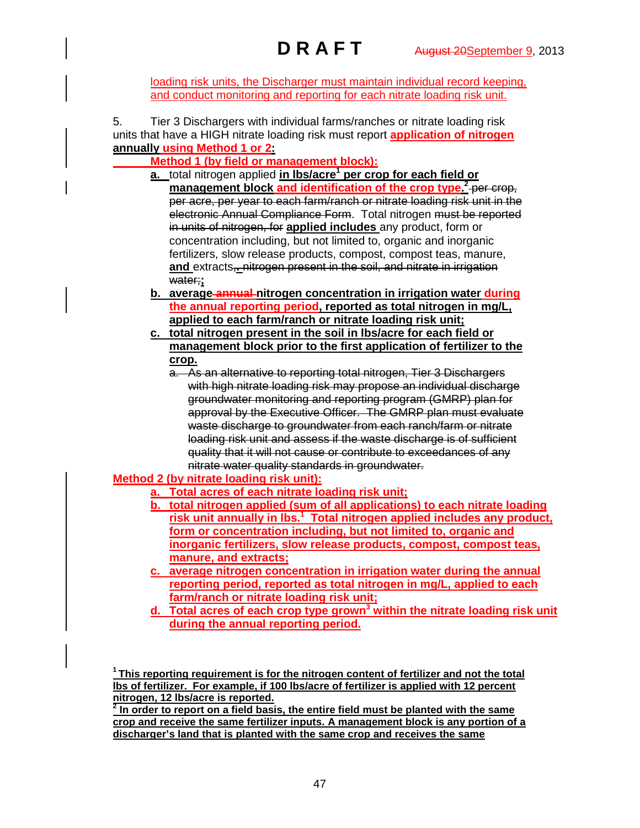loading risk units, the Discharger must maintain individual record keeping, and conduct monitoring and reporting for each nitrate loading risk unit.

5. Tier 3 Dischargers with individual farms/ranches or nitrate loading risk units that have a HIGH nitrate loading risk must report **application of nitrogen annually using Method 1 or 2:**

**Method 1 (by field or management block):**

- **a.** total nitrogen applied **in lbs/acre1 per crop for each field or management block and identification of the crop type. <sup>2</sup>** per crop, per acre, per year to each farm/ranch or nitrate loading risk unit in the electronic Annual Compliance Form. Total nitrogen must be reported in units of nitrogen, for **applied includes** any product, form or concentration including, but not limited to, organic and inorganic fertilizers, slow release products, compost, compost teas, manure, **and** extracts,**.** nitrogen present in the soil, and nitrate in irrigation water;**;**
- **b. average annual nitrogen concentration in irrigation water during the annual reporting period, reported as total nitrogen in mg/L, applied to each farm/ranch or nitrate loading risk unit;**
- **c. total nitrogen present in the soil in lbs/acre for each field or management block prior to the first application of fertilizer to the crop.**
	- a. As an alternative to reporting total nitrogen, Tier 3 Dischargers with high nitrate loading risk may propose an individual discharge groundwater monitoring and reporting program (GMRP) plan for approval by the Executive Officer. The GMRP plan must evaluate waste discharge to groundwater from each ranch/farm or nitrate loading risk unit and assess if the waste discharge is of sufficient quality that it will not cause or contribute to exceedances of any nitrate water quality standards in groundwater.

# **Method 2 (by nitrate loading risk unit):**

- **a. Total acres of each nitrate loading risk unit;**
- **b. total nitrogen applied (sum of all applications) to each nitrate loading risk unit annually in lbs.<sup>1</sup> Total nitrogen applied includes any product, form or concentration including, but not limited to, organic and inorganic fertilizers, slow release products, compost, compost teas, manure, and extracts;**
- **c. average nitrogen concentration in irrigation water during the annual reporting period, reported as total nitrogen in mg/L, applied to each farm/ranch or nitrate loading risk unit;**
- **d. Total acres of each crop type grown3 within the nitrate loading risk unit during the annual reporting period.**

**1 This reporting requirement is for the nitrogen content of fertilizer and not the total lbs of fertilizer. For example, if 100 lbs/acre of fertilizer is applied with 12 percent nitrogen, 12 lbs/acre is reported.**

**<sup>2</sup> In order to report on a field basis, the entire field must be planted with the same crop and receive the same fertilizer inputs. A management block is any portion of a discharger's land that is planted with the same crop and receives the same**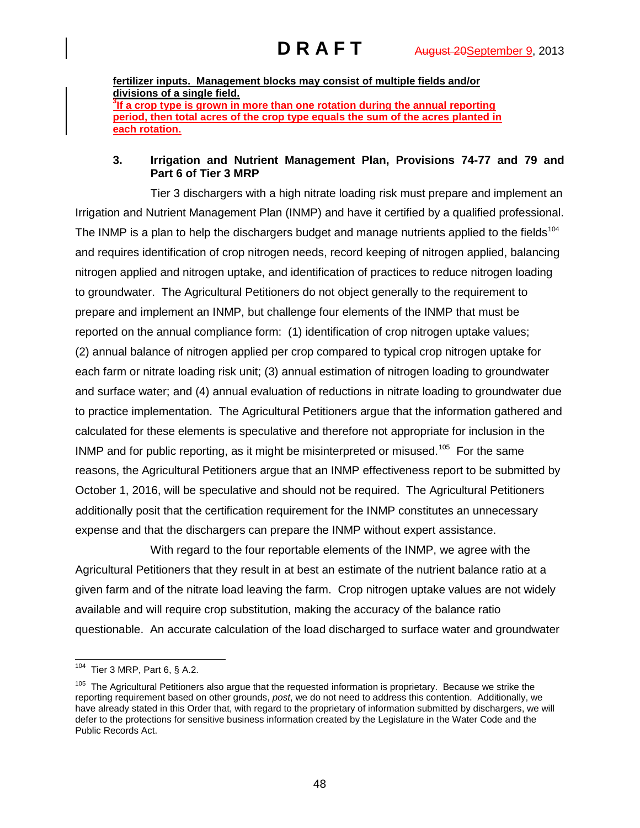**fertilizer inputs. Management blocks may consist of multiple fields and/or divisions of a single field. 3 If a crop type is grown in more than one rotation during the annual reporting period, then total acres of the crop type equals the sum of the acres planted in each rotation.**

## **3. Irrigation and Nutrient Management Plan, Provisions 74-77 and 79 and Part 6 of Tier 3 MRP**

Tier 3 dischargers with a high nitrate loading risk must prepare and implement an Irrigation and Nutrient Management Plan (INMP) and have it certified by a qualified professional. The INMP is a plan to help the dischargers budget and manage nutrients applied to the fields<sup>[104](#page-47-0)</sup> and requires identification of crop nitrogen needs, record keeping of nitrogen applied, balancing nitrogen applied and nitrogen uptake, and identification of practices to reduce nitrogen loading to groundwater. The Agricultural Petitioners do not object generally to the requirement to prepare and implement an INMP, but challenge four elements of the INMP that must be reported on the annual compliance form: (1) identification of crop nitrogen uptake values; (2) annual balance of nitrogen applied per crop compared to typical crop nitrogen uptake for each farm or nitrate loading risk unit; (3) annual estimation of nitrogen loading to groundwater and surface water; and (4) annual evaluation of reductions in nitrate loading to groundwater due to practice implementation. The Agricultural Petitioners argue that the information gathered and calculated for these elements is speculative and therefore not appropriate for inclusion in the INMP and for public reporting, as it might be misinterpreted or misused.<sup>105</sup> For the same reasons, the Agricultural Petitioners argue that an INMP effectiveness report to be submitted by October 1, 2016, will be speculative and should not be required. The Agricultural Petitioners additionally posit that the certification requirement for the INMP constitutes an unnecessary expense and that the dischargers can prepare the INMP without expert assistance.

With regard to the four reportable elements of the INMP, we agree with the Agricultural Petitioners that they result in at best an estimate of the nutrient balance ratio at a given farm and of the nitrate load leaving the farm. Crop nitrogen uptake values are not widely available and will require crop substitution, making the accuracy of the balance ratio questionable. An accurate calculation of the load discharged to surface water and groundwater

<span id="page-47-0"></span> <sup>104</sup> Tier 3 MRP, Part 6, § A.2.

<span id="page-47-1"></span><sup>&</sup>lt;sup>105</sup> The Agricultural Petitioners also argue that the requested information is proprietary. Because we strike the reporting requirement based on other grounds, *post*, we do not need to address this contention. Additionally, we have already stated in this Order that, with regard to the proprietary of information submitted by dischargers, we will defer to the protections for sensitive business information created by the Legislature in the Water Code and the Public Records Act.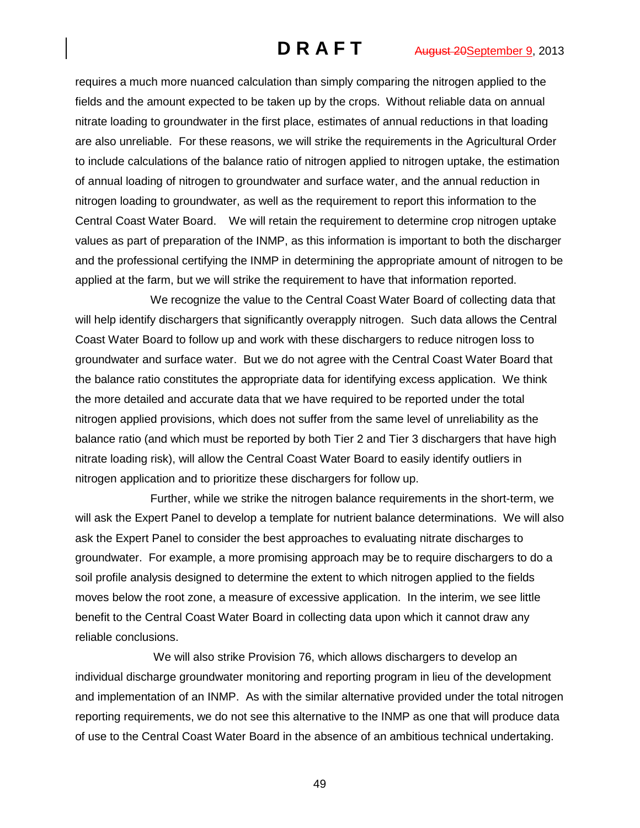requires a much more nuanced calculation than simply comparing the nitrogen applied to the fields and the amount expected to be taken up by the crops. Without reliable data on annual nitrate loading to groundwater in the first place, estimates of annual reductions in that loading are also unreliable. For these reasons, we will strike the requirements in the Agricultural Order to include calculations of the balance ratio of nitrogen applied to nitrogen uptake, the estimation of annual loading of nitrogen to groundwater and surface water, and the annual reduction in nitrogen loading to groundwater, as well as the requirement to report this information to the Central Coast Water Board. We will retain the requirement to determine crop nitrogen uptake values as part of preparation of the INMP, as this information is important to both the discharger and the professional certifying the INMP in determining the appropriate amount of nitrogen to be applied at the farm, but we will strike the requirement to have that information reported.

We recognize the value to the Central Coast Water Board of collecting data that will help identify dischargers that significantly overapply nitrogen. Such data allows the Central Coast Water Board to follow up and work with these dischargers to reduce nitrogen loss to groundwater and surface water. But we do not agree with the Central Coast Water Board that the balance ratio constitutes the appropriate data for identifying excess application. We think the more detailed and accurate data that we have required to be reported under the total nitrogen applied provisions, which does not suffer from the same level of unreliability as the balance ratio (and which must be reported by both Tier 2 and Tier 3 dischargers that have high nitrate loading risk), will allow the Central Coast Water Board to easily identify outliers in nitrogen application and to prioritize these dischargers for follow up.

Further, while we strike the nitrogen balance requirements in the short-term, we will ask the Expert Panel to develop a template for nutrient balance determinations. We will also ask the Expert Panel to consider the best approaches to evaluating nitrate discharges to groundwater. For example, a more promising approach may be to require dischargers to do a soil profile analysis designed to determine the extent to which nitrogen applied to the fields moves below the root zone, a measure of excessive application. In the interim, we see little benefit to the Central Coast Water Board in collecting data upon which it cannot draw any reliable conclusions.

We will also strike Provision 76, which allows dischargers to develop an individual discharge groundwater monitoring and reporting program in lieu of the development and implementation of an INMP. As with the similar alternative provided under the total nitrogen reporting requirements, we do not see this alternative to the INMP as one that will produce data of use to the Central Coast Water Board in the absence of an ambitious technical undertaking.

49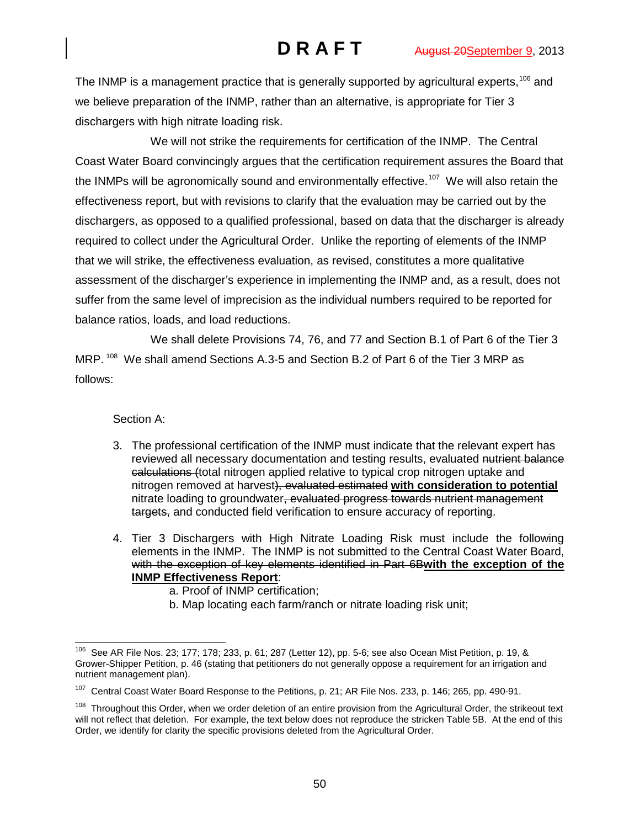The INMP is a management practice that is generally supported by agricultural experts,<sup>[106](#page-49-0)</sup> and we believe preparation of the INMP, rather than an alternative, is appropriate for Tier 3 dischargers with high nitrate loading risk.

We will not strike the requirements for certification of the INMP. The Central Coast Water Board convincingly argues that the certification requirement assures the Board that the INMPs will be agronomically sound and environmentally effective.<sup>107</sup> We will also retain the effectiveness report, but with revisions to clarify that the evaluation may be carried out by the dischargers, as opposed to a qualified professional, based on data that the discharger is already required to collect under the Agricultural Order. Unlike the reporting of elements of the INMP that we will strike, the effectiveness evaluation, as revised, constitutes a more qualitative assessment of the discharger's experience in implementing the INMP and, as a result, does not suffer from the same level of imprecision as the individual numbers required to be reported for balance ratios, loads, and load reductions.

We shall delete Provisions 74, 76, and 77 and Section B.1 of Part 6 of the Tier 3 MRP. <sup>[108](#page-49-2)</sup> We shall amend Sections A.3-5 and Section B.2 of Part 6 of the Tier 3 MRP as follows:

Section A:

- 3. The professional certification of the INMP must indicate that the relevant expert has reviewed all necessary documentation and testing results, evaluated nutrient balance calculations (total nitrogen applied relative to typical crop nitrogen uptake and nitrogen removed at harvest), evaluated estimated **with consideration to potential**  nitrate loading to groundwater, evaluated progress towards nutrient management targets, and conducted field verification to ensure accuracy of reporting.
- 4. Tier 3 Dischargers with High Nitrate Loading Risk must include the following elements in the INMP. The INMP is not submitted to the Central Coast Water Board, with the exception of key elements identified in Part 6B**with the exception of the INMP Effectiveness Report**:
	- a. Proof of INMP certification;
	- b. Map locating each farm/ranch or nitrate loading risk unit;

<span id="page-49-0"></span> $106$  See AR File Nos. 23; 177; 178; 233, p. 61; 287 (Letter 12), pp. 5-6; see also Ocean Mist Petition, p. 19, & Grower-Shipper Petition, p. 46 (stating that petitioners do not generally oppose a requirement for an irrigation and nutrient management plan).

<span id="page-49-1"></span><sup>&</sup>lt;sup>107</sup> Central Coast Water Board Response to the Petitions, p. 21; AR File Nos. 233, p. 146; 265, pp. 490-91.

<span id="page-49-2"></span><sup>&</sup>lt;sup>108</sup> Throughout this Order, when we order deletion of an entire provision from the Agricultural Order, the strikeout text will not reflect that deletion. For example, the text below does not reproduce the stricken Table 5B. At the end of this Order, we identify for clarity the specific provisions deleted from the Agricultural Order.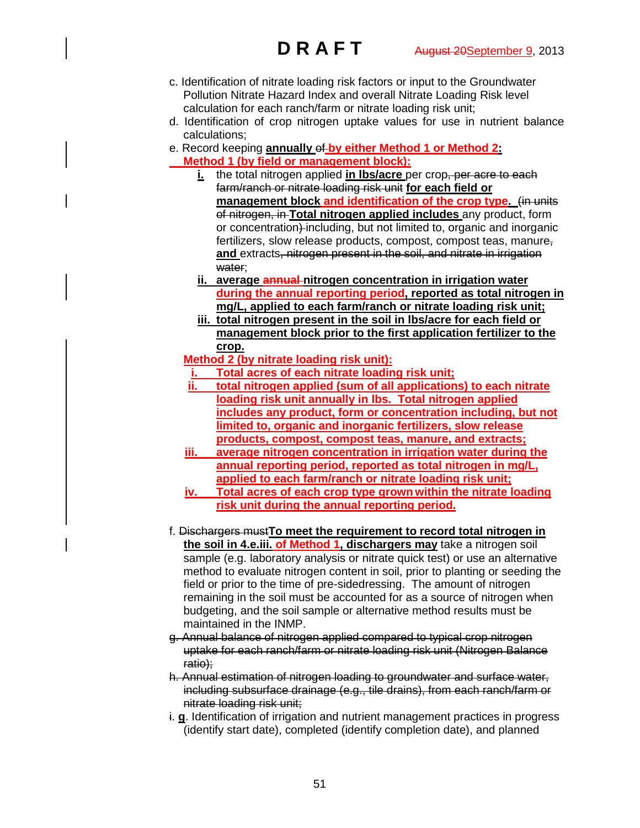- c. Identification of nitrate loading risk factors or input to the Groundwater Pollution Nitrate Hazard Index and overall Nitrate Loading Risk level calculation for each ranch/farm or nitrate loading risk unit;
- d. Identification of crop nitrogen uptake values for use in nutrient balance calculations;
- e. Record keeping **annually** of **by either Method 1 or Method 2: Method 1 (by field or management block):**
	- **i.** the total nitrogen applied **in lbs/acre** per crop, per acre to each farm/ranch or nitrate loading risk unit **for each field or management block and identification of the crop type.** (in units of nitrogen, in **Total nitrogen applied includes** any product, form or concentration) including, but not limited to, organic and inorganic fertilizers, slow release products, compost, compost teas, manure, **and** extracts, nitrogen present in the soil, and nitrate in irrigation water:
	- **ii. average annual nitrogen concentration in irrigation water during the annual reporting period, reported as total nitrogen in mg/L, applied to each farm/ranch or nitrate loading risk unit;**
	- **iii. total nitrogen present in the soil in lbs/acre for each field or management block prior to the first application fertilizer to the crop.**
	- **Method 2 (by nitrate loading risk unit):**
	- **i. Total acres of each nitrate loading risk unit;**
	- **ii. total nitrogen applied (sum of all applications) to each nitrate loading risk unit annually in lbs. Total nitrogen applied includes any product, form or concentration including, but not limited to, organic and inorganic fertilizers, slow release products, compost, compost teas, manure, and extracts;**
	- **iii. average nitrogen concentration in irrigation water during the annual reporting period, reported as total nitrogen in mg/L, applied to each farm/ranch or nitrate loading risk unit;**
	- **iv. Total acres of each crop type grown within the nitrate loading risk unit during the annual reporting period.**
- f. Dischargers must**To meet the requirement to record total nitrogen in the soil in 4.e.iii. of Method 1, dischargers may** take a nitrogen soil sample (e.g. laboratory analysis or nitrate quick test) or use an alternative method to evaluate nitrogen content in soil, prior to planting or seeding the field or prior to the time of pre-sidedressing. The amount of nitrogen remaining in the soil must be accounted for as a source of nitrogen when budgeting, and the soil sample or alternative method results must be maintained in the INMP.
- g. Annual balance of nitrogen applied compared to typical crop nitrogen uptake for each ranch/farm or nitrate loading risk unit (Nitrogen Balance ratio);
- h. Annual estimation of nitrogen loading to groundwater and surface water, including subsurface drainage (e.g., tile drains), from each ranch/farm or nitrate loading risk unit;
- i. **g**. Identification of irrigation and nutrient management practices in progress (identify start date), completed (identify completion date), and planned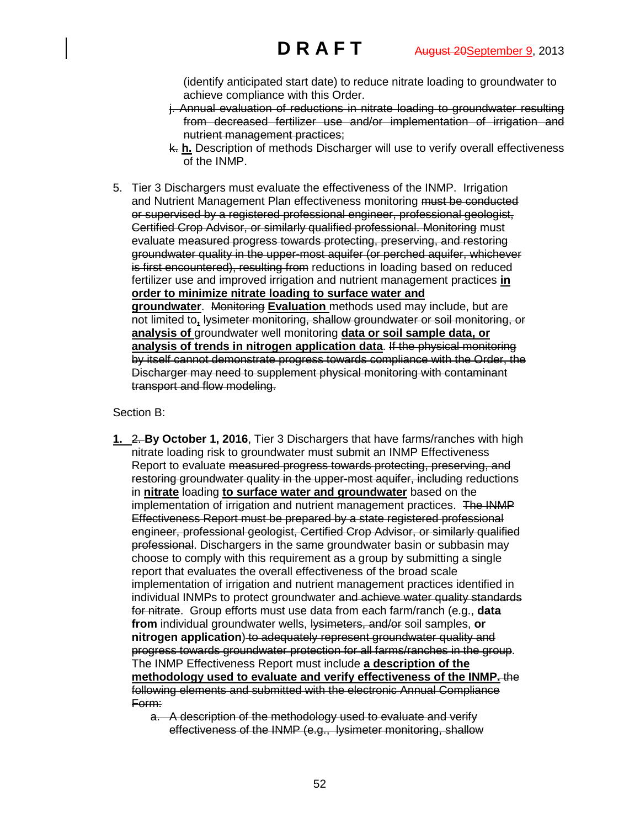(identify anticipated start date) to reduce nitrate loading to groundwater to achieve compliance with this Order.

- j. Annual evaluation of reductions in nitrate loading to groundwater resulting from decreased fertilizer use and/or implementation of irrigation and nutrient management practices;
- k. **h.** Description of methods Discharger will use to verify overall effectiveness of the INMP.
- 5. Tier 3 Dischargers must evaluate the effectiveness of the INMP. Irrigation and Nutrient Management Plan effectiveness monitoring must be conducted or supervised by a registered professional engineer, professional geologist, Certified Crop Advisor, or similarly qualified professional. Monitoring must evaluate measured progress towards protecting, preserving, and restoring groundwater quality in the upper-most aquifer (or perched aquifer, whichever is first encountered), resulting from reductions in loading based on reduced fertilizer use and improved irrigation and nutrient management practices **in order to minimize nitrate loading to surface water and groundwater**. Monitoring **Evaluation** methods used may include, but are not limited to**,** lysimeter monitoring, shallow groundwater or soil monitoring, or **analysis of** groundwater well monitoring **data or soil sample data, or analysis of trends in nitrogen application data**. If the physical monitoring by itself cannot demonstrate progress towards compliance with the Order, the Discharger may need to supplement physical monitoring with contaminant transport and flow modeling.

### Section B:

- **1.** 2. **By October 1, 2016**, Tier 3 Dischargers that have farms/ranches with high nitrate loading risk to groundwater must submit an INMP Effectiveness Report to evaluate measured progress towards protecting, preserving, and restoring groundwater quality in the upper-most aquifer, including reductions in **nitrate** loading **to surface water and groundwater** based on the implementation of irrigation and nutrient management practices. The INMP Effectiveness Report must be prepared by a state registered professional engineer, professional geologist, Certified Crop Advisor, or similarly qualified professional. Dischargers in the same groundwater basin or subbasin may choose to comply with this requirement as a group by submitting a single report that evaluates the overall effectiveness of the broad scale implementation of irrigation and nutrient management practices identified in individual INMPs to protect groundwater and achieve water quality standards for nitrate. Group efforts must use data from each farm/ranch (e.g., **data from** individual groundwater wells, lysimeters, and/or soil samples, **or nitrogen application**) to adequately represent groundwater quality and progress towards groundwater protection for all farms/ranches in the group. The INMP Effectiveness Report must include **a description of the methodology used to evaluate and verify effectiveness of the INMP.** the following elements and submitted with the electronic Annual Compliance Form:
	- a. A description of the methodology used to evaluate and verify effectiveness of the INMP (e.g., lysimeter monitoring, shallow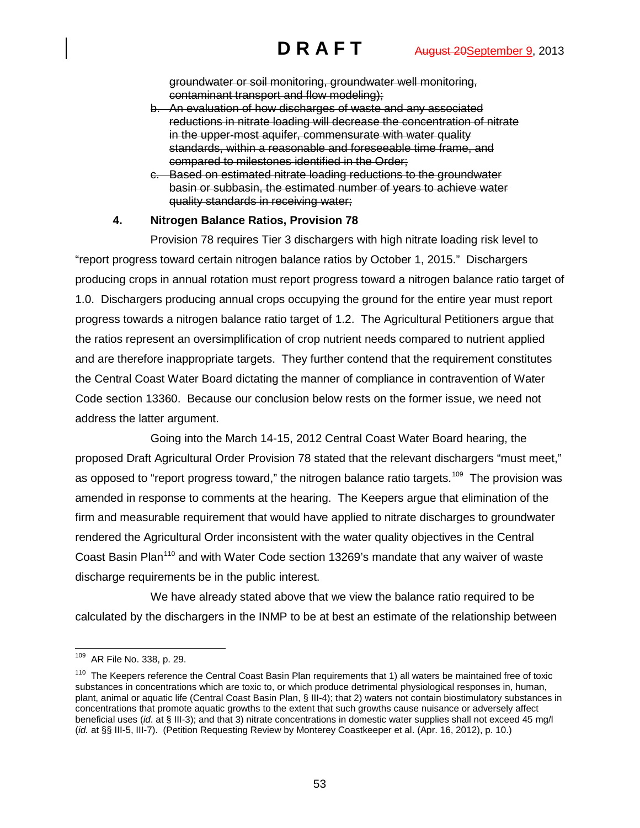groundwater or soil monitoring, groundwater well monitoring, contaminant transport and flow modeling);

- b. An evaluation of how discharges of waste and any associated reductions in nitrate loading will decrease the concentration of nitrate in the upper-most aquifer, commensurate with water quality standards, within a reasonable and foreseeable time frame, and compared to milestones identified in the Order;
- c. Based on estimated nitrate loading reductions to the groundwater basin or subbasin, the estimated number of years to achieve water quality standards in receiving water;

# **4. Nitrogen Balance Ratios, Provision 78**

Provision 78 requires Tier 3 dischargers with high nitrate loading risk level to "report progress toward certain nitrogen balance ratios by October 1, 2015." Dischargers producing crops in annual rotation must report progress toward a nitrogen balance ratio target of 1.0. Dischargers producing annual crops occupying the ground for the entire year must report progress towards a nitrogen balance ratio target of 1.2. The Agricultural Petitioners argue that the ratios represent an oversimplification of crop nutrient needs compared to nutrient applied and are therefore inappropriate targets. They further contend that the requirement constitutes the Central Coast Water Board dictating the manner of compliance in contravention of Water Code section 13360. Because our conclusion below rests on the former issue, we need not address the latter argument.

Going into the March 14-15, 2012 Central Coast Water Board hearing, the proposed Draft Agricultural Order Provision 78 stated that the relevant dischargers "must meet," as opposed to "report progress toward," the nitrogen balance ratio targets.<sup>[109](#page-52-0)</sup> The provision was amended in response to comments at the hearing. The Keepers argue that elimination of the firm and measurable requirement that would have applied to nitrate discharges to groundwater rendered the Agricultural Order inconsistent with the water quality objectives in the Central Coast Basin Plan<sup>[110](#page-52-1)</sup> and with Water Code section 13269's mandate that any waiver of waste discharge requirements be in the public interest.

We have already stated above that we view the balance ratio required to be calculated by the dischargers in the INMP to be at best an estimate of the relationship between

<span id="page-52-0"></span> <sup>109</sup> AR File No. 338, p. 29.

<span id="page-52-1"></span> $110$  The Keepers reference the Central Coast Basin Plan requirements that 1) all waters be maintained free of toxic substances in concentrations which are toxic to, or which produce detrimental physiological responses in, human, plant, animal or aquatic life (Central Coast Basin Plan, § III-4); that 2) waters not contain biostimulatory substances in concentrations that promote aquatic growths to the extent that such growths cause nuisance or adversely affect beneficial uses (*id*. at § III-3); and that 3) nitrate concentrations in domestic water supplies shall not exceed 45 mg/l (*id.* at §§ III-5, III-7). (Petition Requesting Review by Monterey Coastkeeper et al. (Apr. 16, 2012), p. 10.)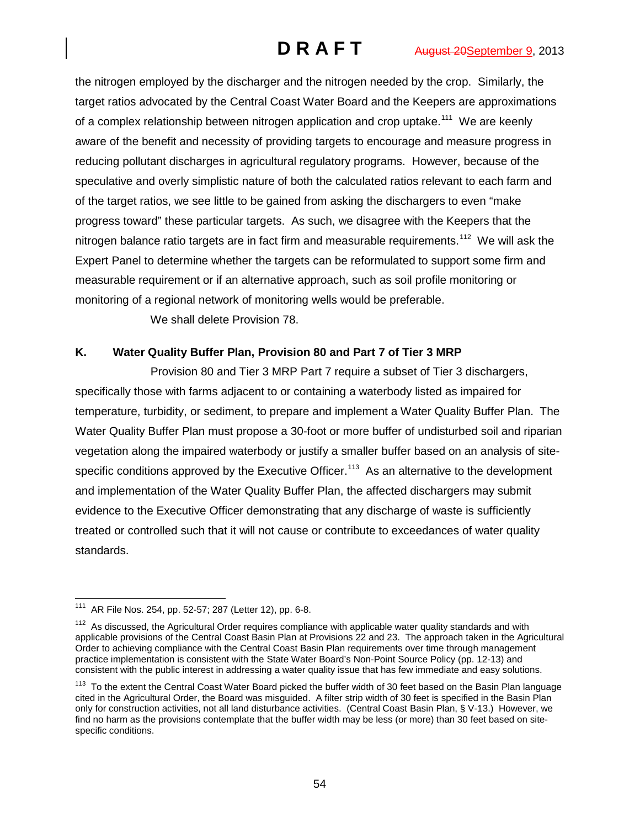the nitrogen employed by the discharger and the nitrogen needed by the crop. Similarly, the target ratios advocated by the Central Coast Water Board and the Keepers are approximations of a complex relationship between nitrogen application and crop uptake.<sup>[111](#page-53-0)</sup> We are keenly aware of the benefit and necessity of providing targets to encourage and measure progress in reducing pollutant discharges in agricultural regulatory programs. However, because of the speculative and overly simplistic nature of both the calculated ratios relevant to each farm and of the target ratios, we see little to be gained from asking the dischargers to even "make progress toward" these particular targets. As such, we disagree with the Keepers that the nitrogen balance ratio targets are in fact firm and measurable requirements.<sup>112</sup> We will ask the Expert Panel to determine whether the targets can be reformulated to support some firm and measurable requirement or if an alternative approach, such as soil profile monitoring or monitoring of a regional network of monitoring wells would be preferable.

We shall delete Provision 78.

# **K. Water Quality Buffer Plan, Provision 80 and Part 7 of Tier 3 MRP**

Provision 80 and Tier 3 MRP Part 7 require a subset of Tier 3 dischargers, specifically those with farms adjacent to or containing a waterbody listed as impaired for temperature, turbidity, or sediment, to prepare and implement a Water Quality Buffer Plan. The Water Quality Buffer Plan must propose a 30-foot or more buffer of undisturbed soil and riparian vegetation along the impaired waterbody or justify a smaller buffer based on an analysis of sitespecific conditions approved by the Executive Officer.<sup>113</sup> As an alternative to the development and implementation of the Water Quality Buffer Plan, the affected dischargers may submit evidence to the Executive Officer demonstrating that any discharge of waste is sufficiently treated or controlled such that it will not cause or contribute to exceedances of water quality standards.

<span id="page-53-0"></span> <sup>111</sup> AR File Nos. 254, pp. 52-57; 287 (Letter 12), pp. 6-8.

<span id="page-53-1"></span> $112$  As discussed, the Agricultural Order requires compliance with applicable water quality standards and with applicable provisions of the Central Coast Basin Plan at Provisions 22 and 23. The approach taken in the Agricultural Order to achieving compliance with the Central Coast Basin Plan requirements over time through management practice implementation is consistent with the State Water Board's Non-Point Source Policy (pp. 12-13) and consistent with the public interest in addressing a water quality issue that has few immediate and easy solutions.

<span id="page-53-2"></span><sup>&</sup>lt;sup>113</sup> To the extent the Central Coast Water Board picked the buffer width of 30 feet based on the Basin Plan language cited in the Agricultural Order, the Board was misguided. A filter strip width of 30 feet is specified in the Basin Plan only for construction activities, not all land disturbance activities. (Central Coast Basin Plan, § V-13.) However, we find no harm as the provisions contemplate that the buffer width may be less (or more) than 30 feet based on sitespecific conditions.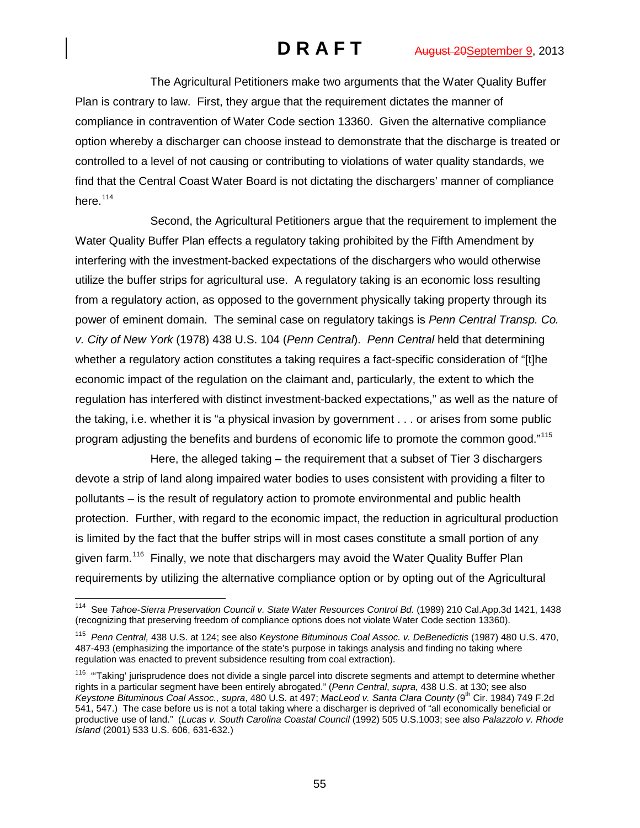The Agricultural Petitioners make two arguments that the Water Quality Buffer Plan is contrary to law. First, they argue that the requirement dictates the manner of compliance in contravention of Water Code section 13360. Given the alternative compliance option whereby a discharger can choose instead to demonstrate that the discharge is treated or controlled to a level of not causing or contributing to violations of water quality standards, we find that the Central Coast Water Board is not dictating the dischargers' manner of compliance here. $114$ 

Second, the Agricultural Petitioners argue that the requirement to implement the Water Quality Buffer Plan effects a regulatory taking prohibited by the Fifth Amendment by interfering with the investment-backed expectations of the dischargers who would otherwise utilize the buffer strips for agricultural use. A regulatory taking is an economic loss resulting from a regulatory action, as opposed to the government physically taking property through its power of eminent domain. The seminal case on regulatory takings is *Penn Central Transp. Co. v. City of New York* (1978) 438 U.S. 104 (*Penn Central*). *Penn Central* held that determining whether a regulatory action constitutes a taking requires a fact-specific consideration of "[t]he economic impact of the regulation on the claimant and, particularly, the extent to which the regulation has interfered with distinct investment-backed expectations," as well as the nature of the taking, i.e. whether it is "a physical invasion by government . . . or arises from some public program adjusting the benefits and burdens of economic life to promote the common good."<sup>[115](#page-54-1)</sup>

Here, the alleged taking – the requirement that a subset of Tier 3 dischargers devote a strip of land along impaired water bodies to uses consistent with providing a filter to pollutants – is the result of regulatory action to promote environmental and public health protection. Further, with regard to the economic impact, the reduction in agricultural production is limited by the fact that the buffer strips will in most cases constitute a small portion of any given farm.<sup>[116](#page-54-2)</sup> Finally, we note that dischargers may avoid the Water Quality Buffer Plan requirements by utilizing the alternative compliance option or by opting out of the Agricultural

<span id="page-54-0"></span> <sup>114</sup> See *Tahoe-Sierra Preservation Council v. State Water Resources Control Bd.* (1989) 210 Cal.App.3d 1421, 1438 (recognizing that preserving freedom of compliance options does not violate Water Code section 13360).

<span id="page-54-1"></span><sup>115</sup> *Penn Central,* 438 U.S. at 124; see also *Keystone Bituminous Coal Assoc. v. DeBenedictis* (1987) 480 U.S. 470, 487-493 (emphasizing the importance of the state's purpose in takings analysis and finding no taking where regulation was enacted to prevent subsidence resulting from coal extraction).

<span id="page-54-2"></span><sup>&</sup>lt;sup>116</sup> "Taking' jurisprudence does not divide a single parcel into discrete segments and attempt to determine whether rights in a particular segment have been entirely abrogated." (*Penn Central*, *supra,* 438 U.S. at 130; see also *Keystone Bituminous Coal Assoc., supra, 480 U.S. at 497; MacLeod v. Santa Clara County (9<sup>th</sup> Cir. 1984) 749 F.2d* 541, 547.) The case before us is not a total taking where a discharger is deprived of "all economically beneficial or productive use of land." (*Lucas v. South Carolina Coastal Council* (1992) 505 U.S.1003; see also *Palazzolo v. Rhode Island* (2001) 533 U.S. 606, 631-632.)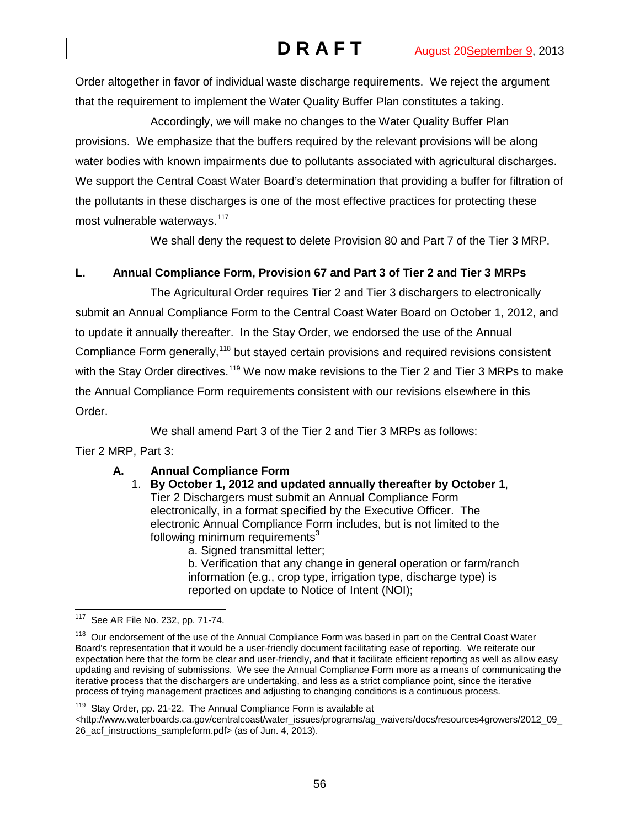Order altogether in favor of individual waste discharge requirements. We reject the argument that the requirement to implement the Water Quality Buffer Plan constitutes a taking.

Accordingly, we will make no changes to the Water Quality Buffer Plan provisions. We emphasize that the buffers required by the relevant provisions will be along water bodies with known impairments due to pollutants associated with agricultural discharges. We support the Central Coast Water Board's determination that providing a buffer for filtration of the pollutants in these discharges is one of the most effective practices for protecting these most vulnerable waterways.<sup>[117](#page-55-0)</sup>

We shall deny the request to delete Provision 80 and Part 7 of the Tier 3 MRP.

# **L. Annual Compliance Form, Provision 67 and Part 3 of Tier 2 and Tier 3 MRPs**

The Agricultural Order requires Tier 2 and Tier 3 dischargers to electronically submit an Annual Compliance Form to the Central Coast Water Board on October 1, 2012, and to update it annually thereafter. In the Stay Order, we endorsed the use of the Annual Compliance Form generally,<sup>[118](#page-55-1)</sup> but stayed certain provisions and required revisions consistent with the Stay Order directives.<sup>[119](#page-55-2)</sup> We now make revisions to the Tier 2 and Tier 3 MRPs to make the Annual Compliance Form requirements consistent with our revisions elsewhere in this Order.

We shall amend Part 3 of the Tier 2 and Tier 3 MRPs as follows:

Tier 2 MRP, Part 3:

# **A. Annual Compliance Form**

- 1. **By October 1, 2012 and updated annually thereafter by October 1**, Tier 2 Dischargers must submit an Annual Compliance Form electronically, in a format specified by the Executive Officer. The electronic Annual Compliance Form includes, but is not limited to the following minimum requirements $3$ 
	- a. Signed transmittal letter;

b. Verification that any change in general operation or farm/ranch information (e.g., crop type, irrigation type, discharge type) is reported on update to Notice of Intent (NOI);

<span id="page-55-2"></span><sup>119</sup> Stay Order, pp. 21-22. The Annual Compliance Form is available at

<span id="page-55-0"></span> <sup>117</sup> See AR File No. 232, pp. 71-74.

<span id="page-55-1"></span><sup>&</sup>lt;sup>118</sup> Our endorsement of the use of the Annual Compliance Form was based in part on the Central Coast Water Board's representation that it would be a user-friendly document facilitating ease of reporting. We reiterate our expectation here that the form be clear and user-friendly, and that it facilitate efficient reporting as well as allow easy updating and revising of submissions. We see the Annual Compliance Form more as a means of communicating the iterative process that the dischargers are undertaking, and less as a strict compliance point, since the iterative process of trying management practices and adjusting to changing conditions is a continuous process.

 $\lt$ http://www.waterboards.ca.gov/centralcoast/water\_issues/programs/ag\_waivers/docs/resources4growers/2012\_09\_ 26\_acf\_instructions\_sampleform.pdf> (as of Jun. 4, 2013).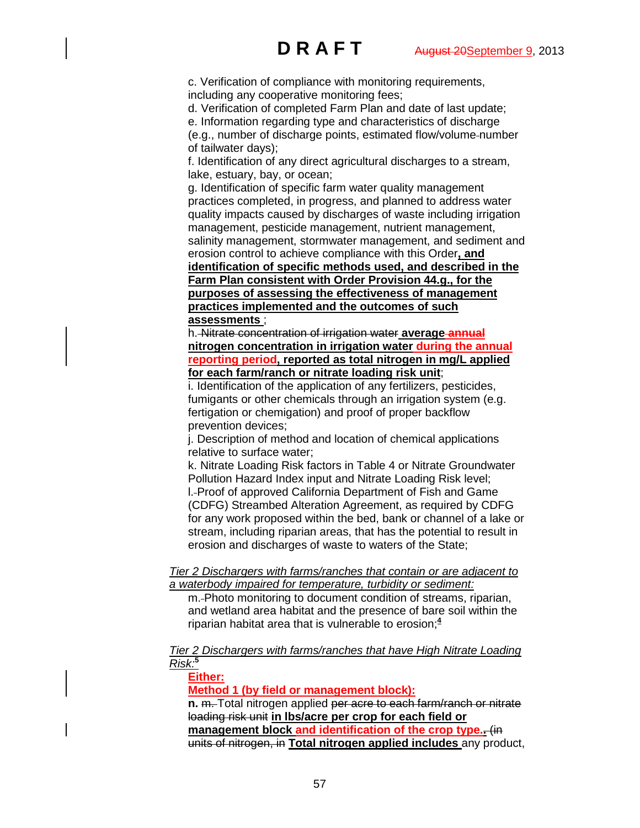c. Verification of compliance with monitoring requirements, including any cooperative monitoring fees;

d. Verification of completed Farm Plan and date of last update; e. Information regarding type and characteristics of discharge

(e.g., number of discharge points, estimated flow/volume number of tailwater days);

f. Identification of any direct agricultural discharges to a stream, lake, estuary, bay, or ocean;

g. Identification of specific farm water quality management practices completed, in progress, and planned to address water quality impacts caused by discharges of waste including irrigation management, pesticide management, nutrient management, salinity management, stormwater management, and sediment and erosion control to achieve compliance with this Order**, and** 

**identification of specific methods used, and described in the Farm Plan consistent with Order Provision 44.g., for the purposes of assessing the effectiveness of management practices implemented and the outcomes of such assessments** ;

h. Nitrate concentration of irrigation water **average annual nitrogen concentration in irrigation water during the annual reporting period, reported as total nitrogen in mg/L applied for each farm/ranch or nitrate loading risk unit**;

i. Identification of the application of any fertilizers, pesticides. fumigants or other chemicals through an irrigation system (e.g. fertigation or chemigation) and proof of proper backflow prevention devices;

j. Description of method and location of chemical applications relative to surface water;

k. Nitrate Loading Risk factors in Table 4 or Nitrate Groundwater Pollution Hazard Index input and Nitrate Loading Risk level; l. Proof of approved California Department of Fish and Game (CDFG) Streambed Alteration Agreement, as required by CDFG for any work proposed within the bed, bank or channel of a lake or stream, including riparian areas, that has the potential to result in erosion and discharges of waste to waters of the State;

### *Tier 2 Dischargers with farms/ranches that contain or are adjacent to a waterbody impaired for temperature, turbidity or sediment:*

m. Photo monitoring to document condition of streams, riparian, and wetland area habitat and the presence of bare soil within the riparian habitat area that is vulnerable to erosion;**<sup>4</sup>**

### *Tier 2 Dischargers with farms/ranches that have High Nitrate Loading Risk:***<sup>5</sup>**

### **Either:**

**Method 1 (by field or management block):**

**n.** m. Total nitrogen applied per acre to each farm/ranch or nitrate loading risk unit **in lbs/acre per crop for each field or management block and identification of the crop type..** (in units of nitrogen, in **Total nitrogen applied includes** any product,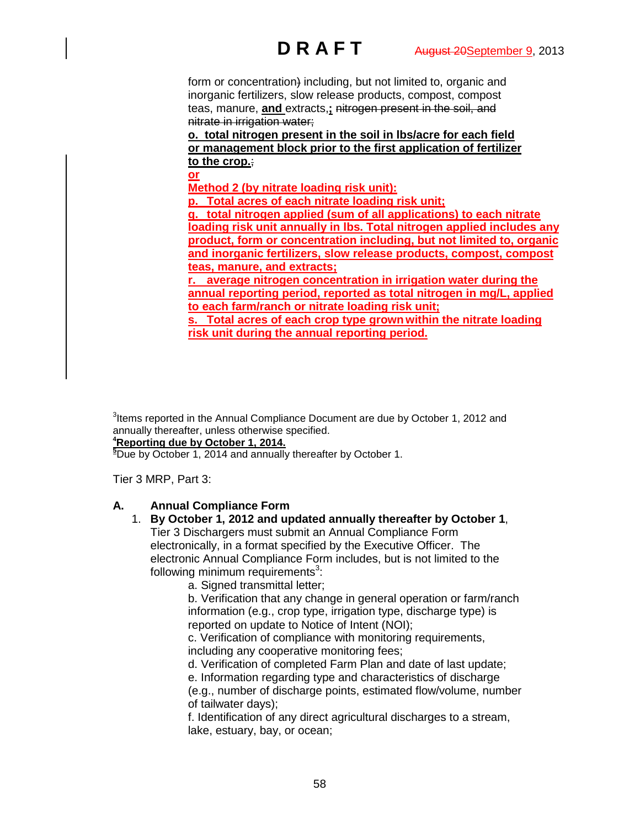form or concentration) including, but not limited to, organic and inorganic fertilizers, slow release products, compost, compost teas, manure, **and** extracts,**;** nitrogen present in the soil, and nitrate in irrigation water;

**o. total nitrogen present in the soil in lbs/acre for each field or management block prior to the first application of fertilizer to the crop.**;

**or**

**Method 2 (by nitrate loading risk unit):**

**p. Total acres of each nitrate loading risk unit;**

**q. total nitrogen applied (sum of all applications) to each nitrate loading risk unit annually in lbs. Total nitrogen applied includes any product, form or concentration including, but not limited to, organic and inorganic fertilizers, slow release products, compost, compost teas, manure, and extracts;**

**r. average nitrogen concentration in irrigation water during the annual reporting period, reported as total nitrogen in mg/L, applied to each farm/ranch or nitrate loading risk unit;**

**s. Total acres of each crop type grown within the nitrate loading risk unit during the annual reporting period.**

 $3$ Items reported in the Annual Compliance Document are due by October 1, 2012 and annually thereafter, unless otherwise specified.

# **4 Reporting due by October 1, 2014.**

**5** Due by October 1, 2014 and annually thereafter by October 1.

Tier 3 MRP, Part 3:

# **A. Annual Compliance Form**

### 1. **By October 1, 2012 and updated annually thereafter by October 1**, Tier 3 Dischargers must submit an Annual Compliance Form electronically, in a format specified by the Executive Officer. The electronic Annual Compliance Form includes, but is not limited to the following minimum requirements $^3$ :

a. Signed transmittal letter;

b. Verification that any change in general operation or farm/ranch information (e.g., crop type, irrigation type, discharge type) is reported on update to Notice of Intent (NOI);

c. Verification of compliance with monitoring requirements, including any cooperative monitoring fees;

d. Verification of completed Farm Plan and date of last update;

e. Information regarding type and characteristics of discharge

(e.g., number of discharge points, estimated flow/volume, number of tailwater days);

f. Identification of any direct agricultural discharges to a stream, lake, estuary, bay, or ocean;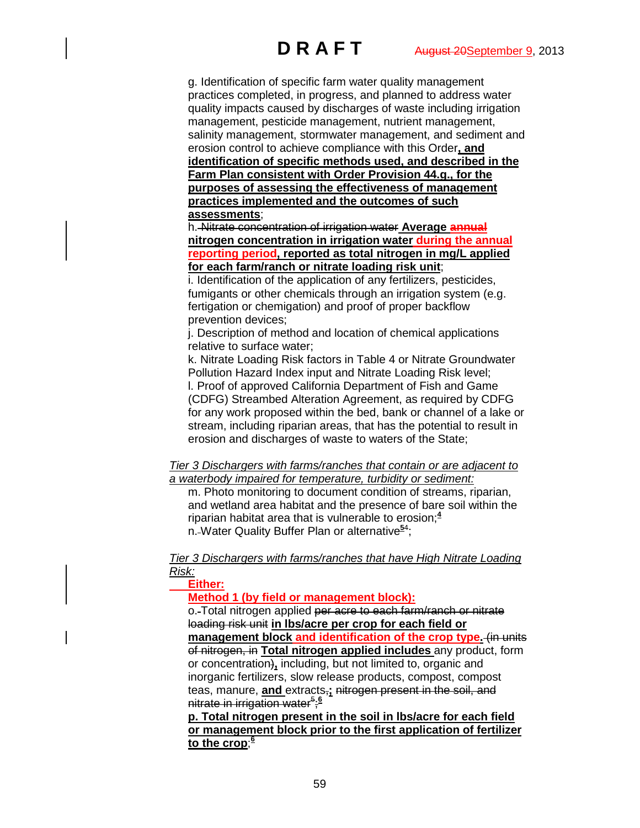g. Identification of specific farm water quality management practices completed, in progress, and planned to address water quality impacts caused by discharges of waste including irrigation management, pesticide management, nutrient management, salinity management, stormwater management, and sediment and erosion control to achieve compliance with this Order**, and identification of specific methods used, and described in the Farm Plan consistent with Order Provision 44.g., for the purposes of assessing the effectiveness of management practices implemented and the outcomes of such assessments**;

h. Nitrate concentration of irrigation water **Average annual nitrogen concentration in irrigation water during the annual reporting period, reported as total nitrogen in mg/L applied for each farm/ranch or nitrate loading risk unit**;

i. Identification of the application of any fertilizers, pesticides, fumigants or other chemicals through an irrigation system (e.g. fertigation or chemigation) and proof of proper backflow prevention devices;

j. Description of method and location of chemical applications relative to surface water;

k. Nitrate Loading Risk factors in Table 4 or Nitrate Groundwater Pollution Hazard Index input and Nitrate Loading Risk level; l. Proof of approved California Department of Fish and Game (CDFG) Streambed Alteration Agreement, as required by CDFG for any work proposed within the bed, bank or channel of a lake or stream, including riparian areas, that has the potential to result in erosion and discharges of waste to waters of the State;

*Tier 3 Dischargers with farms/ranches that contain or are adjacent to a waterbody impaired for temperature, turbidity or sediment:*

m. Photo monitoring to document condition of streams, riparian, and wetland area habitat and the presence of bare soil within the riparian habitat area that is vulnerable to erosion;**<sup>4</sup>** n.-Water Quality Buffer Plan or alternative<sup>54</sup>;

*Tier 3 Dischargers with farms/ranches that have High Nitrate Loading Risk:*

**Either:**

**Method 1 (by field or management block):**

o. Total nitrogen applied per acre to each farm/ranch or nitrate loading risk unit **in lbs/acre per crop for each field or management block and identification of the crop type.** (in units of nitrogen, in **Total nitrogen applied includes** any product, form or concentration)**,** including, but not limited to, organic and inorganic fertilizers, slow release products, compost, compost teas, manure, **and** extracts,**;** nitrogen present in the soil, and nitrate in irrigation water<sup>5</sup>;<sup>6</sup>

**p. Total nitrogen present in the soil in lbs/acre for each field or management block prior to the first application of fertilizer to the crop**; **6**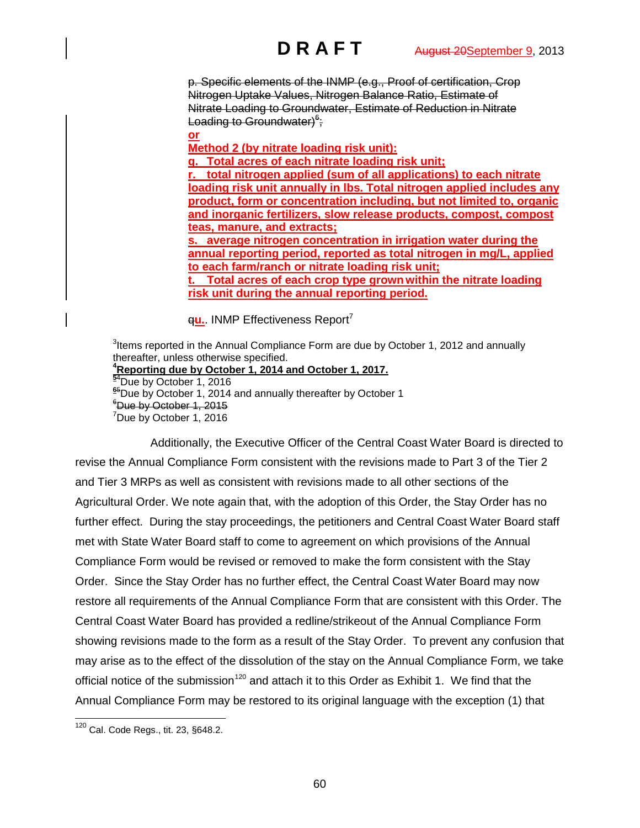p. Specific elements of the INMP (e.g., Proof of certification, Crop Nitrogen Uptake Values, Nitrogen Balance Ratio, Estimate of Nitrate Loading to Groundwater, Estimate of Reduction in Nitrate Loading to Groundwater)<sup>6</sup>;

**or Method 2 (by nitrate loading risk unit):**

**q. Total acres of each nitrate loading risk unit; r. total nitrogen applied (sum of all applications) to each nitrate loading risk unit annually in lbs. Total nitrogen applied includes any product, form or concentration including, but not limited to, organic and inorganic fertilizers, slow release products, compost, compost teas, manure, and extracts; s. average nitrogen concentration in irrigation water during the annual reporting period, reported as total nitrogen in mg/L, applied to each farm/ranch or nitrate loading risk unit;**

**t. Total acres of each crop type grown within the nitrate loading risk unit during the annual reporting period.**

**qu.**. INMP Effectiveness Report<sup>7</sup>

 $3$ Items reported in the Annual Compliance Form are due by October 1, 2012 and annually thereafter, unless otherwise specified. **4 Reporting due by October 1, 2014 and October 1, 2017. <sup>5</sup>**<sup>4</sup> <sup>94</sup>Due by October 1, 2016<br><sup>65</sup>Due by October 1, 2014  $65$ Due by October 1, 2014 and annually thereafter by October 1  $^6$ Due by October 1, 2015 <sup>7</sup>Due by October 1, 2016

Additionally, the Executive Officer of the Central Coast Water Board is directed to revise the Annual Compliance Form consistent with the revisions made to Part 3 of the Tier 2 and Tier 3 MRPs as well as consistent with revisions made to all other sections of the Agricultural Order. We note again that, with the adoption of this Order, the Stay Order has no further effect. During the stay proceedings, the petitioners and Central Coast Water Board staff met with State Water Board staff to come to agreement on which provisions of the Annual Compliance Form would be revised or removed to make the form consistent with the Stay Order. Since the Stay Order has no further effect, the Central Coast Water Board may now restore all requirements of the Annual Compliance Form that are consistent with this Order. The Central Coast Water Board has provided a redline/strikeout of the Annual Compliance Form showing revisions made to the form as a result of the Stay Order. To prevent any confusion that may arise as to the effect of the dissolution of the stay on the Annual Compliance Form, we take official notice of the submission<sup>[120](#page-59-0)</sup> and attach it to this Order as Exhibit 1. We find that the Annual Compliance Form may be restored to its original language with the exception (1) that

<span id="page-59-0"></span> <sup>120</sup> Cal. Code Regs., tit. 23, §648.2.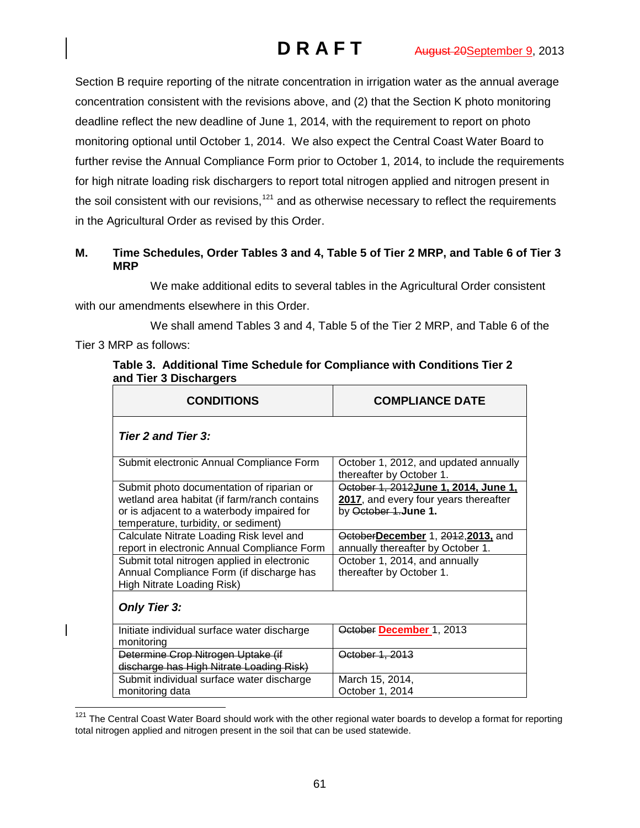Section B require reporting of the nitrate concentration in irrigation water as the annual average concentration consistent with the revisions above, and (2) that the Section K photo monitoring deadline reflect the new deadline of June 1, 2014, with the requirement to report on photo monitoring optional until October 1, 2014. We also expect the Central Coast Water Board to further revise the Annual Compliance Form prior to October 1, 2014, to include the requirements for high nitrate loading risk dischargers to report total nitrogen applied and nitrogen present in the soil consistent with our revisions,<sup>[121](#page-60-0)</sup> and as otherwise necessary to reflect the requirements in the Agricultural Order as revised by this Order.

# **M. Time Schedules, Order Tables 3 and 4, Table 5 of Tier 2 MRP, and Table 6 of Tier 3 MRP**

We make additional edits to several tables in the Agricultural Order consistent with our amendments elsewhere in this Order.

We shall amend Tables 3 and 4, Table 5 of the Tier 2 MRP, and Table 6 of the Tier 3 MRP as follows:

| <br>and Tier 3 Dischargers                                                                                                                                                      |                                                                                                        |  |
|---------------------------------------------------------------------------------------------------------------------------------------------------------------------------------|--------------------------------------------------------------------------------------------------------|--|
| <b>CONDITIONS</b>                                                                                                                                                               | <b>COMPLIANCE DATE</b>                                                                                 |  |
| <b>Tier 2 and Tier 3:</b>                                                                                                                                                       |                                                                                                        |  |
| Submit electronic Annual Compliance Form                                                                                                                                        | October 1, 2012, and updated annually<br>thereafter by October 1.                                      |  |
| Submit photo documentation of riparian or<br>wetland area habitat (if farm/ranch contains<br>or is adjacent to a waterbody impaired for<br>temperature, turbidity, or sediment) | October 1, 2012 June 1, 2014, June 1,<br>2017, and every four years thereafter<br>by October 1.June 1. |  |
| Calculate Nitrate Loading Risk level and<br>report in electronic Annual Compliance Form                                                                                         | OctoberDecember 1, 2012, 2013, and<br>annually thereafter by October 1.                                |  |
| Submit total nitrogen applied in electronic<br>Annual Compliance Form (if discharge has<br>High Nitrate Loading Risk)                                                           | October 1, 2014, and annually<br>thereafter by October 1.                                              |  |
| <b>Only Tier 3:</b>                                                                                                                                                             |                                                                                                        |  |
| Initiate individual surface water discharge<br>monitoring                                                                                                                       | October December 1, 2013                                                                               |  |
| Determine Crop Nitrogen Uptake (if<br>discharge has High Nitrate Loading Risk)                                                                                                  | October 1, 2013                                                                                        |  |
| Submit individual surface water discharge<br>monitoring data                                                                                                                    | March 15, 2014,<br>October 1, 2014                                                                     |  |

**Table 3. Additional Time Schedule for Compliance with Conditions Tier 2** 

<span id="page-60-0"></span> $121$  The Central Coast Water Board should work with the other regional water boards to develop a format for reporting total nitrogen applied and nitrogen present in the soil that can be used statewide.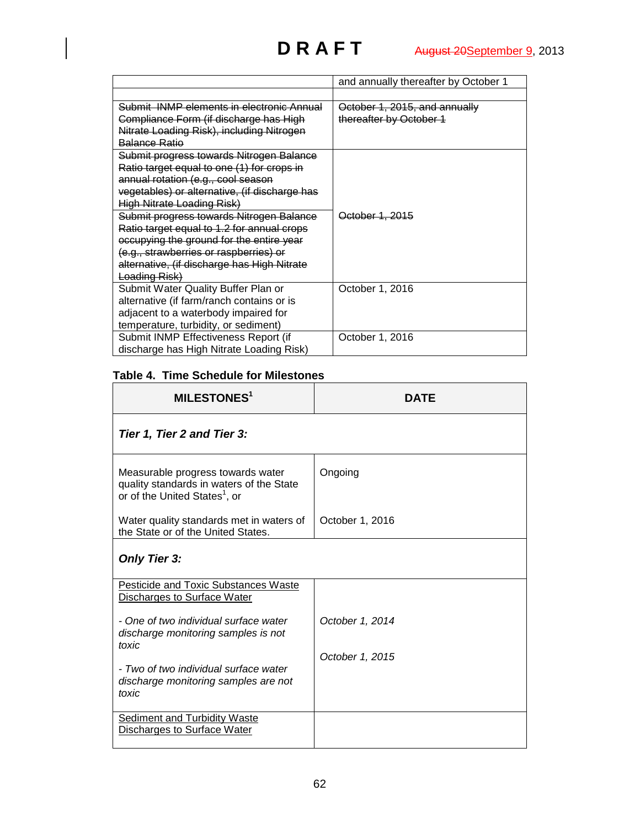|                                                   | and annually thereafter by October 1 |
|---------------------------------------------------|--------------------------------------|
|                                                   |                                      |
| <u>Submit, INMP elements in electronic Annual</u> | October 1, 2015, and annually        |
| Compliance Form (if discharge has High            | thereafter by October 1              |
| Nitrate Loading Risk), including Nitrogen         |                                      |
| <b>Balance Ratio</b>                              |                                      |
| Submit progress towards Nitrogen Balance          |                                      |
| Ratio target equal to one (1) for crops in        |                                      |
| annual rotation (e.g., cool season                |                                      |
| vegetables) or alternative, (if discharge has     |                                      |
| High Nitrate Loading Risk)                        |                                      |
| Submit progress towards Nitrogen Balance          | October 1, 2015                      |
| Ratio target equal to 1.2 for annual crops        |                                      |
| occupying the ground for the entire year          |                                      |
| (e.g., strawberries or raspberries) or            |                                      |
| alternative, (if discharge has High Nitrate       |                                      |
| Loading Risk)                                     |                                      |
| Submit Water Quality Buffer Plan or               | October 1, 2016                      |
| alternative (if farm/ranch contains or is         |                                      |
| adjacent to a waterbody impaired for              |                                      |
| temperature, turbidity, or sediment)              |                                      |
| Submit INMP Effectiveness Report (if              | October 1, 2016                      |
| discharge has High Nitrate Loading Risk)          |                                      |

# **Table 4. Time Schedule for Milestones**

| <b>MILESTONES1</b>                                                                                                         | DATF            |
|----------------------------------------------------------------------------------------------------------------------------|-----------------|
| Tier 1, Tier 2 and Tier 3:                                                                                                 |                 |
| Measurable progress towards water<br>quality standards in waters of the State<br>or of the United States <sup>1</sup> , or | Ongoing         |
| Water quality standards met in waters of<br>the State or of the United States.                                             | October 1, 2016 |
| <b>Only Tier 3:</b>                                                                                                        |                 |
| <b>Pesticide and Toxic Substances Waste</b><br>Discharges to Surface Water                                                 |                 |
| - One of two individual surface water<br>discharge monitoring samples is not<br>toxic                                      | October 1, 2014 |
|                                                                                                                            | October 1, 2015 |
| - Two of two individual surface water<br>discharge monitoring samples are not<br>toxic                                     |                 |
| <b>Sediment and Turbidity Waste</b><br>Discharges to Surface Water                                                         |                 |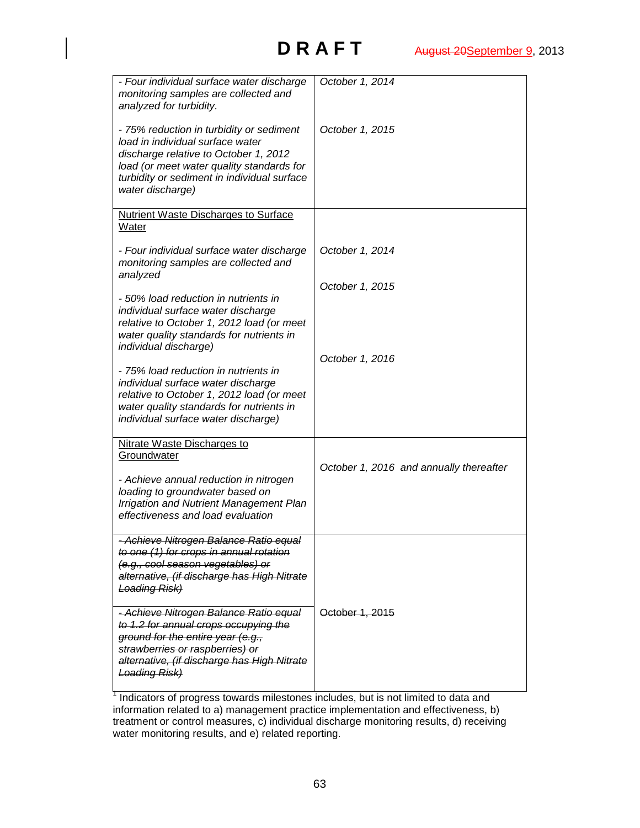| - Four individual surface water discharge<br>monitoring samples are collected and<br>analyzed for turbidity.                                                                                                                          | October 1, 2014                         |
|---------------------------------------------------------------------------------------------------------------------------------------------------------------------------------------------------------------------------------------|-----------------------------------------|
| - 75% reduction in turbidity or sediment<br>load in individual surface water<br>discharge relative to October 1, 2012<br>load (or meet water quality standards for<br>turbidity or sediment in individual surface<br>water discharge) | October 1, 2015                         |
| Nutrient Waste Discharges to Surface<br>Water                                                                                                                                                                                         |                                         |
| - Four individual surface water discharge<br>monitoring samples are collected and<br>analyzed                                                                                                                                         | October 1, 2014                         |
|                                                                                                                                                                                                                                       | October 1, 2015                         |
| - 50% load reduction in nutrients in<br>individual surface water discharge<br>relative to October 1, 2012 load (or meet<br>water quality standards for nutrients in<br>individual discharge)                                          |                                         |
| - 75% load reduction in nutrients in<br>individual surface water discharge<br>relative to October 1, 2012 load (or meet<br>water quality standards for nutrients in<br>individual surface water discharge)                            | October 1, 2016                         |
| Nitrate Waste Discharges to                                                                                                                                                                                                           |                                         |
| Groundwater                                                                                                                                                                                                                           | October 1, 2016 and annually thereafter |
| - Achieve annual reduction in nitrogen<br>loading to groundwater based on<br><b>Irrigation and Nutrient Management Plan</b><br>effectiveness and load evaluation                                                                      |                                         |
| Achieve Nitrogen Balance Ratio equal<br>to one (1) for crops in annual rotation<br>(e.g., cool season vegetables) or<br>alternative, (if discharge has High Nitrate<br><b>Loading Risk)</b>                                           |                                         |
| - Achieve Nitrogen Balance Ratio equal<br>to 1.2 for annual crops occupying the<br>ground for the entire year (e.g.,<br>strawberries or raspberries) or<br>alternative, (if discharge has High Nitrate<br><b>Loading Risk)</b>        | October 1, 2015                         |
|                                                                                                                                                                                                                                       |                                         |

Indicators of progress towards milestones includes, but is not limited to data and information related to a) management practice implementation and effectiveness, b) treatment or control measures, c) individual discharge monitoring results, d) receiving water monitoring results, and e) related reporting.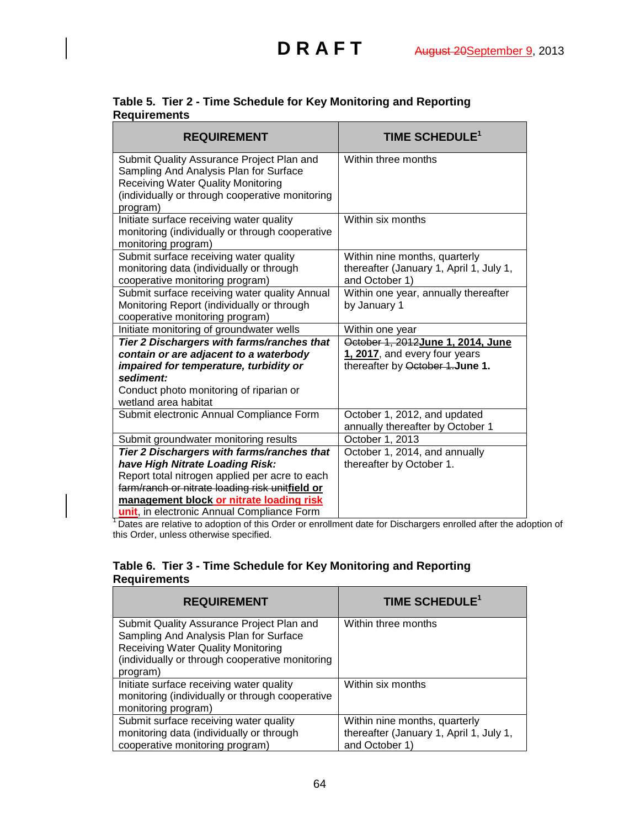| <b>REQUIREMENT</b>                                                                                                                                                                  | TIME SCHEDULE <sup>1</sup>                                                                 |
|-------------------------------------------------------------------------------------------------------------------------------------------------------------------------------------|--------------------------------------------------------------------------------------------|
| Submit Quality Assurance Project Plan and<br>Sampling And Analysis Plan for Surface<br><b>Receiving Water Quality Monitoring</b><br>(individually or through cooperative monitoring | Within three months                                                                        |
| program)                                                                                                                                                                            |                                                                                            |
| Initiate surface receiving water quality<br>monitoring (individually or through cooperative<br>monitoring program)                                                                  | Within six months                                                                          |
| Submit surface receiving water quality<br>monitoring data (individually or through<br>cooperative monitoring program)                                                               | Within nine months, quarterly<br>thereafter (January 1, April 1, July 1,<br>and October 1) |
| Submit surface receiving water quality Annual<br>Monitoring Report (individually or through<br>cooperative monitoring program)                                                      | Within one year, annually thereafter<br>by January 1                                       |
| Initiate monitoring of groundwater wells                                                                                                                                            | Within one year                                                                            |
| Tier 2 Dischargers with farms/ranches that                                                                                                                                          | October 1, 2012 June 1, 2014, June                                                         |
| contain or are adjacent to a waterbody                                                                                                                                              | 1, 2017, and every four years                                                              |
| impaired for temperature, turbidity or                                                                                                                                              | thereafter by October 1. June 1.                                                           |
| sediment:                                                                                                                                                                           |                                                                                            |
| Conduct photo monitoring of riparian or<br>wetland area habitat                                                                                                                     |                                                                                            |
| Submit electronic Annual Compliance Form                                                                                                                                            | October 1, 2012, and updated<br>annually thereafter by October 1                           |
| Submit groundwater monitoring results                                                                                                                                               | October 1, 2013                                                                            |
| Tier 2 Dischargers with farms/ranches that                                                                                                                                          | October 1, 2014, and annually                                                              |
| have High Nitrate Loading Risk:                                                                                                                                                     | thereafter by October 1.                                                                   |
| Report total nitrogen applied per acre to each                                                                                                                                      |                                                                                            |
| farm/ranch or nitrate loading risk unitfield or                                                                                                                                     |                                                                                            |
| management block or nitrate loading risk                                                                                                                                            |                                                                                            |
| unit, in electronic Annual Compliance Form                                                                                                                                          |                                                                                            |

### **Table 5. Tier 2 - Time Schedule for Key Monitoring and Reporting Requirements**

<sup>1</sup> Dates are relative to adoption of this Order or enrollment date for Dischargers enrolled after the adoption of this Order, unless otherwise specified.

## **Table 6. Tier 3 - Time Schedule for Key Monitoring and Reporting Requirements**

| <b>REQUIREMENT</b>                                                                                                                                                                              | TIME SCHEDULE <sup>1</sup>                                                                 |
|-------------------------------------------------------------------------------------------------------------------------------------------------------------------------------------------------|--------------------------------------------------------------------------------------------|
| Submit Quality Assurance Project Plan and<br>Sampling And Analysis Plan for Surface<br><b>Receiving Water Quality Monitoring</b><br>(individually or through cooperative monitoring<br>program) | Within three months                                                                        |
| Initiate surface receiving water quality<br>monitoring (individually or through cooperative<br>monitoring program)                                                                              | Within six months                                                                          |
| Submit surface receiving water quality<br>monitoring data (individually or through<br>cooperative monitoring program)                                                                           | Within nine months, quarterly<br>thereafter (January 1, April 1, July 1,<br>and October 1) |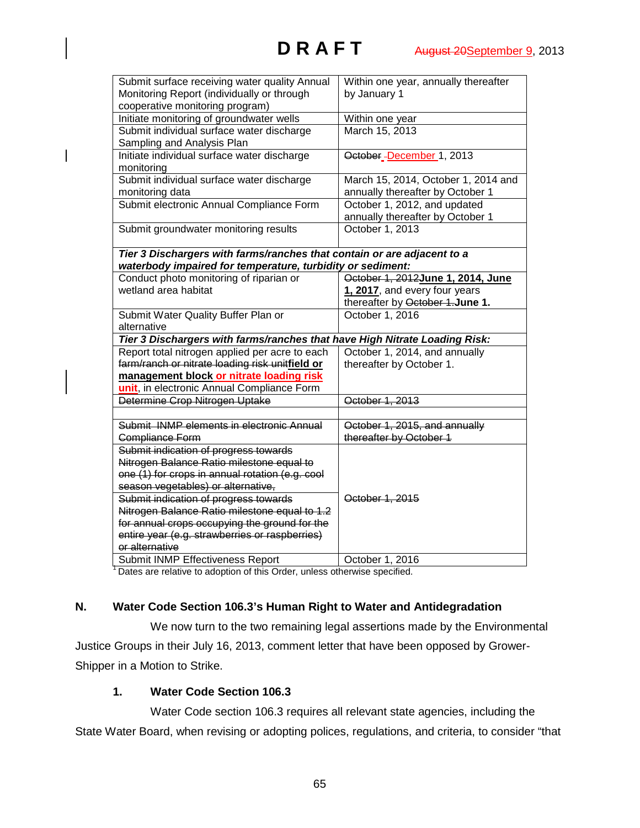| Submit surface receiving water quality Annual                              | Within one year, annually thereafter |
|----------------------------------------------------------------------------|--------------------------------------|
| Monitoring Report (individually or through                                 | by January 1                         |
| cooperative monitoring program)                                            |                                      |
| Initiate monitoring of groundwater wells                                   | Within one year                      |
| Submit individual surface water discharge                                  | March 15, 2013                       |
| Sampling and Analysis Plan                                                 |                                      |
| Initiate individual surface water discharge                                | October_December 1, 2013             |
| monitoring                                                                 |                                      |
| Submit individual surface water discharge                                  | March 15, 2014, October 1, 2014 and  |
| monitoring data                                                            | annually thereafter by October 1     |
| Submit electronic Annual Compliance Form                                   | October 1, 2012, and updated         |
|                                                                            | annually thereafter by October 1     |
| Submit groundwater monitoring results                                      | October 1, 2013                      |
|                                                                            |                                      |
| Tier 3 Dischargers with farms/ranches that contain or are adjacent to a    |                                      |
| waterbody impaired for temperature, turbidity or sediment:                 |                                      |
| Conduct photo monitoring of riparian or                                    | October 1, 2012June 1, 2014, June    |
| wetland area habitat                                                       | 1, 2017, and every four years        |
|                                                                            | thereafter by October 1. June 1.     |
| Submit Water Quality Buffer Plan or                                        | October 1, 2016                      |
| alternative                                                                |                                      |
| Tier 3 Dischargers with farms/ranches that have High Nitrate Loading Risk: |                                      |
| Report total nitrogen applied per acre to each                             | October 1, 2014, and annually        |
| farm/ranch or nitrate loading risk unitfield or                            | thereafter by October 1.             |
| management block or nitrate loading risk                                   |                                      |
| unit, in electronic Annual Compliance Form                                 |                                      |
| Determine Crop Nitrogen Uptake                                             | October 1, 2013                      |
|                                                                            |                                      |
| Submit INMP elements in electronic Annual                                  | October 1, 2015, and annually        |
| Compliance Form                                                            | thereafter by October 1              |
| Submit indication of progress towards                                      |                                      |
| Nitrogen Balance Ratio milestone equal to                                  |                                      |
| one (1) for crops in annual rotation (e.g. cool                            |                                      |
| season vegetables) or alternative,                                         |                                      |
| Submit indication of progress towards                                      | October 1, 2015                      |
| Nitrogen Balance Ratio milestone equal to 1.2                              |                                      |
| for annual crops occupying the ground for the                              |                                      |
| entire year (e.g. strawberries or raspberries)                             |                                      |
| or alternative                                                             |                                      |
| Submit INMP Effectiveness Report                                           | October 1, 2016                      |
|                                                                            |                                      |

<sup>1</sup> Dates are relative to adoption of this Order, unless otherwise specified.

## **N. Water Code Section 106.3's Human Right to Water and Antidegradation**

We now turn to the two remaining legal assertions made by the Environmental Justice Groups in their July 16, 2013, comment letter that have been opposed by Grower-Shipper in a Motion to Strike.

# **1. Water Code Section 106.3**

Water Code section 106.3 requires all relevant state agencies, including the State Water Board, when revising or adopting polices, regulations, and criteria, to consider "that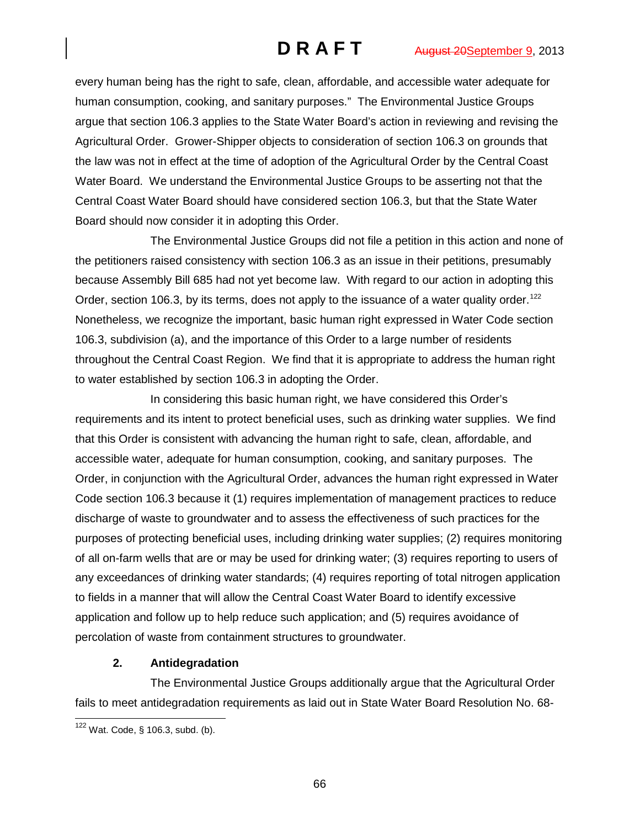every human being has the right to safe, clean, affordable, and accessible water adequate for human consumption, cooking, and sanitary purposes." The Environmental Justice Groups argue that section 106.3 applies to the State Water Board's action in reviewing and revising the Agricultural Order. Grower-Shipper objects to consideration of section 106.3 on grounds that the law was not in effect at the time of adoption of the Agricultural Order by the Central Coast Water Board. We understand the Environmental Justice Groups to be asserting not that the Central Coast Water Board should have considered section 106.3, but that the State Water Board should now consider it in adopting this Order.

The Environmental Justice Groups did not file a petition in this action and none of the petitioners raised consistency with section 106.3 as an issue in their petitions, presumably because Assembly Bill 685 had not yet become law. With regard to our action in adopting this Order, section 106.3, by its terms, does not apply to the issuance of a water quality order.<sup>[122](#page-65-0)</sup> Nonetheless, we recognize the important, basic human right expressed in Water Code section 106.3, subdivision (a), and the importance of this Order to a large number of residents throughout the Central Coast Region. We find that it is appropriate to address the human right to water established by section 106.3 in adopting the Order.

In considering this basic human right, we have considered this Order's requirements and its intent to protect beneficial uses, such as drinking water supplies. We find that this Order is consistent with advancing the human right to safe, clean, affordable, and accessible water, adequate for human consumption, cooking, and sanitary purposes. The Order, in conjunction with the Agricultural Order, advances the human right expressed in Water Code section 106.3 because it (1) requires implementation of management practices to reduce discharge of waste to groundwater and to assess the effectiveness of such practices for the purposes of protecting beneficial uses, including drinking water supplies; (2) requires monitoring of all on-farm wells that are or may be used for drinking water; (3) requires reporting to users of any exceedances of drinking water standards; (4) requires reporting of total nitrogen application to fields in a manner that will allow the Central Coast Water Board to identify excessive application and follow up to help reduce such application; and (5) requires avoidance of percolation of waste from containment structures to groundwater.

# **2. Antidegradation**

The Environmental Justice Groups additionally argue that the Agricultural Order fails to meet antidegradation requirements as laid out in State Water Board Resolution No. 68-

<span id="page-65-0"></span> <sup>122</sup> Wat. Code, § 106.3, subd. (b).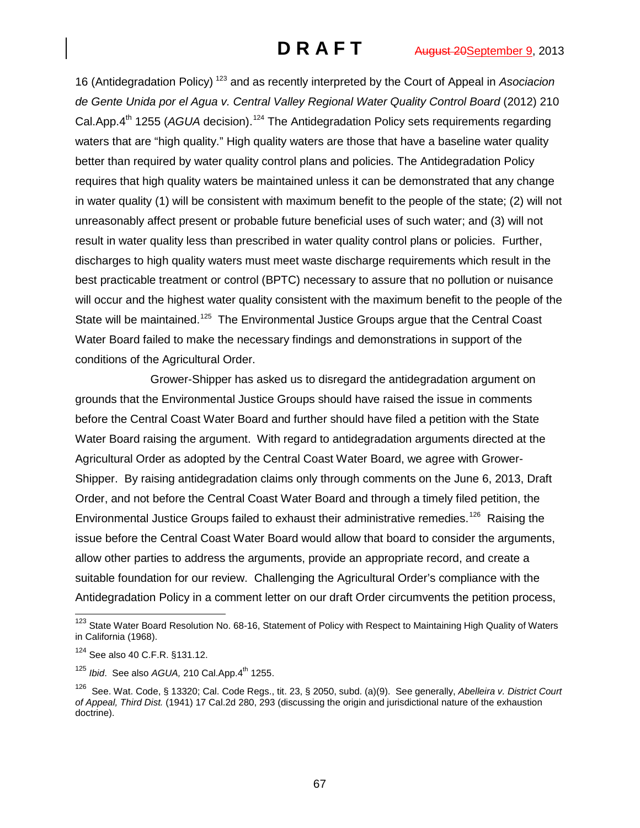16 (Antidegradation Policy) [123](#page-66-0) and as recently interpreted by the Court of Appeal in *Asociacion*  de Gente Unida por el Agua v. Central Valley Regional Water Quality Control Board (2012) 210 Cal.App.4<sup>th</sup> 1255 (AGUA decision).<sup>[124](#page-66-1)</sup> The Antidegradation Policy sets requirements regarding waters that are "high quality." High quality waters are those that have a baseline water quality better than required by water quality control plans and policies. The Antidegradation Policy requires that high quality waters be maintained unless it can be demonstrated that any change in water quality (1) will be consistent with maximum benefit to the people of the state; (2) will not unreasonably affect present or probable future beneficial uses of such water; and (3) will not result in water quality less than prescribed in water quality control plans or policies. Further, discharges to high quality waters must meet waste discharge requirements which result in the best practicable treatment or control (BPTC) necessary to assure that no pollution or nuisance will occur and the highest water quality consistent with the maximum benefit to the people of the State will be maintained.<sup>125</sup> The Environmental Justice Groups argue that the Central Coast Water Board failed to make the necessary findings and demonstrations in support of the conditions of the Agricultural Order.

Grower-Shipper has asked us to disregard the antidegradation argument on grounds that the Environmental Justice Groups should have raised the issue in comments before the Central Coast Water Board and further should have filed a petition with the State Water Board raising the argument. With regard to antidegradation arguments directed at the Agricultural Order as adopted by the Central Coast Water Board, we agree with Grower-Shipper. By raising antidegradation claims only through comments on the June 6, 2013, Draft Order, and not before the Central Coast Water Board and through a timely filed petition, the Environmental Justice Groups failed to exhaust their administrative remedies.<sup>126</sup> Raising the issue before the Central Coast Water Board would allow that board to consider the arguments, allow other parties to address the arguments, provide an appropriate record, and create a suitable foundation for our review. Challenging the Agricultural Order's compliance with the Antidegradation Policy in a comment letter on our draft Order circumvents the petition process,

<span id="page-66-0"></span><sup>&</sup>lt;sup>123</sup> State Water Board Resolution No. 68-16, Statement of Policy with Respect to Maintaining High Quality of Waters in California (1968).

<span id="page-66-1"></span><sup>124</sup> See also 40 C.F.R. §131.12.

<span id="page-66-2"></span><sup>&</sup>lt;sup>125</sup> *Ibid.* See also *AGUA*, 210 Cal.App.4<sup>th</sup> 1255.

<span id="page-66-3"></span><sup>126</sup> See. Wat. Code, § 13320; Cal. Code Regs., tit. 23, § 2050, subd. (a)(9). See generally, *Abelleira v. District Court of Appeal, Third Dist.* (1941) 17 Cal.2d 280, 293 (discussing the origin and jurisdictional nature of the exhaustion doctrine).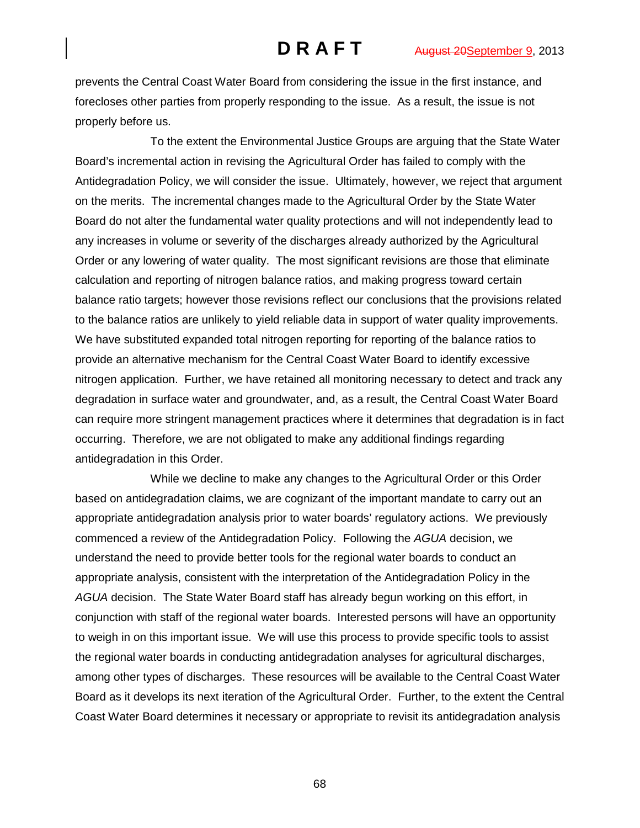prevents the Central Coast Water Board from considering the issue in the first instance, and forecloses other parties from properly responding to the issue. As a result, the issue is not properly before us.

To the extent the Environmental Justice Groups are arguing that the State Water Board's incremental action in revising the Agricultural Order has failed to comply with the Antidegradation Policy, we will consider the issue. Ultimately, however, we reject that argument on the merits. The incremental changes made to the Agricultural Order by the State Water Board do not alter the fundamental water quality protections and will not independently lead to any increases in volume or severity of the discharges already authorized by the Agricultural Order or any lowering of water quality. The most significant revisions are those that eliminate calculation and reporting of nitrogen balance ratios, and making progress toward certain balance ratio targets; however those revisions reflect our conclusions that the provisions related to the balance ratios are unlikely to yield reliable data in support of water quality improvements. We have substituted expanded total nitrogen reporting for reporting of the balance ratios to provide an alternative mechanism for the Central Coast Water Board to identify excessive nitrogen application. Further, we have retained all monitoring necessary to detect and track any degradation in surface water and groundwater, and, as a result, the Central Coast Water Board can require more stringent management practices where it determines that degradation is in fact occurring. Therefore, we are not obligated to make any additional findings regarding antidegradation in this Order.

While we decline to make any changes to the Agricultural Order or this Order based on antidegradation claims, we are cognizant of the important mandate to carry out an appropriate antidegradation analysis prior to water boards' regulatory actions. We previously commenced a review of the Antidegradation Policy. Following the *AGUA* decision, we understand the need to provide better tools for the regional water boards to conduct an appropriate analysis, consistent with the interpretation of the Antidegradation Policy in the *AGUA* decision. The State Water Board staff has already begun working on this effort, in conjunction with staff of the regional water boards. Interested persons will have an opportunity to weigh in on this important issue. We will use this process to provide specific tools to assist the regional water boards in conducting antidegradation analyses for agricultural discharges, among other types of discharges. These resources will be available to the Central Coast Water Board as it develops its next iteration of the Agricultural Order. Further, to the extent the Central Coast Water Board determines it necessary or appropriate to revisit its antidegradation analysis

68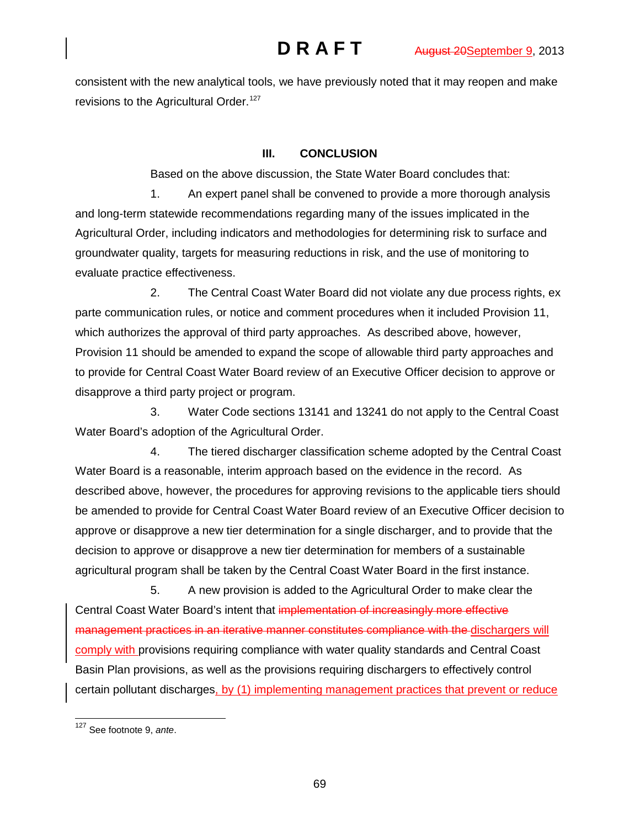consistent with the new analytical tools, we have previously noted that it may reopen and make revisions to the Agricultural Order.<sup>[127](#page-68-0)</sup>

## **III. CONCLUSION**

Based on the above discussion, the State Water Board concludes that:

1. An expert panel shall be convened to provide a more thorough analysis and long-term statewide recommendations regarding many of the issues implicated in the Agricultural Order, including indicators and methodologies for determining risk to surface and groundwater quality, targets for measuring reductions in risk, and the use of monitoring to evaluate practice effectiveness.

2. The Central Coast Water Board did not violate any due process rights, ex parte communication rules, or notice and comment procedures when it included Provision 11, which authorizes the approval of third party approaches. As described above, however, Provision 11 should be amended to expand the scope of allowable third party approaches and to provide for Central Coast Water Board review of an Executive Officer decision to approve or disapprove a third party project or program.

3. Water Code sections 13141 and 13241 do not apply to the Central Coast Water Board's adoption of the Agricultural Order.

4. The tiered discharger classification scheme adopted by the Central Coast Water Board is a reasonable, interim approach based on the evidence in the record. As described above, however, the procedures for approving revisions to the applicable tiers should be amended to provide for Central Coast Water Board review of an Executive Officer decision to approve or disapprove a new tier determination for a single discharger, and to provide that the decision to approve or disapprove a new tier determination for members of a sustainable agricultural program shall be taken by the Central Coast Water Board in the first instance.

5. A new provision is added to the Agricultural Order to make clear the Central Coast Water Board's intent that implementation of increasingly more effective management practices in an iterative manner constitutes compliance with the dischargers will comply with provisions requiring compliance with water quality standards and Central Coast Basin Plan provisions, as well as the provisions requiring dischargers to effectively control certain pollutant discharges, by (1) implementing management practices that prevent or reduce

<span id="page-68-0"></span> <sup>127</sup> See footnote 9, *ante*.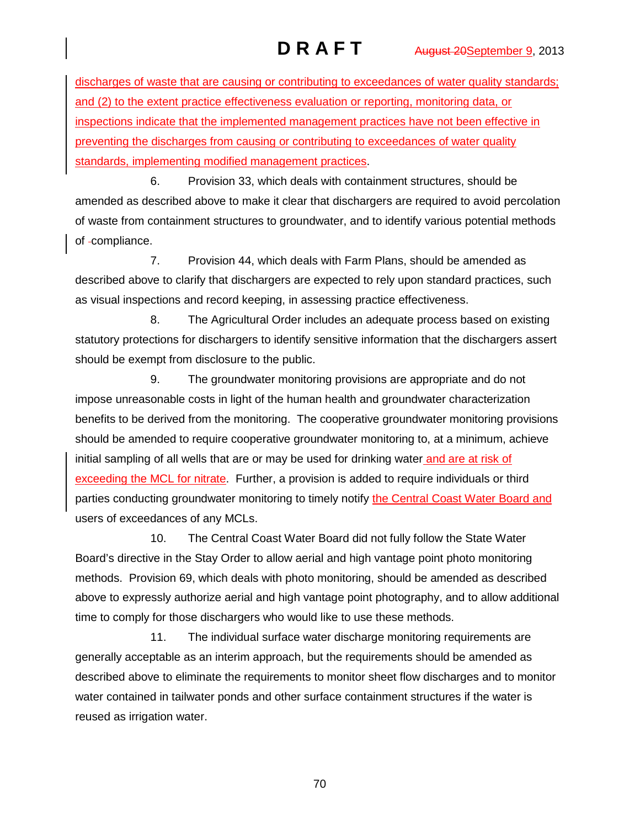discharges of waste that are causing or contributing to exceedances of water quality standards; and (2) to the extent practice effectiveness evaluation or reporting, monitoring data, or inspections indicate that the implemented management practices have not been effective in preventing the discharges from causing or contributing to exceedances of water quality standards, implementing modified management practices.

6. Provision 33, which deals with containment structures, should be amended as described above to make it clear that dischargers are required to avoid percolation of waste from containment structures to groundwater, and to identify various potential methods of -compliance.

7. Provision 44, which deals with Farm Plans, should be amended as described above to clarify that dischargers are expected to rely upon standard practices, such as visual inspections and record keeping, in assessing practice effectiveness.

8. The Agricultural Order includes an adequate process based on existing statutory protections for dischargers to identify sensitive information that the dischargers assert should be exempt from disclosure to the public.

9. The groundwater monitoring provisions are appropriate and do not impose unreasonable costs in light of the human health and groundwater characterization benefits to be derived from the monitoring. The cooperative groundwater monitoring provisions should be amended to require cooperative groundwater monitoring to, at a minimum, achieve initial sampling of all wells that are or may be used for drinking water and are at risk of exceeding the MCL for nitrate. Further, a provision is added to require individuals or third parties conducting groundwater monitoring to timely notify the Central Coast Water Board and users of exceedances of any MCLs.

10. The Central Coast Water Board did not fully follow the State Water Board's directive in the Stay Order to allow aerial and high vantage point photo monitoring methods. Provision 69, which deals with photo monitoring, should be amended as described above to expressly authorize aerial and high vantage point photography, and to allow additional time to comply for those dischargers who would like to use these methods.

11. The individual surface water discharge monitoring requirements are generally acceptable as an interim approach, but the requirements should be amended as described above to eliminate the requirements to monitor sheet flow discharges and to monitor water contained in tailwater ponds and other surface containment structures if the water is reused as irrigation water.

70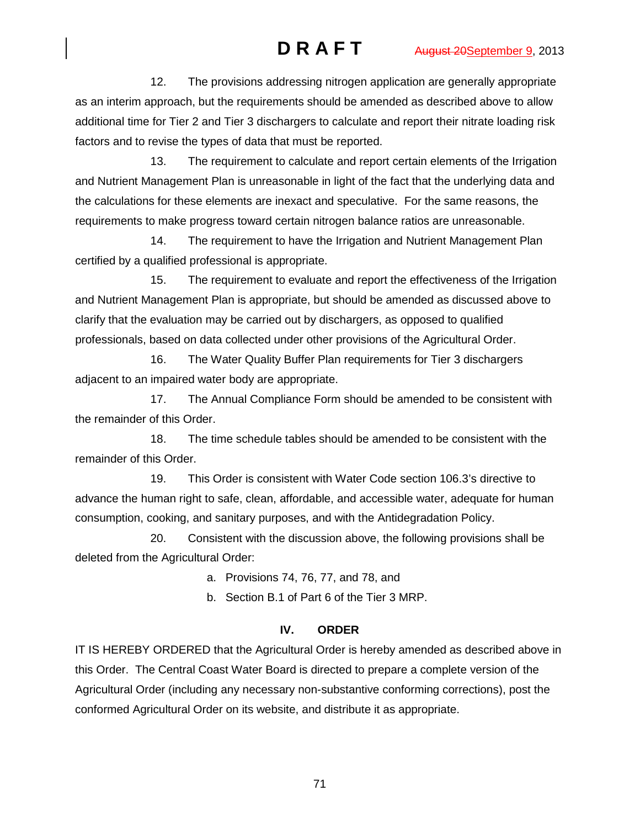12. The provisions addressing nitrogen application are generally appropriate as an interim approach, but the requirements should be amended as described above to allow additional time for Tier 2 and Tier 3 dischargers to calculate and report their nitrate loading risk factors and to revise the types of data that must be reported.

13. The requirement to calculate and report certain elements of the Irrigation and Nutrient Management Plan is unreasonable in light of the fact that the underlying data and the calculations for these elements are inexact and speculative. For the same reasons, the requirements to make progress toward certain nitrogen balance ratios are unreasonable.

14. The requirement to have the Irrigation and Nutrient Management Plan certified by a qualified professional is appropriate.

15. The requirement to evaluate and report the effectiveness of the Irrigation and Nutrient Management Plan is appropriate, but should be amended as discussed above to clarify that the evaluation may be carried out by dischargers, as opposed to qualified professionals, based on data collected under other provisions of the Agricultural Order.

16. The Water Quality Buffer Plan requirements for Tier 3 dischargers adjacent to an impaired water body are appropriate.

17. The Annual Compliance Form should be amended to be consistent with the remainder of this Order.

18. The time schedule tables should be amended to be consistent with the remainder of this Order.

19. This Order is consistent with Water Code section 106.3's directive to advance the human right to safe, clean, affordable, and accessible water, adequate for human consumption, cooking, and sanitary purposes, and with the Antidegradation Policy.

20. Consistent with the discussion above, the following provisions shall be deleted from the Agricultural Order:

a. Provisions 74, 76, 77, and 78, and

b. Section B.1 of Part 6 of the Tier 3 MRP.

# **IV. ORDER**

IT IS HEREBY ORDERED that the Agricultural Order is hereby amended as described above in this Order. The Central Coast Water Board is directed to prepare a complete version of the Agricultural Order (including any necessary non-substantive conforming corrections), post the conformed Agricultural Order on its website, and distribute it as appropriate.

71